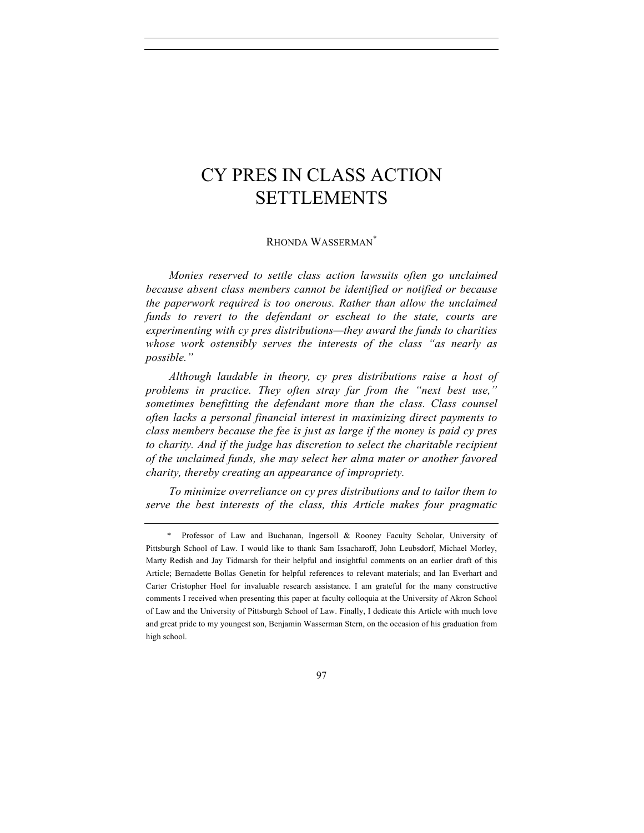RHONDA WASSERMAN\*

*Monies reserved to settle class action lawsuits often go unclaimed because absent class members cannot be identified or notified or because the paperwork required is too onerous. Rather than allow the unclaimed funds to revert to the defendant or escheat to the state, courts are experimenting with cy pres distributions—they award the funds to charities whose work ostensibly serves the interests of the class "as nearly as possible."*

*Although laudable in theory, cy pres distributions raise a host of problems in practice. They often stray far from the "next best use," sometimes benefitting the defendant more than the class. Class counsel often lacks a personal financial interest in maximizing direct payments to class members because the fee is just as large if the money is paid cy pres* to charity. And if the judge has discretion to select the charitable recipient *of the unclaimed funds, she may select her alma mater or another favored charity, thereby creating an appearance of impropriety.*

*To minimize overreliance on cy pres distributions and to tailor them to serve the best interests of the class, this Article makes four pragmatic* 

<sup>\*</sup> Professor of Law and Buchanan, Ingersoll & Rooney Faculty Scholar, University of Pittsburgh School of Law. I would like to thank Sam Issacharoff, John Leubsdorf, Michael Morley, Marty Redish and Jay Tidmarsh for their helpful and insightful comments on an earlier draft of this Article; Bernadette Bollas Genetin for helpful references to relevant materials; and Ian Everhart and Carter Cristopher Hoel for invaluable research assistance. I am grateful for the many constructive comments I received when presenting this paper at faculty colloquia at the University of Akron School of Law and the University of Pittsburgh School of Law. Finally, I dedicate this Article with much love and great pride to my youngest son, Benjamin Wasserman Stern, on the occasion of his graduation from high school.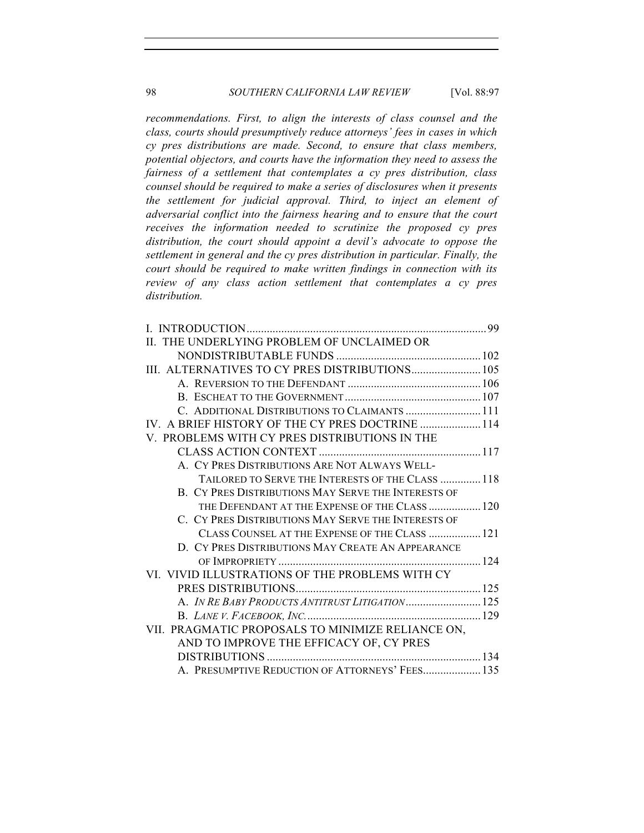*recommendations. First, to align the interests of class counsel and the class, courts should presumptively reduce attorneys' fees in cases in which cy pres distributions are made. Second, to ensure that class members, potential objectors, and courts have the information they need to assess the fairness of a settlement that contemplates a cy pres distribution, class counsel should be required to make a series of disclosures when it presents the settlement for judicial approval. Third, to inject an element of adversarial conflict into the fairness hearing and to ensure that the court receives the information needed to scrutinize the proposed cy pres distribution, the court should appoint a devil's advocate to oppose the settlement in general and the cy pres distribution in particular. Finally, the court should be required to make written findings in connection with its review of any class action settlement that contemplates a cy pres distribution.*

| II. THE UNDERLYING PROBLEM OF UNCLAIMED OR                 |  |
|------------------------------------------------------------|--|
|                                                            |  |
| III. ALTERNATIVES TO CY PRES DISTRIBUTIONS 105             |  |
|                                                            |  |
|                                                            |  |
| C. ADDITIONAL DISTRIBUTIONS TO CLAIMANTS  111              |  |
| IV. A BRIEF HISTORY OF THE CY PRES DOCTRINE  114           |  |
| V. PROBLEMS WITH CY PRES DISTRIBUTIONS IN THE              |  |
|                                                            |  |
| A. CY PRES DISTRIBUTIONS ARE NOT ALWAYS WELL-              |  |
| TAILORED TO SERVE THE INTERESTS OF THE CLASS  118          |  |
| <b>B. CY PRES DISTRIBUTIONS MAY SERVE THE INTERESTS OF</b> |  |
| THE DEFENDANT AT THE EXPENSE OF THE CLASS  120             |  |
| C. CY PRES DISTRIBUTIONS MAY SERVE THE INTERESTS OF        |  |
| CLASS COUNSEL AT THE EXPENSE OF THE CLASS  121             |  |
| D. CY PRES DISTRIBUTIONS MAY CREATE AN APPEARANCE          |  |
|                                                            |  |
| VI. VIVID ILLUSTRATIONS OF THE PROBLEMS WITH CY            |  |
|                                                            |  |
| A. IN RE BABY PRODUCTS ANTITRUST LITIGATION 125            |  |
|                                                            |  |
| VII. PRAGMATIC PROPOSALS TO MINIMIZE RELIANCE ON,          |  |
| AND TO IMPROVE THE EFFICACY OF, CY PRES                    |  |
|                                                            |  |
| A. PRESUMPTIVE REDUCTION OF ATTORNEYS' FEES 135            |  |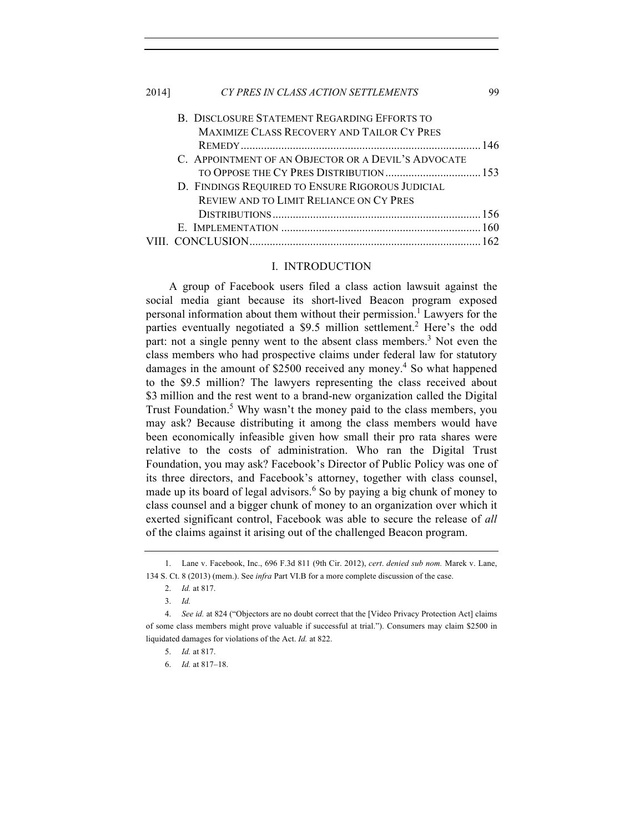| 2014] | CY PRES IN CLASS ACTION SETTLEMENTS                 | 99 |
|-------|-----------------------------------------------------|----|
|       | B. DISCLOSURE STATEMENT REGARDING EFFORTS TO        |    |
|       | <b>MAXIMIZE CLASS RECOVERY AND TAILOR CY PRES</b>   |    |
|       |                                                     |    |
|       | C. APPOINTMENT OF AN OBJECTOR OR A DEVIL'S ADVOCATE |    |
|       |                                                     |    |
|       | D. FINDINGS REQUIRED TO ENSURE RIGOROUS JUDICIAL    |    |
|       | REVIEW AND TO LIMIT RELIANCE ON CY PRES             |    |
|       |                                                     |    |
|       |                                                     |    |
|       |                                                     |    |

#### I. INTRODUCTION

A group of Facebook users filed a class action lawsuit against the social media giant because its short-lived Beacon program exposed personal information about them without their permission.<sup>1</sup> Lawyers for the parties eventually negotiated a  $$9.5$  million settlement.<sup>2</sup> Here's the odd part: not a single penny went to the absent class members.<sup>3</sup> Not even the class members who had prospective claims under federal law for statutory damages in the amount of \$2500 received any money.<sup>4</sup> So what happened to the \$9.5 million? The lawyers representing the class received about \$3 million and the rest went to a brand-new organization called the Digital Trust Foundation.<sup>5</sup> Why wasn't the money paid to the class members, you may ask? Because distributing it among the class members would have been economically infeasible given how small their pro rata shares were relative to the costs of administration. Who ran the Digital Trust Foundation, you may ask? Facebook's Director of Public Policy was one of its three directors, and Facebook's attorney, together with class counsel, made up its board of legal advisors.<sup>6</sup> So by paying a big chunk of money to class counsel and a bigger chunk of money to an organization over which it exerted significant control, Facebook was able to secure the release of *all* of the claims against it arising out of the challenged Beacon program.

<sup>1.</sup> Lane v. Facebook, Inc., 696 F.3d 811 (9th Cir. 2012), *cert*. *denied sub nom.* Marek v. Lane, 134 S. Ct. 8 (2013) (mem.). See *infra* Part VI.B for a more complete discussion of the case.

<sup>2.</sup> *Id.* at 817.

<sup>3.</sup> *Id.*

<sup>4.</sup> *See id.* at 824 ("Objectors are no doubt correct that the [Video Privacy Protection Act] claims of some class members might prove valuable if successful at trial."). Consumers may claim \$2500 in liquidated damages for violations of the Act. *Id.* at 822.

<sup>5.</sup> *Id.* at 817.

<sup>6.</sup> *Id.* at 817–18.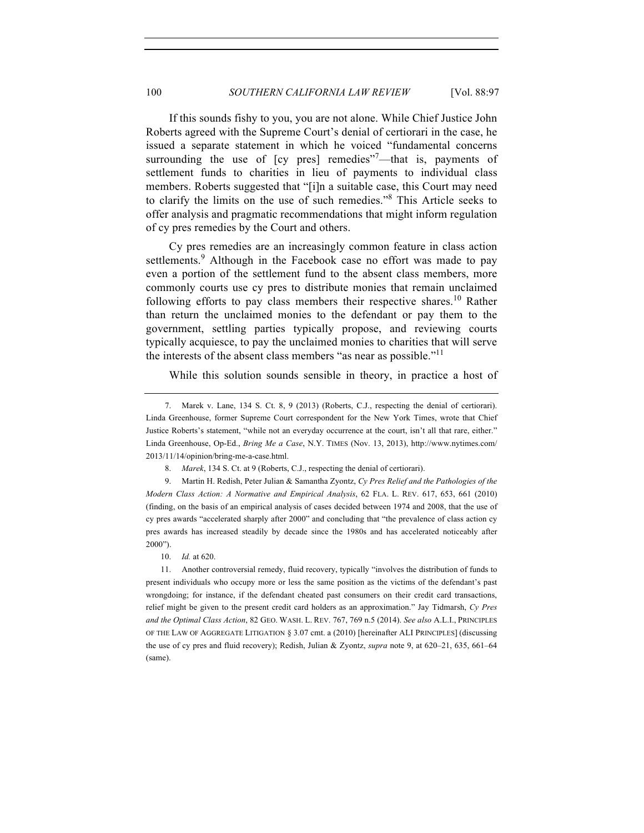If this sounds fishy to you, you are not alone. While Chief Justice John Roberts agreed with the Supreme Court's denial of certiorari in the case, he issued a separate statement in which he voiced "fundamental concerns surrounding the use of [cy pres] remedies"<sup>7</sup>—that is, payments of settlement funds to charities in lieu of payments to individual class members. Roberts suggested that "[i]n a suitable case, this Court may need to clarify the limits on the use of such remedies."<sup>8</sup> This Article seeks to offer analysis and pragmatic recommendations that might inform regulation of cy pres remedies by the Court and others.

Cy pres remedies are an increasingly common feature in class action settlements.<sup>9</sup> Although in the Facebook case no effort was made to pay even a portion of the settlement fund to the absent class members, more commonly courts use cy pres to distribute monies that remain unclaimed following efforts to pay class members their respective shares.<sup>10</sup> Rather than return the unclaimed monies to the defendant or pay them to the government, settling parties typically propose, and reviewing courts typically acquiesce, to pay the unclaimed monies to charities that will serve the interests of the absent class members "as near as possible."<sup>11</sup>

While this solution sounds sensible in theory, in practice a host of

9. Martin H. Redish, Peter Julian & Samantha Zyontz, *Cy Pres Relief and the Pathologies of the Modern Class Action: A Normative and Empirical Analysis*, 62 FLA. L. REV. 617, 653, 661 (2010) (finding, on the basis of an empirical analysis of cases decided between 1974 and 2008, that the use of cy pres awards "accelerated sharply after 2000" and concluding that "the prevalence of class action cy pres awards has increased steadily by decade since the 1980s and has accelerated noticeably after 2000").

10. *Id.* at 620.

11. Another controversial remedy, fluid recovery, typically "involves the distribution of funds to present individuals who occupy more or less the same position as the victims of the defendant's past wrongdoing; for instance, if the defendant cheated past consumers on their credit card transactions, relief might be given to the present credit card holders as an approximation." Jay Tidmarsh, *Cy Pres and the Optimal Class Action*, 82 GEO. WASH. L. REV. 767, 769 n.5 (2014). *See also* A.L.I., PRINCIPLES OF THE LAW OF AGGREGATE LITIGATION § 3.07 cmt. a (2010) [hereinafter ALI PRINCIPLES] (discussing the use of cy pres and fluid recovery); Redish, Julian & Zyontz, *supra* note 9, at 620–21, 635, 661–64 (same).

<sup>7.</sup> Marek v. Lane, 134 S. Ct. 8, 9 (2013) (Roberts, C.J., respecting the denial of certiorari). Linda Greenhouse, former Supreme Court correspondent for the New York Times, wrote that Chief Justice Roberts's statement, "while not an everyday occurrence at the court, isn't all that rare, either." Linda Greenhouse, Op-Ed., *Bring Me a Case*, N.Y. TIMES (Nov. 13, 2013), http://www.nytimes.com/ 2013/11/14/opinion/bring-me-a-case.html.

<sup>8.</sup> *Marek*, 134 S. Ct. at 9 (Roberts, C.J., respecting the denial of certiorari).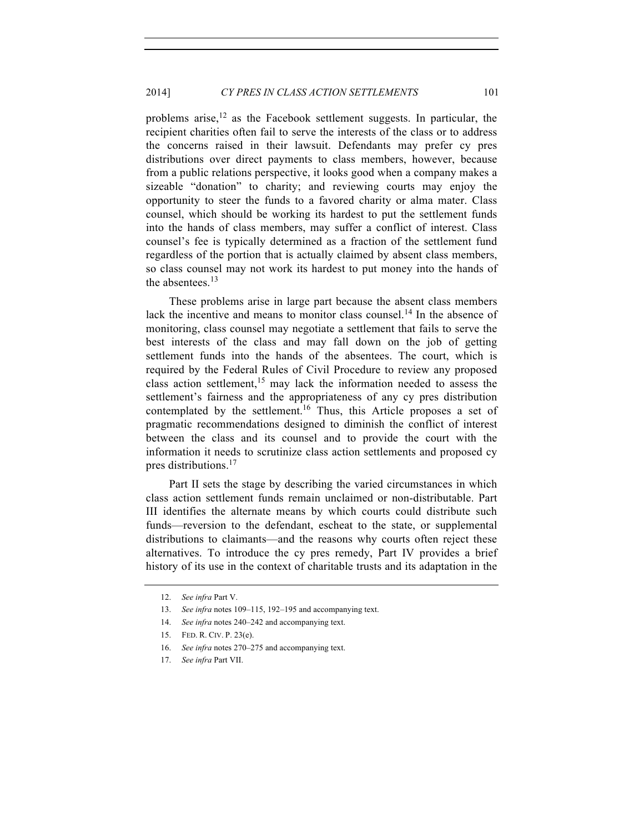problems arise, $12$  as the Facebook settlement suggests. In particular, the recipient charities often fail to serve the interests of the class or to address the concerns raised in their lawsuit. Defendants may prefer cy pres distributions over direct payments to class members, however, because from a public relations perspective, it looks good when a company makes a sizeable "donation" to charity; and reviewing courts may enjoy the opportunity to steer the funds to a favored charity or alma mater. Class counsel, which should be working its hardest to put the settlement funds into the hands of class members, may suffer a conflict of interest. Class counsel's fee is typically determined as a fraction of the settlement fund regardless of the portion that is actually claimed by absent class members, so class counsel may not work its hardest to put money into the hands of the absentees.<sup>13</sup>

These problems arise in large part because the absent class members lack the incentive and means to monitor class counsel.<sup>14</sup> In the absence of monitoring, class counsel may negotiate a settlement that fails to serve the best interests of the class and may fall down on the job of getting settlement funds into the hands of the absentees. The court, which is required by the Federal Rules of Civil Procedure to review any proposed class action settlement,<sup>15</sup> may lack the information needed to assess the settlement's fairness and the appropriateness of any cy pres distribution contemplated by the settlement.<sup>16</sup> Thus, this Article proposes a set of pragmatic recommendations designed to diminish the conflict of interest between the class and its counsel and to provide the court with the information it needs to scrutinize class action settlements and proposed cy pres distributions.<sup>17</sup>

Part II sets the stage by describing the varied circumstances in which class action settlement funds remain unclaimed or non-distributable. Part III identifies the alternate means by which courts could distribute such funds—reversion to the defendant, escheat to the state, or supplemental distributions to claimants—and the reasons why courts often reject these alternatives. To introduce the cy pres remedy, Part IV provides a brief history of its use in the context of charitable trusts and its adaptation in the

16. *See infra* notes 270–275 and accompanying text.

<sup>12.</sup> *See infra* Part V.

<sup>13.</sup> *See infra* notes 109–115, 192–195 and accompanying text.

<sup>14.</sup> *See infra* notes 240–242 and accompanying text.

<sup>15.</sup> FED. R. CIV. P. 23(e).

<sup>17.</sup> *See infra* Part VII.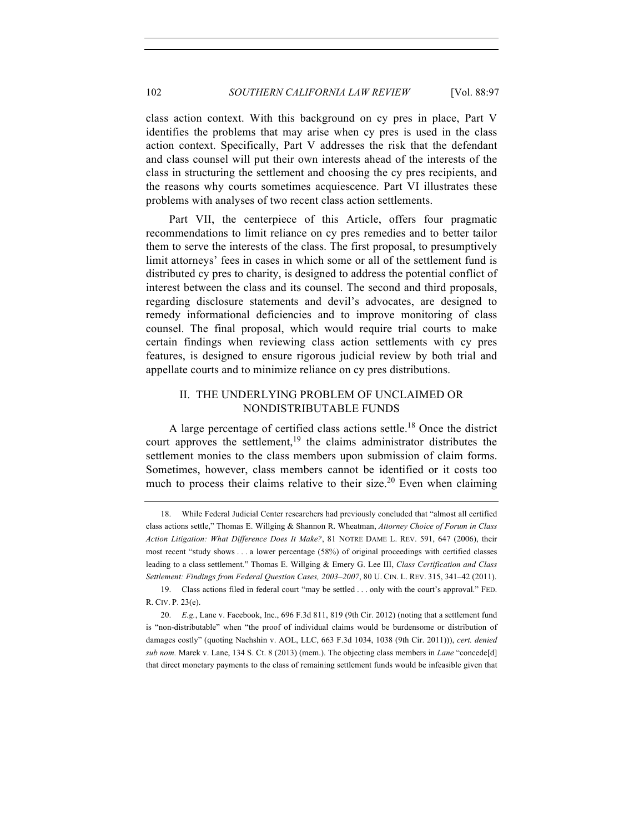class action context. With this background on cy pres in place, Part V identifies the problems that may arise when cy pres is used in the class action context. Specifically, Part V addresses the risk that the defendant and class counsel will put their own interests ahead of the interests of the class in structuring the settlement and choosing the cy pres recipients, and the reasons why courts sometimes acquiescence. Part VI illustrates these problems with analyses of two recent class action settlements.

Part VII, the centerpiece of this Article, offers four pragmatic recommendations to limit reliance on cy pres remedies and to better tailor them to serve the interests of the class. The first proposal, to presumptively limit attorneys' fees in cases in which some or all of the settlement fund is distributed cy pres to charity, is designed to address the potential conflict of interest between the class and its counsel. The second and third proposals, regarding disclosure statements and devil's advocates, are designed to remedy informational deficiencies and to improve monitoring of class counsel. The final proposal, which would require trial courts to make certain findings when reviewing class action settlements with cy pres features, is designed to ensure rigorous judicial review by both trial and appellate courts and to minimize reliance on cy pres distributions.

## II. THE UNDERLYING PROBLEM OF UNCLAIMED OR NONDISTRIBUTABLE FUNDS

A large percentage of certified class actions settle.<sup>18</sup> Once the district court approves the settlement, $19$  the claims administrator distributes the settlement monies to the class members upon submission of claim forms. Sometimes, however, class members cannot be identified or it costs too much to process their claims relative to their size.<sup>20</sup> Even when claiming

<sup>18.</sup> While Federal Judicial Center researchers had previously concluded that "almost all certified class actions settle," Thomas E. Willging & Shannon R. Wheatman, *Attorney Choice of Forum in Class Action Litigation: What Difference Does It Make?*, 81 NOTRE DAME L. REV. 591, 647 (2006), their most recent "study shows . . . a lower percentage (58%) of original proceedings with certified classes leading to a class settlement." Thomas E. Willging & Emery G. Lee III, *Class Certification and Class Settlement: Findings from Federal Question Cases, 2003*–*2007*, 80 U. CIN. L. REV. 315, 341–42 (2011).

<sup>19.</sup> Class actions filed in federal court "may be settled . . . only with the court's approval." FED. R. CIV. P. 23(e).

<sup>20.</sup> *E.g.*, Lane v. Facebook, Inc., 696 F.3d 811, 819 (9th Cir. 2012) (noting that a settlement fund is "non-distributable" when "the proof of individual claims would be burdensome or distribution of damages costly" (quoting Nachshin v. AOL, LLC, 663 F.3d 1034, 1038 (9th Cir. 2011))), *cert. denied sub nom.* Marek v. Lane, 134 S. Ct. 8 (2013) (mem.). The objecting class members in *Lane* "concede[d] that direct monetary payments to the class of remaining settlement funds would be infeasible given that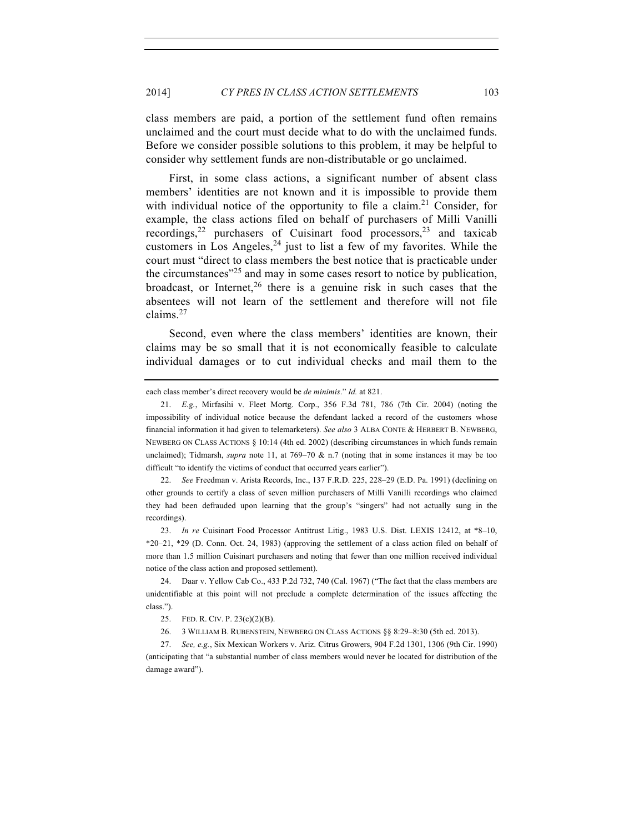class members are paid, a portion of the settlement fund often remains unclaimed and the court must decide what to do with the unclaimed funds. Before we consider possible solutions to this problem, it may be helpful to consider why settlement funds are non-distributable or go unclaimed.

First, in some class actions, a significant number of absent class members' identities are not known and it is impossible to provide them with individual notice of the opportunity to file a claim.<sup>21</sup> Consider, for example, the class actions filed on behalf of purchasers of Milli Vanilli recordings,<sup>22</sup> purchasers of Cuisinart food processors,<sup>23</sup> and taxicab customers in Los Angeles, $24$  just to list a few of my favorites. While the court must "direct to class members the best notice that is practicable under the circumstances<sup> $25$ </sup> and may in some cases resort to notice by publication, broadcast, or Internet,  $26$  there is a genuine risk in such cases that the absentees will not learn of the settlement and therefore will not file claims.<sup>27</sup>

Second, even where the class members' identities are known, their claims may be so small that it is not economically feasible to calculate individual damages or to cut individual checks and mail them to the

22. *See* Freedman v. Arista Records, Inc., 137 F.R.D. 225, 228–29 (E.D. Pa. 1991) (declining on other grounds to certify a class of seven million purchasers of Milli Vanilli recordings who claimed they had been defrauded upon learning that the group's "singers" had not actually sung in the recordings).

23. *In re* Cuisinart Food Processor Antitrust Litig., 1983 U.S. Dist. LEXIS 12412, at \*8–10, \*20–21, \*29 (D. Conn. Oct. 24, 1983) (approving the settlement of a class action filed on behalf of more than 1.5 million Cuisinart purchasers and noting that fewer than one million received individual notice of the class action and proposed settlement).

24. Daar v. Yellow Cab Co., 433 P.2d 732, 740 (Cal. 1967) ("The fact that the class members are unidentifiable at this point will not preclude a complete determination of the issues affecting the class.").

27. *See, e.g.*, Six Mexican Workers v. Ariz. Citrus Growers, 904 F.2d 1301, 1306 (9th Cir. 1990) (anticipating that "a substantial number of class members would never be located for distribution of the damage award").

each class member's direct recovery would be *de minimis*." *Id.* at 821.

<sup>21.</sup> *E.g.*, Mirfasihi v. Fleet Mortg. Corp., 356 F.3d 781, 786 (7th Cir. 2004) (noting the impossibility of individual notice because the defendant lacked a record of the customers whose financial information it had given to telemarketers). *See also* 3 ALBA CONTE & HERBERT B. NEWBERG, NEWBERG ON CLASS ACTIONS § 10:14 (4th ed. 2002) (describing circumstances in which funds remain unclaimed); Tidmarsh, *supra* note 11, at  $769-70 \& n.7$  (noting that in some instances it may be too difficult "to identify the victims of conduct that occurred years earlier").

<sup>25.</sup> FED. R. CIV. P. 23(c)(2)(B).

<sup>26.</sup> 3 WILLIAM B. RUBENSTEIN, NEWBERG ON CLASS ACTIONS §§ 8:29–8:30 (5th ed. 2013).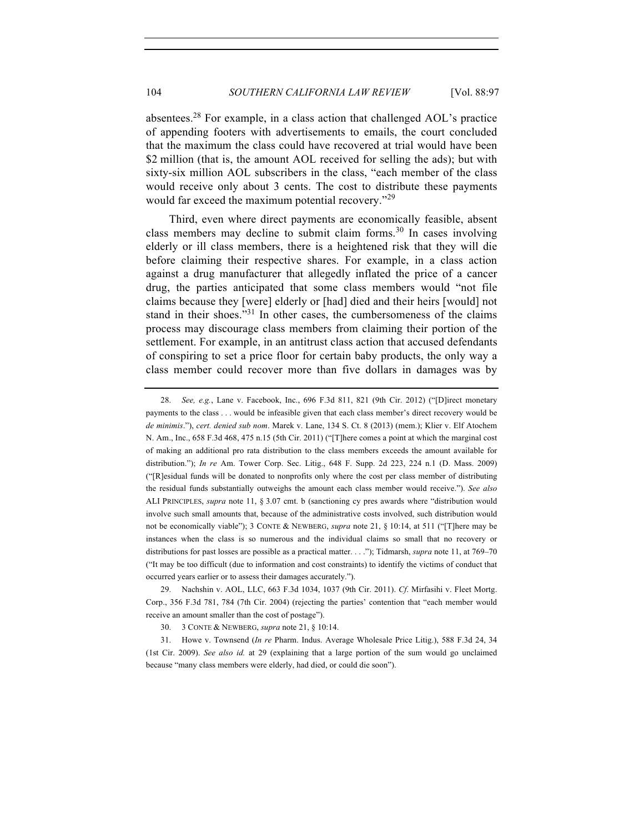absentees.<sup>28</sup> For example, in a class action that challenged AOL's practice of appending footers with advertisements to emails, the court concluded that the maximum the class could have recovered at trial would have been \$2 million (that is, the amount AOL received for selling the ads); but with sixty-six million AOL subscribers in the class, "each member of the class would receive only about 3 cents. The cost to distribute these payments would far exceed the maximum potential recovery."<sup>29</sup>

Third, even where direct payments are economically feasible, absent class members may decline to submit claim forms.<sup>30</sup> In cases involving elderly or ill class members, there is a heightened risk that they will die before claiming their respective shares. For example, in a class action against a drug manufacturer that allegedly inflated the price of a cancer drug, the parties anticipated that some class members would "not file claims because they [were] elderly or [had] died and their heirs [would] not stand in their shoes."<sup>31</sup> In other cases, the cumbersomeness of the claims process may discourage class members from claiming their portion of the settlement. For example, in an antitrust class action that accused defendants of conspiring to set a price floor for certain baby products, the only way a class member could recover more than five dollars in damages was by

<sup>28.</sup> *See, e.g.*, Lane v. Facebook, Inc., 696 F.3d 811, 821 (9th Cir. 2012) ("[D]irect monetary payments to the class . . . would be infeasible given that each class member's direct recovery would be *de minimis*."), *cert. denied sub nom*. Marek v. Lane, 134 S. Ct. 8 (2013) (mem.); Klier v. Elf Atochem N. Am., Inc., 658 F.3d 468, 475 n.15 (5th Cir. 2011) ("[T]here comes a point at which the marginal cost of making an additional pro rata distribution to the class members exceeds the amount available for distribution."); *In re* Am. Tower Corp. Sec. Litig., 648 F. Supp. 2d 223, 224 n.1 (D. Mass. 2009) ("[R]esidual funds will be donated to nonprofits only where the cost per class member of distributing the residual funds substantially outweighs the amount each class member would receive."). *See also* ALI PRINCIPLES, *supra* note 11, § 3.07 cmt. b (sanctioning cy pres awards where "distribution would involve such small amounts that, because of the administrative costs involved, such distribution would not be economically viable"); 3 CONTE & NEWBERG, *supra* note 21, § 10:14, at 511 ("[T]here may be instances when the class is so numerous and the individual claims so small that no recovery or distributions for past losses are possible as a practical matter. . . ."); Tidmarsh, *supra* note 11, at 769–70 ("It may be too difficult (due to information and cost constraints) to identify the victims of conduct that occurred years earlier or to assess their damages accurately.").

<sup>29.</sup> Nachshin v. AOL, LLC, 663 F.3d 1034, 1037 (9th Cir. 2011). *Cf*. Mirfasihi v. Fleet Mortg. Corp., 356 F.3d 781, 784 (7th Cir. 2004) (rejecting the parties' contention that "each member would receive an amount smaller than the cost of postage").

<sup>30.</sup> 3 CONTE & NEWBERG, *supra* note 21, § 10:14.

<sup>31.</sup> Howe v. Townsend (*In re* Pharm. Indus. Average Wholesale Price Litig.), 588 F.3d 24, 34 (1st Cir. 2009). *See also id.* at 29 (explaining that a large portion of the sum would go unclaimed because "many class members were elderly, had died, or could die soon").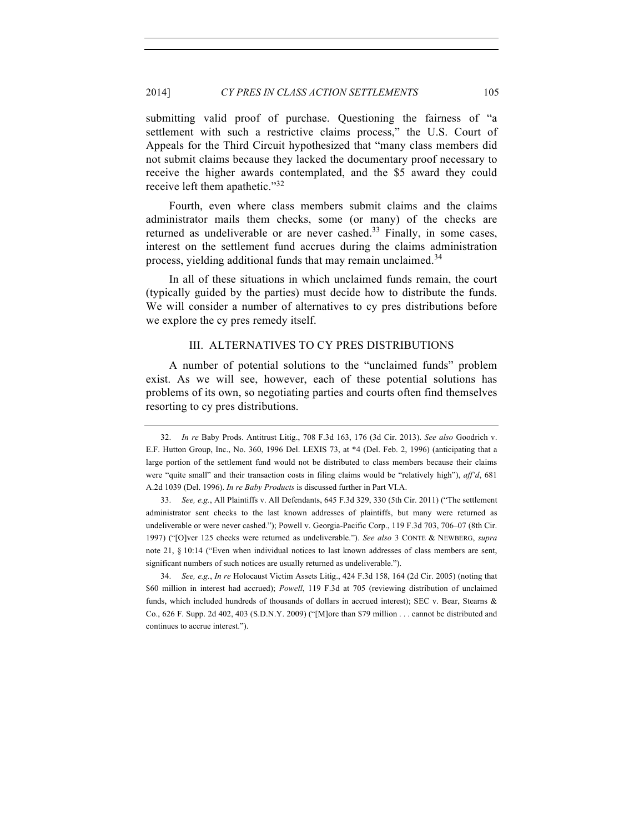submitting valid proof of purchase. Questioning the fairness of "a settlement with such a restrictive claims process," the U.S. Court of Appeals for the Third Circuit hypothesized that "many class members did not submit claims because they lacked the documentary proof necessary to receive the higher awards contemplated, and the \$5 award they could receive left them apathetic."<sup>32</sup>

Fourth, even where class members submit claims and the claims administrator mails them checks, some (or many) of the checks are returned as undeliverable or are never cashed.<sup>33</sup> Finally, in some cases, interest on the settlement fund accrues during the claims administration process, yielding additional funds that may remain unclaimed.<sup>34</sup>

In all of these situations in which unclaimed funds remain, the court (typically guided by the parties) must decide how to distribute the funds. We will consider a number of alternatives to cy pres distributions before we explore the cy pres remedy itself.

#### III. ALTERNATIVES TO CY PRES DISTRIBUTIONS

A number of potential solutions to the "unclaimed funds" problem exist. As we will see, however, each of these potential solutions has problems of its own, so negotiating parties and courts often find themselves resorting to cy pres distributions.

34. *See, e.g.*, *In re* Holocaust Victim Assets Litig., 424 F.3d 158, 164 (2d Cir. 2005) (noting that \$60 million in interest had accrued); *Powell*, 119 F.3d at 705 (reviewing distribution of unclaimed funds, which included hundreds of thousands of dollars in accrued interest); SEC v. Bear, Stearns & Co., 626 F. Supp. 2d 402, 403 (S.D.N.Y. 2009) ("[M]ore than \$79 million . . . cannot be distributed and continues to accrue interest.").

<sup>32.</sup> *In re* Baby Prods. Antitrust Litig., 708 F.3d 163, 176 (3d Cir. 2013). *See also* Goodrich v. E.F. Hutton Group, Inc., No. 360, 1996 Del. LEXIS 73, at \*4 (Del. Feb. 2, 1996) (anticipating that a large portion of the settlement fund would not be distributed to class members because their claims were "quite small" and their transaction costs in filing claims would be "relatively high"), *aff'd*, 681 A.2d 1039 (Del. 1996). *In re Baby Products* is discussed further in Part VI.A.

<sup>33.</sup> *See, e.g.*, All Plaintiffs v. All Defendants, 645 F.3d 329, 330 (5th Cir. 2011) ("The settlement administrator sent checks to the last known addresses of plaintiffs, but many were returned as undeliverable or were never cashed."); Powell v. Georgia-Pacific Corp., 119 F.3d 703, 706–07 (8th Cir. 1997) ("[O]ver 125 checks were returned as undeliverable."). *See also* 3 CONTE & NEWBERG, *supra* note 21, § 10:14 ("Even when individual notices to last known addresses of class members are sent, significant numbers of such notices are usually returned as undeliverable.").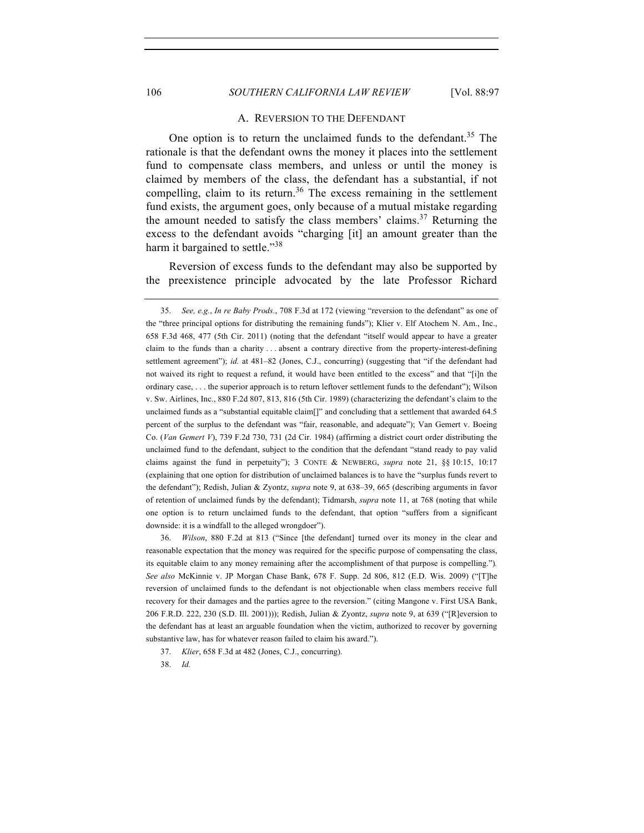#### 106 *SOUTHERN CALIFORNIA LAW REVIEW* [Vol. 88:97

#### A. REVERSION TO THE DEFENDANT

One option is to return the unclaimed funds to the defendant.<sup>35</sup> The rationale is that the defendant owns the money it places into the settlement fund to compensate class members, and unless or until the money is claimed by members of the class, the defendant has a substantial, if not compelling, claim to its return.<sup>36</sup> The excess remaining in the settlement fund exists, the argument goes, only because of a mutual mistake regarding the amount needed to satisfy the class members' claims.<sup>37</sup> Returning the excess to the defendant avoids "charging [it] an amount greater than the harm it bargained to settle."<sup>38</sup>

Reversion of excess funds to the defendant may also be supported by the preexistence principle advocated by the late Professor Richard

36. *Wilson*, 880 F.2d at 813 ("Since [the defendant] turned over its money in the clear and reasonable expectation that the money was required for the specific purpose of compensating the class, its equitable claim to any money remaining after the accomplishment of that purpose is compelling.")*. See also* McKinnie v. JP Morgan Chase Bank, 678 F. Supp. 2d 806, 812 (E.D. Wis. 2009) ("[T]he reversion of unclaimed funds to the defendant is not objectionable when class members receive full recovery for their damages and the parties agree to the reversion." (citing Mangone v. First USA Bank, 206 F.R.D. 222, 230 (S.D. Ill. 2001))); Redish, Julian & Zyontz, *supra* note 9, at 639 ("[R]eversion to the defendant has at least an arguable foundation when the victim, authorized to recover by governing substantive law, has for whatever reason failed to claim his award.").

38. *Id.*

<sup>35.</sup> *See, e.g.*, *In re Baby Prods.*, 708 F.3d at 172 (viewing "reversion to the defendant" as one of the "three principal options for distributing the remaining funds"); Klier v. Elf Atochem N. Am., Inc., 658 F.3d 468, 477 (5th Cir. 2011) (noting that the defendant "itself would appear to have a greater claim to the funds than a charity . . . absent a contrary directive from the property-interest-defining settlement agreement"); *id.* at 481–82 (Jones, C.J., concurring) (suggesting that "if the defendant had not waived its right to request a refund, it would have been entitled to the excess" and that "[i]n the ordinary case, . . . the superior approach is to return leftover settlement funds to the defendant"); Wilson v. Sw. Airlines, Inc., 880 F.2d 807, 813, 816 (5th Cir. 1989) (characterizing the defendant's claim to the unclaimed funds as a "substantial equitable claim[]" and concluding that a settlement that awarded 64.5 percent of the surplus to the defendant was "fair, reasonable, and adequate"); Van Gemert v. Boeing Co. (*Van Gemert V*), 739 F.2d 730, 731 (2d Cir. 1984) (affirming a district court order distributing the unclaimed fund to the defendant, subject to the condition that the defendant "stand ready to pay valid claims against the fund in perpetuity"); 3 CONTE & NEWBERG, *supra* note 21, §§ 10:15, 10:17 (explaining that one option for distribution of unclaimed balances is to have the "surplus funds revert to the defendant"); Redish, Julian & Zyontz, *supra* note 9, at 638–39, 665 (describing arguments in favor of retention of unclaimed funds by the defendant); Tidmarsh, *supra* note 11, at 768 (noting that while one option is to return unclaimed funds to the defendant, that option "suffers from a significant downside: it is a windfall to the alleged wrongdoer").

<sup>37.</sup> *Klier*, 658 F.3d at 482 (Jones, C.J., concurring).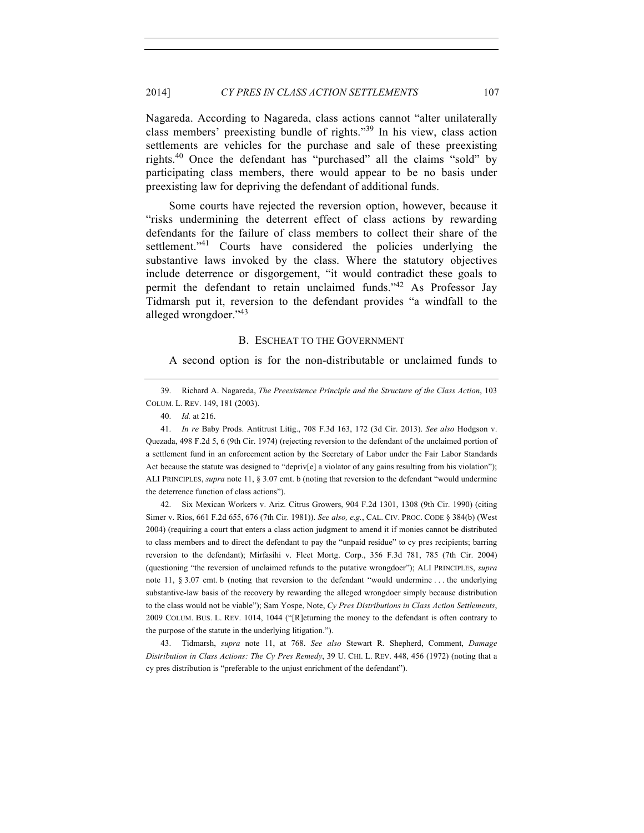Nagareda. According to Nagareda, class actions cannot "alter unilaterally class members' preexisting bundle of rights."<sup>39</sup> In his view, class action settlements are vehicles for the purchase and sale of these preexisting rights.<sup>40</sup> Once the defendant has "purchased" all the claims "sold" by participating class members, there would appear to be no basis under preexisting law for depriving the defendant of additional funds.

Some courts have rejected the reversion option, however, because it "risks undermining the deterrent effect of class actions by rewarding defendants for the failure of class members to collect their share of the settlement."<sup>41</sup> Courts have considered the policies underlying the substantive laws invoked by the class. Where the statutory objectives include deterrence or disgorgement, "it would contradict these goals to permit the defendant to retain unclaimed funds."42 As Professor Jay Tidmarsh put it, reversion to the defendant provides "a windfall to the alleged wrongdoer."<sup>43</sup>

#### B. ESCHEAT TO THE GOVERNMENT

A second option is for the non-distributable or unclaimed funds to

41. *In re* Baby Prods. Antitrust Litig., 708 F.3d 163, 172 (3d Cir. 2013). *See also* Hodgson v. Quezada, 498 F.2d 5, 6 (9th Cir. 1974) (rejecting reversion to the defendant of the unclaimed portion of a settlement fund in an enforcement action by the Secretary of Labor under the Fair Labor Standards Act because the statute was designed to "depriv[e] a violator of any gains resulting from his violation"); ALI PRINCIPLES, *supra* note 11, § 3.07 cmt. b (noting that reversion to the defendant "would undermine the deterrence function of class actions").

42. Six Mexican Workers v. Ariz. Citrus Growers, 904 F.2d 1301, 1308 (9th Cir. 1990) (citing Simer v. Rios, 661 F.2d 655, 676 (7th Cir. 1981)). *See also, e.g.*, CAL. CIV. PROC. CODE § 384(b) (West 2004) (requiring a court that enters a class action judgment to amend it if monies cannot be distributed to class members and to direct the defendant to pay the "unpaid residue" to cy pres recipients; barring reversion to the defendant); Mirfasihi v. Fleet Mortg. Corp., 356 F.3d 781, 785 (7th Cir. 2004) (questioning "the reversion of unclaimed refunds to the putative wrongdoer"); ALI PRINCIPLES, *supra* note 11, § 3.07 cmt. b (noting that reversion to the defendant "would undermine . . . the underlying substantive-law basis of the recovery by rewarding the alleged wrongdoer simply because distribution to the class would not be viable"); Sam Yospe, Note, *Cy Pres Distributions in Class Action Settlements*, 2009 COLUM. BUS. L. REV. 1014, 1044 ("[R]eturning the money to the defendant is often contrary to the purpose of the statute in the underlying litigation.").

43. Tidmarsh, *supra* note 11, at 768. *See also* Stewart R. Shepherd, Comment, *Damage Distribution in Class Actions: The Cy Pres Remedy*, 39 U. CHI. L. REV. 448, 456 (1972) (noting that a cy pres distribution is "preferable to the unjust enrichment of the defendant").

<sup>39.</sup> Richard A. Nagareda, *The Preexistence Principle and the Structure of the Class Action*, 103 COLUM. L. REV. 149, 181 (2003).

<sup>40.</sup> *Id.* at 216.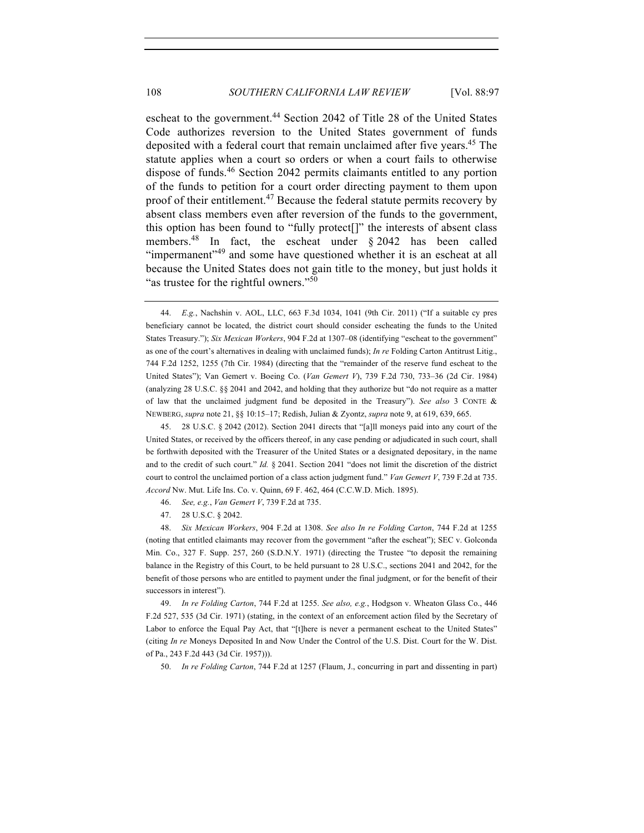escheat to the government.<sup>44</sup> Section 2042 of Title 28 of the United States Code authorizes reversion to the United States government of funds deposited with a federal court that remain unclaimed after five years.<sup>45</sup> The statute applies when a court so orders or when a court fails to otherwise dispose of funds.<sup>46</sup> Section 2042 permits claimants entitled to any portion of the funds to petition for a court order directing payment to them upon proof of their entitlement.<sup>47</sup> Because the federal statute permits recovery by absent class members even after reversion of the funds to the government, this option has been found to "fully protect[]" the interests of absent class members.<sup>48</sup> In fact, the escheat under  $\S 2042$  has been called "impermanent"<sup>49</sup> and some have questioned whether it is an escheat at all because the United States does not gain title to the money, but just holds it "as trustee for the rightful owners."<sup>50</sup>

45. 28 U.S.C. § 2042 (2012). Section 2041 directs that "[a]ll moneys paid into any court of the United States, or received by the officers thereof, in any case pending or adjudicated in such court, shall be forthwith deposited with the Treasurer of the United States or a designated depositary, in the name and to the credit of such court." *Id.* § 2041. Section 2041 "does not limit the discretion of the district court to control the unclaimed portion of a class action judgment fund." *Van Gemert V*, 739 F.2d at 735. *Accord* Nw. Mut. Life Ins. Co. v. Quinn, 69 F. 462, 464 (C.C.W.D. Mich. 1895).

46. *See, e.g.*, *Van Gemert V*, 739 F.2d at 735.

47. 28 U.S.C. § 2042.

48. *Six Mexican Workers*, 904 F.2d at 1308. *See also In re Folding Carton*, 744 F.2d at 1255 (noting that entitled claimants may recover from the government "after the escheat"); SEC v. Golconda Min. Co., 327 F. Supp. 257, 260 (S.D.N.Y. 1971) (directing the Trustee "to deposit the remaining balance in the Registry of this Court, to be held pursuant to 28 U.S.C., sections 2041 and 2042, for the benefit of those persons who are entitled to payment under the final judgment, or for the benefit of their successors in interest").

49. *In re Folding Carton*, 744 F.2d at 1255. *See also, e.g.*, Hodgson v. Wheaton Glass Co., 446 F.2d 527, 535 (3d Cir. 1971) (stating, in the context of an enforcement action filed by the Secretary of Labor to enforce the Equal Pay Act, that "[t]here is never a permanent escheat to the United States" (citing *In re* Moneys Deposited In and Now Under the Control of the U.S. Dist. Court for the W. Dist. of Pa., 243 F.2d 443 (3d Cir. 1957))).

50. *In re Folding Carton*, 744 F.2d at 1257 (Flaum, J., concurring in part and dissenting in part)

<sup>44.</sup> *E.g.*, Nachshin v. AOL, LLC, 663 F.3d 1034, 1041 (9th Cir. 2011) ("If a suitable cy pres beneficiary cannot be located, the district court should consider escheating the funds to the United States Treasury."); *Six Mexican Workers*, 904 F.2d at 1307–08 (identifying "escheat to the government" as one of the court's alternatives in dealing with unclaimed funds); *In re* Folding Carton Antitrust Litig., 744 F.2d 1252, 1255 (7th Cir. 1984) (directing that the "remainder of the reserve fund escheat to the United States"); Van Gemert v. Boeing Co. (*Van Gemert V*), 739 F.2d 730, 733–36 (2d Cir. 1984) (analyzing 28 U.S.C. §§ 2041 and 2042, and holding that they authorize but "do not require as a matter of law that the unclaimed judgment fund be deposited in the Treasury"). *See also* 3 CONTE & NEWBERG, *supra* note 21, §§ 10:15–17; Redish, Julian & Zyontz, *supra* note 9, at 619, 639, 665.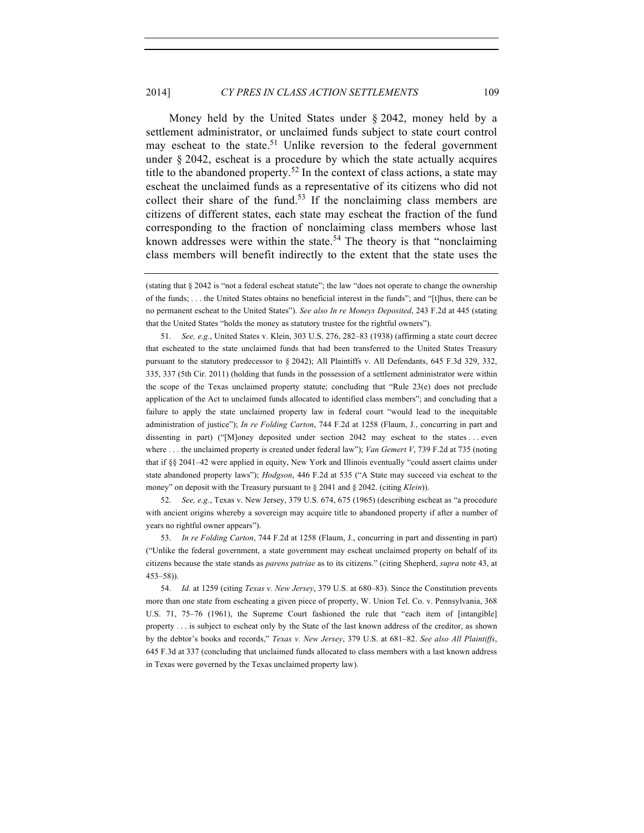Money held by the United States under § 2042, money held by a settlement administrator, or unclaimed funds subject to state court control may escheat to the state.<sup>51</sup> Unlike reversion to the federal government under § 2042, escheat is a procedure by which the state actually acquires title to the abandoned property.<sup>52</sup> In the context of class actions, a state may escheat the unclaimed funds as a representative of its citizens who did not collect their share of the fund.<sup>53</sup> If the nonclaiming class members are citizens of different states, each state may escheat the fraction of the fund corresponding to the fraction of nonclaiming class members whose last known addresses were within the state.<sup>54</sup> The theory is that "nonclaiming" class members will benefit indirectly to the extent that the state uses the

51. *See, e.g.*, United States v. Klein, 303 U.S. 276, 282–83 (1938) (affirming a state court decree that escheated to the state unclaimed funds that had been transferred to the United States Treasury pursuant to the statutory predecessor to § 2042); All Plaintiffs v. All Defendants, 645 F.3d 329, 332, 335, 337 (5th Cir. 2011) (holding that funds in the possession of a settlement administrator were within the scope of the Texas unclaimed property statute; concluding that "Rule 23(e) does not preclude application of the Act to unclaimed funds allocated to identified class members"; and concluding that a failure to apply the state unclaimed property law in federal court "would lead to the inequitable administration of justice"); *In re Folding Carton*, 744 F.2d at 1258 (Flaum, J., concurring in part and dissenting in part) ("[M]oney deposited under section 2042 may escheat to the states . . . even where . . . the unclaimed property is created under federal law"); *Van Gemert V*, 739 F.2d at 735 (noting that if §§ 2041–42 were applied in equity, New York and Illinois eventually "could assert claims under state abandoned property laws"); *Hodgson*, 446 F.2d at 535 ("A State may succeed via escheat to the money" on deposit with the Treasury pursuant to § 2041 and § 2042. (citing *Klein*)).

52. *See, e.g.*, Texas v. New Jersey, 379 U.S. 674, 675 (1965) (describing escheat as "a procedure with ancient origins whereby a sovereign may acquire title to abandoned property if after a number of years no rightful owner appears").

53. *In re Folding Carton*, 744 F.2d at 1258 (Flaum, J., concurring in part and dissenting in part) ("Unlike the federal government, a state government may escheat unclaimed property on behalf of its citizens because the state stands as *parens patriae* as to its citizens." (citing Shepherd, *supra* note 43, at 453–58)).

54. *Id.* at 1259 (citing *Texas v. New Jersey*, 379 U.S. at 680–83). Since the Constitution prevents more than one state from escheating a given piece of property, W. Union Tel. Co. v. Pennsylvania, 368 U.S. 71, 75–76 (1961), the Supreme Court fashioned the rule that "each item of [intangible] property . . . is subject to escheat only by the State of the last known address of the creditor, as shown by the debtor's books and records," *Texas v. New Jersey*, 379 U.S. at 681–82. *See also All Plaintiffs*, 645 F.3d at 337 (concluding that unclaimed funds allocated to class members with a last known address in Texas were governed by the Texas unclaimed property law).

<sup>(</sup>stating that § 2042 is "not a federal escheat statute"; the law "does not operate to change the ownership of the funds; . . . the United States obtains no beneficial interest in the funds"; and "[t]hus, there can be no permanent escheat to the United States"). *See also In re Moneys Deposited*, 243 F.2d at 445 (stating that the United States "holds the money as statutory trustee for the rightful owners").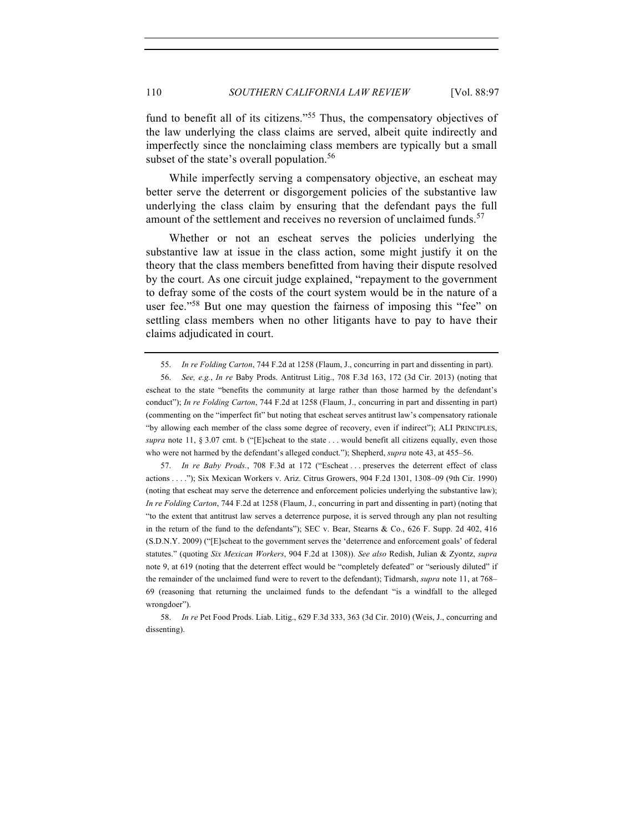fund to benefit all of its citizens."<sup>55</sup> Thus, the compensatory objectives of the law underlying the class claims are served, albeit quite indirectly and imperfectly since the nonclaiming class members are typically but a small subset of the state's overall population.<sup>56</sup>

While imperfectly serving a compensatory objective, an escheat may better serve the deterrent or disgorgement policies of the substantive law underlying the class claim by ensuring that the defendant pays the full amount of the settlement and receives no reversion of unclaimed funds.<sup>57</sup>

Whether or not an escheat serves the policies underlying the substantive law at issue in the class action, some might justify it on the theory that the class members benefitted from having their dispute resolved by the court. As one circuit judge explained, "repayment to the government to defray some of the costs of the court system would be in the nature of a user fee."<sup>58</sup> But one may question the fairness of imposing this "fee" on settling class members when no other litigants have to pay to have their claims adjudicated in court.

57. *In re Baby Prods.*, 708 F.3d at 172 ("Escheat . . . preserves the deterrent effect of class actions . . . ."); Six Mexican Workers v. Ariz. Citrus Growers, 904 F.2d 1301, 1308–09 (9th Cir. 1990) (noting that escheat may serve the deterrence and enforcement policies underlying the substantive law); *In re Folding Carton*, 744 F.2d at 1258 (Flaum, J., concurring in part and dissenting in part) (noting that "to the extent that antitrust law serves a deterrence purpose, it is served through any plan not resulting in the return of the fund to the defendants"); SEC v. Bear, Stearns & Co., 626 F. Supp. 2d 402, 416 (S.D.N.Y. 2009) ("[E]scheat to the government serves the 'deterrence and enforcement goals' of federal statutes." (quoting *Six Mexican Workers*, 904 F.2d at 1308)). *See also* Redish, Julian & Zyontz, *supra* note 9, at 619 (noting that the deterrent effect would be "completely defeated" or "seriously diluted" if the remainder of the unclaimed fund were to revert to the defendant); Tidmarsh, *supra* note 11, at 768– 69 (reasoning that returning the unclaimed funds to the defendant "is a windfall to the alleged wrongdoer").

<sup>55.</sup> *In re Folding Carton*, 744 F.2d at 1258 (Flaum, J., concurring in part and dissenting in part).

<sup>56.</sup> *See, e.g.*, *In re* Baby Prods. Antitrust Litig., 708 F.3d 163, 172 (3d Cir. 2013) (noting that escheat to the state "benefits the community at large rather than those harmed by the defendant's conduct"); *In re Folding Carton*, 744 F.2d at 1258 (Flaum, J., concurring in part and dissenting in part) (commenting on the "imperfect fit" but noting that escheat serves antitrust law's compensatory rationale "by allowing each member of the class some degree of recovery, even if indirect"); ALI PRINCIPLES, *supra* note 11, § 3.07 cmt. b ("[E]scheat to the state . . . would benefit all citizens equally, even those who were not harmed by the defendant's alleged conduct."); Shepherd, *supra* note 43, at 455–56.

<sup>58.</sup> *In re* Pet Food Prods. Liab. Litig., 629 F.3d 333, 363 (3d Cir. 2010) (Weis, J., concurring and dissenting).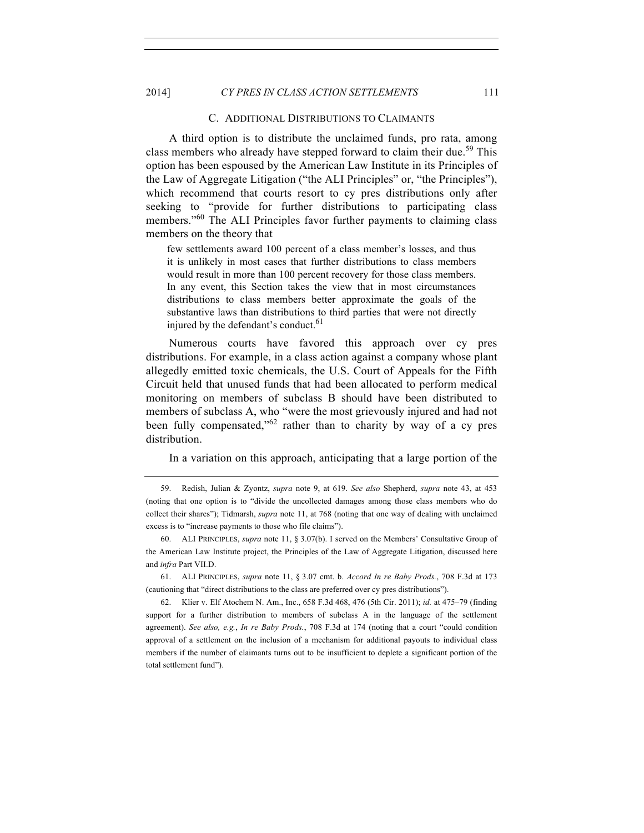#### C. ADDITIONAL DISTRIBUTIONS TO CLAIMANTS

A third option is to distribute the unclaimed funds, pro rata, among class members who already have stepped forward to claim their due.<sup>59</sup> This option has been espoused by the American Law Institute in its Principles of the Law of Aggregate Litigation ("the ALI Principles" or, "the Principles"), which recommend that courts resort to cy pres distributions only after seeking to "provide for further distributions to participating class members."<sup>60</sup> The ALI Principles favor further payments to claiming class members on the theory that

few settlements award 100 percent of a class member's losses, and thus it is unlikely in most cases that further distributions to class members would result in more than 100 percent recovery for those class members. In any event, this Section takes the view that in most circumstances distributions to class members better approximate the goals of the substantive laws than distributions to third parties that were not directly injured by the defendant's conduct.<sup>61</sup>

Numerous courts have favored this approach over cy pres distributions. For example, in a class action against a company whose plant allegedly emitted toxic chemicals, the U.S. Court of Appeals for the Fifth Circuit held that unused funds that had been allocated to perform medical monitoring on members of subclass B should have been distributed to members of subclass A, who "were the most grievously injured and had not been fully compensated,<sup>62</sup> rather than to charity by way of a cy pres distribution.

In a variation on this approach, anticipating that a large portion of the

61. ALI PRINCIPLES, *supra* note 11, § 3.07 cmt. b. *Accord In re Baby Prods.*, 708 F.3d at 173 (cautioning that "direct distributions to the class are preferred over cy pres distributions").

62. Klier v. Elf Atochem N. Am., Inc., 658 F.3d 468, 476 (5th Cir. 2011); *id.* at 475–79 (finding support for a further distribution to members of subclass A in the language of the settlement agreement). *See also, e.g.*, *In re Baby Prods.*, 708 F.3d at 174 (noting that a court "could condition approval of a settlement on the inclusion of a mechanism for additional payouts to individual class members if the number of claimants turns out to be insufficient to deplete a significant portion of the total settlement fund").

<sup>59.</sup> Redish, Julian & Zyontz, *supra* note 9, at 619. *See also* Shepherd, *supra* note 43, at 453 (noting that one option is to "divide the uncollected damages among those class members who do collect their shares"); Tidmarsh, *supra* note 11, at 768 (noting that one way of dealing with unclaimed excess is to "increase payments to those who file claims").

<sup>60.</sup> ALI PRINCIPLES, *supra* note 11, § 3.07(b). I served on the Members' Consultative Group of the American Law Institute project, the Principles of the Law of Aggregate Litigation, discussed here and *infra* Part VII.D.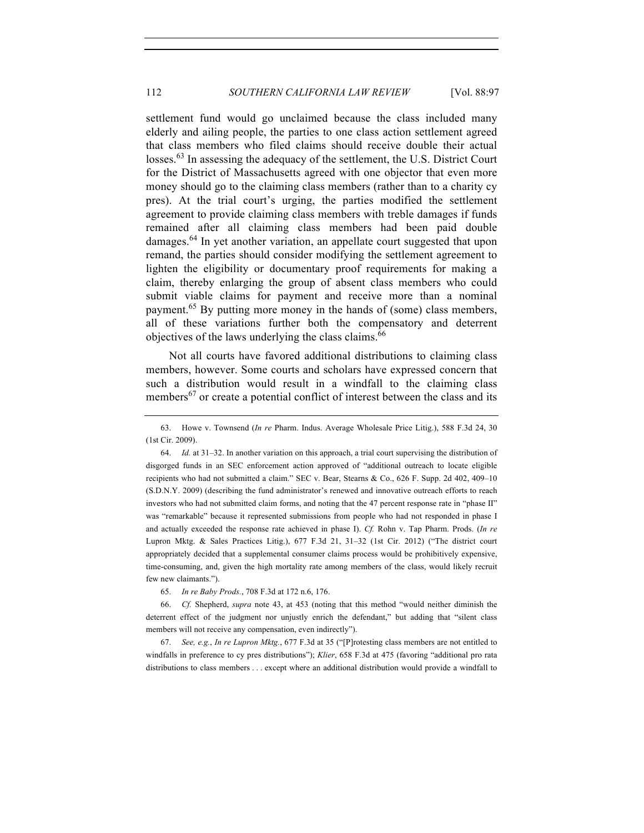settlement fund would go unclaimed because the class included many elderly and ailing people, the parties to one class action settlement agreed that class members who filed claims should receive double their actual losses.<sup>63</sup> In assessing the adequacy of the settlement, the U.S. District Court for the District of Massachusetts agreed with one objector that even more money should go to the claiming class members (rather than to a charity cy pres). At the trial court's urging, the parties modified the settlement agreement to provide claiming class members with treble damages if funds remained after all claiming class members had been paid double damages.<sup>64</sup> In yet another variation, an appellate court suggested that upon remand, the parties should consider modifying the settlement agreement to lighten the eligibility or documentary proof requirements for making a claim, thereby enlarging the group of absent class members who could submit viable claims for payment and receive more than a nominal payment.<sup>65</sup> By putting more money in the hands of (some) class members, all of these variations further both the compensatory and deterrent objectives of the laws underlying the class claims.<sup>66</sup>

Not all courts have favored additional distributions to claiming class members, however. Some courts and scholars have expressed concern that such a distribution would result in a windfall to the claiming class members<sup>67</sup> or create a potential conflict of interest between the class and its

67. *See, e.g.*, *In re Lupron Mktg.*, 677 F.3d at 35 ("[P]rotesting class members are not entitled to windfalls in preference to cy pres distributions"); *Klier*, 658 F.3d at 475 (favoring "additional pro rata distributions to class members . . . except where an additional distribution would provide a windfall to

<sup>63.</sup> Howe v. Townsend (*In re* Pharm. Indus. Average Wholesale Price Litig.), 588 F.3d 24, 30 (1st Cir. 2009).

<sup>64.</sup> *Id.* at 31–32. In another variation on this approach, a trial court supervising the distribution of disgorged funds in an SEC enforcement action approved of "additional outreach to locate eligible recipients who had not submitted a claim." SEC v. Bear, Stearns & Co., 626 F. Supp. 2d 402, 409–10 (S.D.N.Y. 2009) (describing the fund administrator's renewed and innovative outreach efforts to reach investors who had not submitted claim forms, and noting that the 47 percent response rate in "phase II" was "remarkable" because it represented submissions from people who had not responded in phase I and actually exceeded the response rate achieved in phase I). *Cf.* Rohn v. Tap Pharm. Prods. (*In re* Lupron Mktg. & Sales Practices Litig.), 677 F.3d 21, 31–32 (1st Cir. 2012) ("The district court appropriately decided that a supplemental consumer claims process would be prohibitively expensive, time-consuming, and, given the high mortality rate among members of the class, would likely recruit few new claimants.").

<sup>65.</sup> *In re Baby Prods.*, 708 F.3d at 172 n.6, 176.

<sup>66.</sup> *Cf.* Shepherd, *supra* note 43, at 453 (noting that this method "would neither diminish the deterrent effect of the judgment nor unjustly enrich the defendant," but adding that "silent class members will not receive any compensation, even indirectly").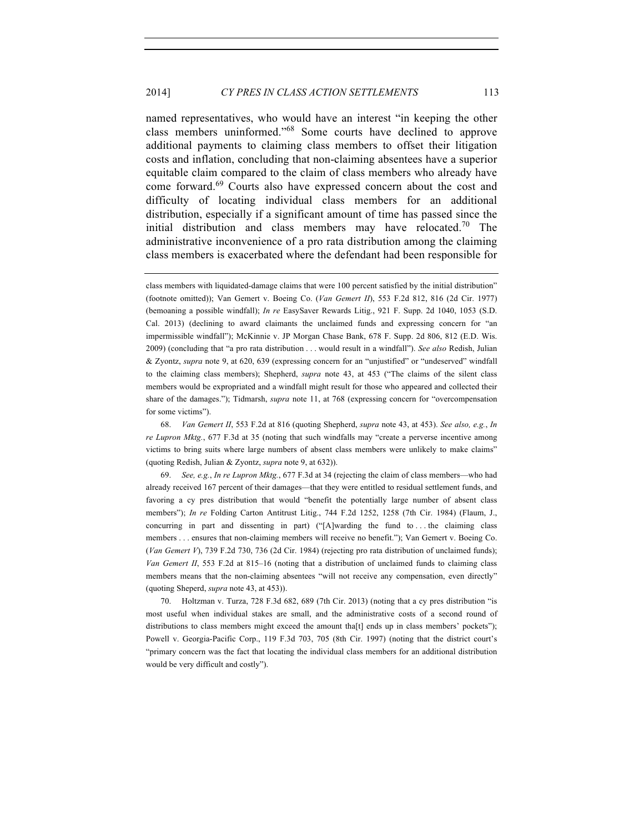named representatives, who would have an interest "in keeping the other class members uninformed."<sup>68</sup> Some courts have declined to approve additional payments to claiming class members to offset their litigation costs and inflation, concluding that non-claiming absentees have a superior equitable claim compared to the claim of class members who already have come forward.<sup>69</sup> Courts also have expressed concern about the cost and difficulty of locating individual class members for an additional distribution, especially if a significant amount of time has passed since the initial distribution and class members may have relocated.<sup>70</sup> The administrative inconvenience of a pro rata distribution among the claiming class members is exacerbated where the defendant had been responsible for

class members with liquidated-damage claims that were 100 percent satisfied by the initial distribution" (footnote omitted)); Van Gemert v. Boeing Co. (*Van Gemert II*), 553 F.2d 812, 816 (2d Cir. 1977) (bemoaning a possible windfall); *In re* EasySaver Rewards Litig., 921 F. Supp. 2d 1040, 1053 (S.D. Cal. 2013) (declining to award claimants the unclaimed funds and expressing concern for "an impermissible windfall"); McKinnie v. JP Morgan Chase Bank, 678 F. Supp. 2d 806, 812 (E.D. Wis. 2009) (concluding that "a pro rata distribution . . . would result in a windfall"). *See also* Redish, Julian & Zyontz, *supra* note 9, at 620, 639 (expressing concern for an "unjustified" or "undeserved" windfall to the claiming class members); Shepherd, *supra* note 43, at 453 ("The claims of the silent class members would be expropriated and a windfall might result for those who appeared and collected their share of the damages."); Tidmarsh, *supra* note 11, at 768 (expressing concern for "overcompensation for some victims").

68. *Van Gemert II*, 553 F.2d at 816 (quoting Shepherd, *supra* note 43, at 453). *See also, e.g.*, *In re Lupron Mktg.*, 677 F.3d at 35 (noting that such windfalls may "create a perverse incentive among victims to bring suits where large numbers of absent class members were unlikely to make claims" (quoting Redish, Julian & Zyontz, *supra* note 9, at 632)).

69. *See, e.g.*, *In re Lupron Mktg.*, 677 F.3d at 34 (rejecting the claim of class members—who had already received 167 percent of their damages—that they were entitled to residual settlement funds, and favoring a cy pres distribution that would "benefit the potentially large number of absent class members"); *In re* Folding Carton Antitrust Litig., 744 F.2d 1252, 1258 (7th Cir. 1984) (Flaum, J., concurring in part and dissenting in part) ("[A]warding the fund to . . . the claiming class members . . . ensures that non-claiming members will receive no benefit."); Van Gemert v. Boeing Co. (*Van Gemert V*), 739 F.2d 730, 736 (2d Cir. 1984) (rejecting pro rata distribution of unclaimed funds); *Van Gemert II*, 553 F.2d at 815–16 (noting that a distribution of unclaimed funds to claiming class members means that the non-claiming absentees "will not receive any compensation, even directly" (quoting Sheperd, *supra* note 43, at 453)).

70. Holtzman v. Turza, 728 F.3d 682, 689 (7th Cir. 2013) (noting that a cy pres distribution "is most useful when individual stakes are small, and the administrative costs of a second round of distributions to class members might exceed the amount tha<sup>[t]</sup> ends up in class members' pockets"); Powell v. Georgia-Pacific Corp., 119 F.3d 703, 705 (8th Cir. 1997) (noting that the district court's "primary concern was the fact that locating the individual class members for an additional distribution would be very difficult and costly").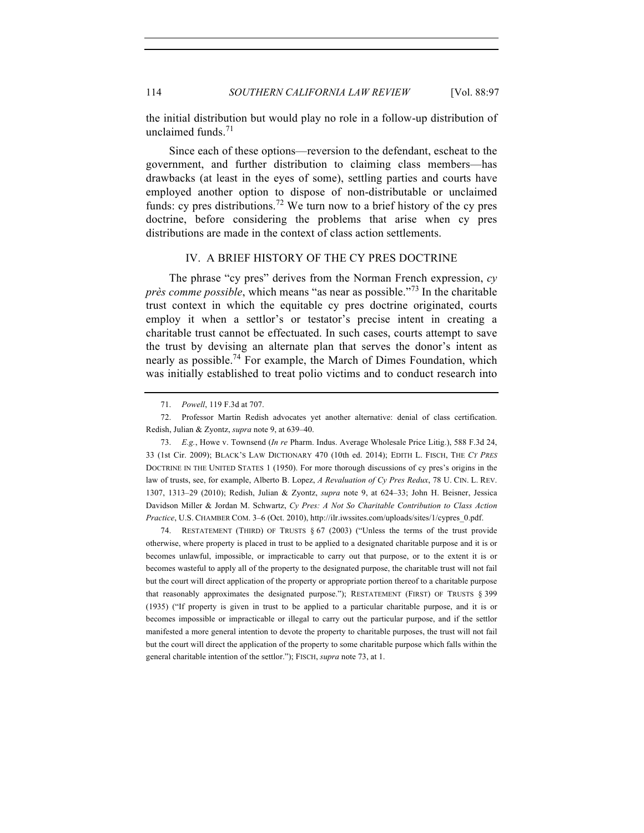## 114 *SOUTHERN CALIFORNIA LAW REVIEW* [Vol. 88:97

the initial distribution but would play no role in a follow-up distribution of unclaimed funds. $71$ 

Since each of these options—reversion to the defendant, escheat to the government, and further distribution to claiming class members—has drawbacks (at least in the eyes of some), settling parties and courts have employed another option to dispose of non-distributable or unclaimed funds: cy pres distributions.<sup>72</sup> We turn now to a brief history of the cy pres doctrine, before considering the problems that arise when cy pres distributions are made in the context of class action settlements.

#### IV. A BRIEF HISTORY OF THE CY PRES DOCTRINE

The phrase "cy pres" derives from the Norman French expression, *cy près comme possible*, which means "as near as possible."<sup>73</sup> In the charitable trust context in which the equitable cy pres doctrine originated, courts employ it when a settlor's or testator's precise intent in creating a charitable trust cannot be effectuated. In such cases, courts attempt to save the trust by devising an alternate plan that serves the donor's intent as nearly as possible.<sup>74</sup> For example, the March of Dimes Foundation, which was initially established to treat polio victims and to conduct research into

73. *E.g.*, Howe v. Townsend (*In re* Pharm. Indus. Average Wholesale Price Litig.), 588 F.3d 24, 33 (1st Cir. 2009); BLACK'S LAW DICTIONARY 470 (10th ed. 2014); EDITH L. FISCH, THE *CY PRES* DOCTRINE IN THE UNITED STATES 1 (1950). For more thorough discussions of cy pres's origins in the law of trusts, see, for example, Alberto B. Lopez, *A Revaluation of Cy Pres Redux*, 78 U. CIN. L. REV. 1307, 1313–29 (2010); Redish, Julian & Zyontz, *supra* note 9, at 624–33; John H. Beisner, Jessica Davidson Miller & Jordan M. Schwartz, *Cy Pres: A Not So Charitable Contribution to Class Action Practice*, U.S. CHAMBER COM. 3–6 (Oct. 2010), http://ilr.iwssites.com/uploads/sites/1/cypres\_0.pdf.

74. RESTATEMENT (THIRD) OF TRUSTS § 67 (2003) ("Unless the terms of the trust provide otherwise, where property is placed in trust to be applied to a designated charitable purpose and it is or becomes unlawful, impossible, or impracticable to carry out that purpose, or to the extent it is or becomes wasteful to apply all of the property to the designated purpose, the charitable trust will not fail but the court will direct application of the property or appropriate portion thereof to a charitable purpose that reasonably approximates the designated purpose."); RESTATEMENT (FIRST) OF TRUSTS § 399 (1935) ("If property is given in trust to be applied to a particular charitable purpose, and it is or becomes impossible or impracticable or illegal to carry out the particular purpose, and if the settlor manifested a more general intention to devote the property to charitable purposes, the trust will not fail but the court will direct the application of the property to some charitable purpose which falls within the general charitable intention of the settlor."); FISCH, *supra* note 73, at 1.

<sup>71.</sup> *Powell*, 119 F.3d at 707.

<sup>72.</sup> Professor Martin Redish advocates yet another alternative: denial of class certification. Redish, Julian & Zyontz, *supra* note 9, at 639–40.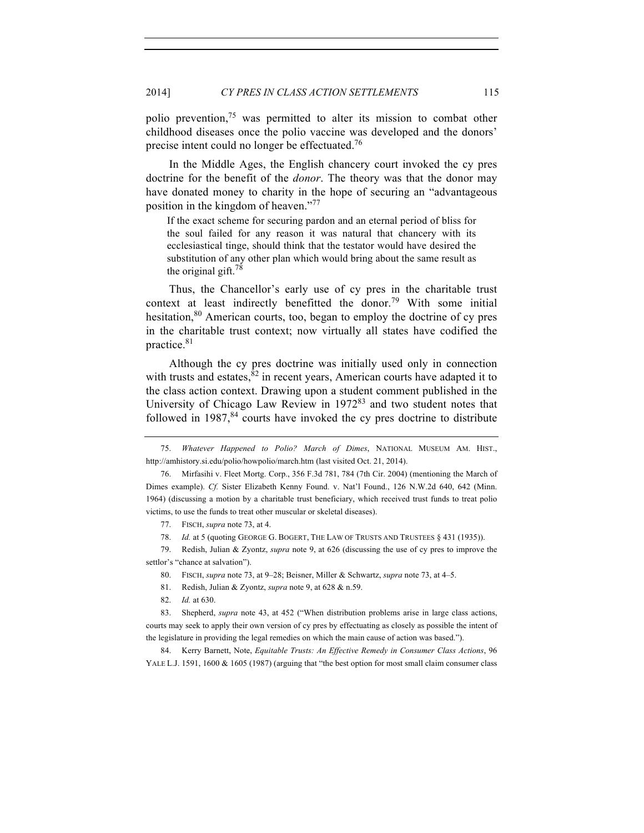polio prevention,<sup>75</sup> was permitted to alter its mission to combat other childhood diseases once the polio vaccine was developed and the donors' precise intent could no longer be effectuated.<sup>76</sup>

In the Middle Ages, the English chancery court invoked the cy pres doctrine for the benefit of the *donor*. The theory was that the donor may have donated money to charity in the hope of securing an "advantageous position in the kingdom of heaven."77

If the exact scheme for securing pardon and an eternal period of bliss for the soul failed for any reason it was natural that chancery with its ecclesiastical tinge, should think that the testator would have desired the substitution of any other plan which would bring about the same result as the original gift. $78$ 

Thus, the Chancellor's early use of cy pres in the charitable trust context at least indirectly benefitted the donor.<sup>79</sup> With some initial hesitation,  $80$  American courts, too, began to employ the doctrine of cy pres in the charitable trust context; now virtually all states have codified the practice.81

Although the cy pres doctrine was initially used only in connection with trusts and estates,  $82$  in recent years, American courts have adapted it to the class action context. Drawing upon a student comment published in the University of Chicago Law Review in  $1972^{83}$  and two student notes that followed in  $1987$ ,  $84$  courts have invoked the cy pres doctrine to distribute

77. FISCH, *supra* note 73, at 4.

78. *Id.* at 5 (quoting GEORGE G. BOGERT, THE LAW OF TRUSTS AND TRUSTEES § 431 (1935)).

79. Redish, Julian & Zyontz, *supra* note 9, at 626 (discussing the use of cy pres to improve the settlor's "chance at salvation").

80. FISCH, *supra* note 73, at 9–28; Beisner, Miller & Schwartz, *supra* note 73, at 4–5.

81. Redish, Julian & Zyontz, *supra* note 9, at 628 & n.59.

82. *Id.* at 630.

83. Shepherd, *supra* note 43, at 452 ("When distribution problems arise in large class actions, courts may seek to apply their own version of cy pres by effectuating as closely as possible the intent of the legislature in providing the legal remedies on which the main cause of action was based.").

84. Kerry Barnett, Note, *Equitable Trusts: An Effective Remedy in Consumer Class Actions*, 96 YALE L.J. 1591, 1600 & 1605 (1987) (arguing that "the best option for most small claim consumer class

<sup>75.</sup> *Whatever Happened to Polio? March of Dimes*, NATIONAL MUSEUM AM. HIST., http://amhistory.si.edu/polio/howpolio/march.htm (last visited Oct. 21, 2014).

<sup>76.</sup> Mirfasihi v. Fleet Mortg. Corp., 356 F.3d 781, 784 (7th Cir. 2004) (mentioning the March of Dimes example). *Cf.* Sister Elizabeth Kenny Found. v. Nat'l Found., 126 N.W.2d 640, 642 (Minn. 1964) (discussing a motion by a charitable trust beneficiary, which received trust funds to treat polio victims, to use the funds to treat other muscular or skeletal diseases).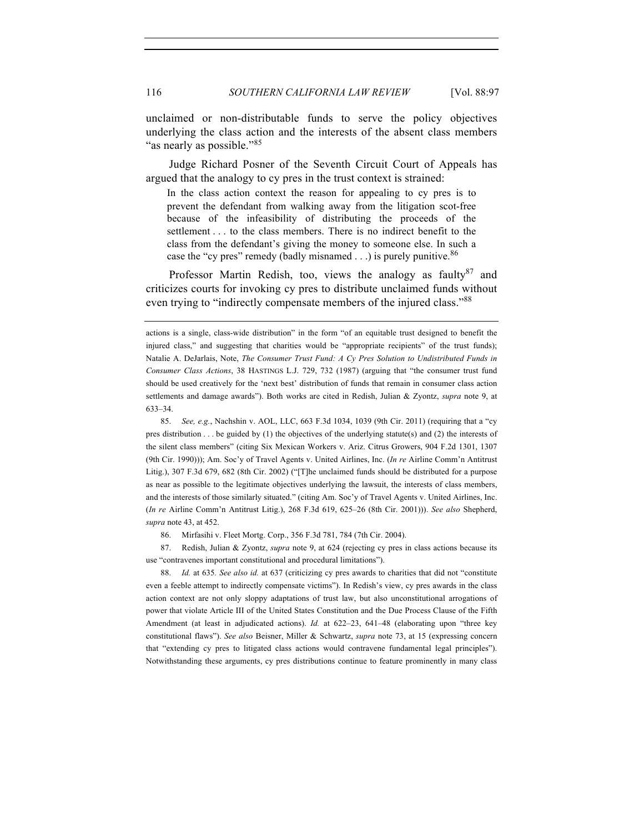unclaimed or non-distributable funds to serve the policy objectives underlying the class action and the interests of the absent class members

Judge Richard Posner of the Seventh Circuit Court of Appeals has argued that the analogy to cy pres in the trust context is strained:

In the class action context the reason for appealing to cy pres is to prevent the defendant from walking away from the litigation scot-free because of the infeasibility of distributing the proceeds of the settlement . . . to the class members. There is no indirect benefit to the class from the defendant's giving the money to someone else. In such a case the "cy pres" remedy (badly misnamed  $\ldots$ ) is purely punitive.<sup>86</sup>

Professor Martin Redish, too, views the analogy as faulty $87$  and criticizes courts for invoking cy pres to distribute unclaimed funds without even trying to "indirectly compensate members of the injured class."<sup>88</sup>

85. *See, e.g.*, Nachshin v. AOL, LLC, 663 F.3d 1034, 1039 (9th Cir. 2011) (requiring that a "cy pres distribution . . . be guided by (1) the objectives of the underlying statute(s) and (2) the interests of the silent class members" (citing Six Mexican Workers v. Ariz. Citrus Growers, 904 F.2d 1301, 1307 (9th Cir. 1990))); Am. Soc'y of Travel Agents v. United Airlines, Inc. (*In re* Airline Comm'n Antitrust Litig.), 307 F.3d 679, 682 (8th Cir. 2002) ("[T]he unclaimed funds should be distributed for a purpose as near as possible to the legitimate objectives underlying the lawsuit, the interests of class members, and the interests of those similarly situated." (citing Am. Soc'y of Travel Agents v. United Airlines, Inc. (*In re* Airline Comm'n Antitrust Litig.), 268 F.3d 619, 625–26 (8th Cir. 2001))). *See also* Shepherd, *supra* note 43, at 452.

86. Mirfasihi v. Fleet Mortg. Corp., 356 F.3d 781, 784 (7th Cir. 2004).

87. Redish, Julian & Zyontz, *supra* note 9, at 624 (rejecting cy pres in class actions because its use "contravenes important constitutional and procedural limitations").

88. *Id.* at 635*. See also id.* at 637 (criticizing cy pres awards to charities that did not "constitute even a feeble attempt to indirectly compensate victims"). In Redish's view, cy pres awards in the class action context are not only sloppy adaptations of trust law, but also unconstitutional arrogations of power that violate Article III of the United States Constitution and the Due Process Clause of the Fifth Amendment (at least in adjudicated actions). *Id.* at 622-23, 641-48 (elaborating upon "three key constitutional flaws"). *See also* Beisner, Miller & Schwartz, *supra* note 73, at 15 (expressing concern that "extending cy pres to litigated class actions would contravene fundamental legal principles"). Notwithstanding these arguments, cy pres distributions continue to feature prominently in many class

"as nearly as possible."<sup>85</sup>

actions is a single, class-wide distribution" in the form "of an equitable trust designed to benefit the injured class," and suggesting that charities would be "appropriate recipients" of the trust funds); Natalie A. DeJarlais, Note, *The Consumer Trust Fund: A Cy Pres Solution to Undistributed Funds in Consumer Class Actions*, 38 HASTINGS L.J. 729, 732 (1987) (arguing that "the consumer trust fund should be used creatively for the 'next best' distribution of funds that remain in consumer class action settlements and damage awards"). Both works are cited in Redish, Julian & Zyontz, *supra* note 9, at 633–34.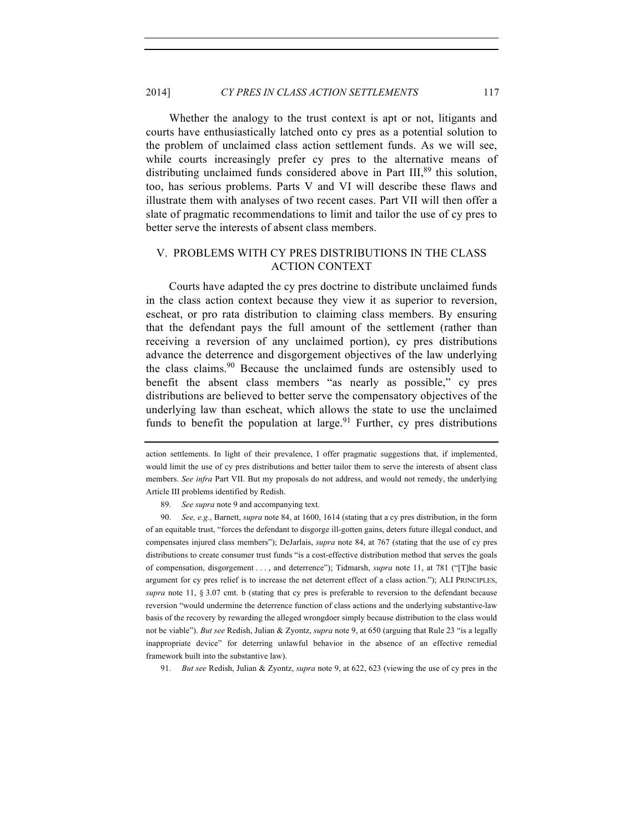Whether the analogy to the trust context is apt or not, litigants and courts have enthusiastically latched onto cy pres as a potential solution to the problem of unclaimed class action settlement funds. As we will see, while courts increasingly prefer cy pres to the alternative means of distributing unclaimed funds considered above in Part III,<sup>89</sup> this solution, too, has serious problems. Parts V and VI will describe these flaws and illustrate them with analyses of two recent cases. Part VII will then offer a slate of pragmatic recommendations to limit and tailor the use of cy pres to better serve the interests of absent class members.

# V. PROBLEMS WITH CY PRES DISTRIBUTIONS IN THE CLASS ACTION CONTEXT

Courts have adapted the cy pres doctrine to distribute unclaimed funds in the class action context because they view it as superior to reversion, escheat, or pro rata distribution to claiming class members. By ensuring that the defendant pays the full amount of the settlement (rather than receiving a reversion of any unclaimed portion), cy pres distributions advance the deterrence and disgorgement objectives of the law underlying the class claims.<sup>90</sup> Because the unclaimed funds are ostensibly used to benefit the absent class members "as nearly as possible," cy pres distributions are believed to better serve the compensatory objectives of the underlying law than escheat, which allows the state to use the unclaimed funds to benefit the population at large.<sup>91</sup> Further, cy pres distributions

89. *See supra* note 9 and accompanying text.

90. *See, e.g.*, Barnett, *supra* note 84, at 1600, 1614 (stating that a cy pres distribution, in the form of an equitable trust, "forces the defendant to disgorge ill-gotten gains, deters future illegal conduct, and compensates injured class members"); DeJarlais, *supra* note 84, at 767 (stating that the use of cy pres distributions to create consumer trust funds "is a cost-effective distribution method that serves the goals of compensation, disgorgement . . . , and deterrence"); Tidmarsh, *supra* note 11, at 781 ("[T]he basic argument for cy pres relief is to increase the net deterrent effect of a class action."); ALI PRINCIPLES, *supra* note 11, § 3.07 cmt. b (stating that cy pres is preferable to reversion to the defendant because reversion "would undermine the deterrence function of class actions and the underlying substantive-law basis of the recovery by rewarding the alleged wrongdoer simply because distribution to the class would not be viable"). *But see* Redish, Julian & Zyontz, *supra* note 9, at 650 (arguing that Rule 23 "is a legally inappropriate device" for deterring unlawful behavior in the absence of an effective remedial framework built into the substantive law).

91. *But see* Redish, Julian & Zyontz, *supra* note 9, at 622, 623 (viewing the use of cy pres in the

action settlements. In light of their prevalence, I offer pragmatic suggestions that, if implemented, would limit the use of cy pres distributions and better tailor them to serve the interests of absent class members. *See infra* Part VII. But my proposals do not address, and would not remedy, the underlying Article III problems identified by Redish.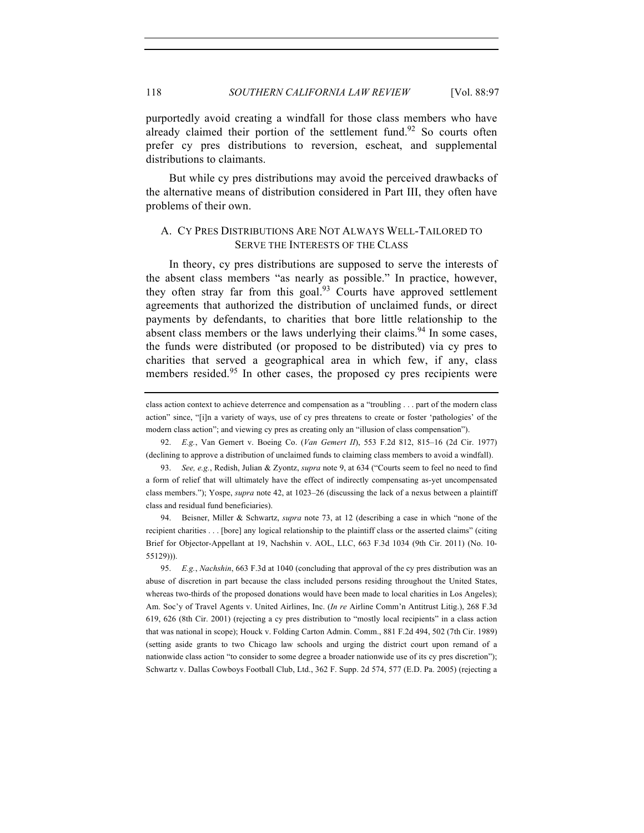purportedly avoid creating a windfall for those class members who have already claimed their portion of the settlement fund.<sup>92</sup> So courts often prefer cy pres distributions to reversion, escheat, and supplemental distributions to claimants.

But while cy pres distributions may avoid the perceived drawbacks of the alternative means of distribution considered in Part III, they often have problems of their own.

## A. CY PRES DISTRIBUTIONS ARE NOT ALWAYS WELL-TAILORED TO SERVE THE INTERESTS OF THE CLASS

In theory, cy pres distributions are supposed to serve the interests of the absent class members "as nearly as possible." In practice, however, they often stray far from this goal. $93$  Courts have approved settlement agreements that authorized the distribution of unclaimed funds, or direct payments by defendants, to charities that bore little relationship to the absent class members or the laws underlying their claims.<sup>94</sup> In some cases, the funds were distributed (or proposed to be distributed) via cy pres to charities that served a geographical area in which few, if any, class members resided.<sup>95</sup> In other cases, the proposed cy pres recipients were

92. *E.g.*, Van Gemert v. Boeing Co. (*Van Gemert II*), 553 F.2d 812, 815–16 (2d Cir. 1977) (declining to approve a distribution of unclaimed funds to claiming class members to avoid a windfall).

94. Beisner, Miller & Schwartz, *supra* note 73, at 12 (describing a case in which "none of the recipient charities . . . [bore] any logical relationship to the plaintiff class or the asserted claims" (citing Brief for Objector-Appellant at 19, Nachshin v. AOL, LLC, 663 F.3d 1034 (9th Cir. 2011) (No. 10- 55129))).

95. *E.g.*, *Nachshin*, 663 F.3d at 1040 (concluding that approval of the cy pres distribution was an abuse of discretion in part because the class included persons residing throughout the United States, whereas two-thirds of the proposed donations would have been made to local charities in Los Angeles); Am. Soc'y of Travel Agents v. United Airlines, Inc. (*In re* Airline Comm'n Antitrust Litig.), 268 F.3d 619, 626 (8th Cir. 2001) (rejecting a cy pres distribution to "mostly local recipients" in a class action that was national in scope); Houck v. Folding Carton Admin. Comm., 881 F.2d 494, 502 (7th Cir. 1989) (setting aside grants to two Chicago law schools and urging the district court upon remand of a nationwide class action "to consider to some degree a broader nationwide use of its cy pres discretion"); Schwartz v. Dallas Cowboys Football Club, Ltd., 362 F. Supp. 2d 574, 577 (E.D. Pa. 2005) (rejecting a

class action context to achieve deterrence and compensation as a "troubling . . . part of the modern class action" since, "[i]n a variety of ways, use of cy pres threatens to create or foster 'pathologies' of the modern class action"; and viewing cy pres as creating only an "illusion of class compensation").

<sup>93.</sup> *See, e.g.*, Redish, Julian & Zyontz, *supra* note 9, at 634 ("Courts seem to feel no need to find a form of relief that will ultimately have the effect of indirectly compensating as-yet uncompensated class members."); Yospe, *supra* note 42, at 1023–26 (discussing the lack of a nexus between a plaintiff class and residual fund beneficiaries).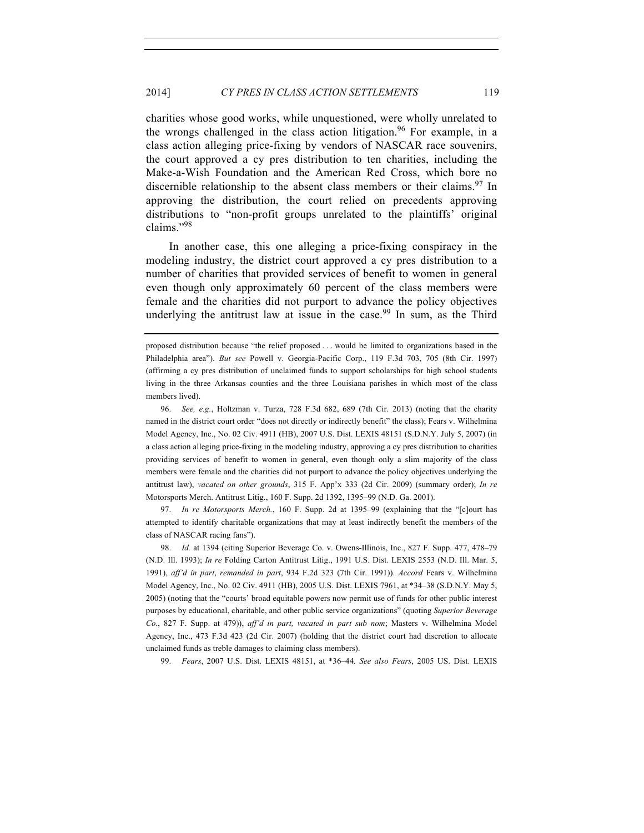charities whose good works, while unquestioned, were wholly unrelated to the wrongs challenged in the class action litigation. <sup>96</sup> For example, in a class action alleging price-fixing by vendors of NASCAR race souvenirs, the court approved a cy pres distribution to ten charities, including the Make-a-Wish Foundation and the American Red Cross, which bore no discernible relationship to the absent class members or their claims.  $97 \text{ In}$ approving the distribution, the court relied on precedents approving distributions to "non-profit groups unrelated to the plaintiffs' original claims."98

In another case, this one alleging a price-fixing conspiracy in the modeling industry, the district court approved a cy pres distribution to a number of charities that provided services of benefit to women in general even though only approximately 60 percent of the class members were female and the charities did not purport to advance the policy objectives underlying the antitrust law at issue in the case.<sup>99</sup> In sum, as the Third

96. *See, e.g.*, Holtzman v. Turza, 728 F.3d 682, 689 (7th Cir. 2013) (noting that the charity named in the district court order "does not directly or indirectly benefit" the class); Fears v. Wilhelmina Model Agency, Inc., No. 02 Civ. 4911 (HB), 2007 U.S. Dist. LEXIS 48151 (S.D.N.Y. July 5, 2007) (in a class action alleging price-fixing in the modeling industry, approving a cy pres distribution to charities providing services of benefit to women in general, even though only a slim majority of the class members were female and the charities did not purport to advance the policy objectives underlying the antitrust law), *vacated on other grounds*, 315 F. App'x 333 (2d Cir. 2009) (summary order); *In re* Motorsports Merch. Antitrust Litig., 160 F. Supp. 2d 1392, 1395–99 (N.D. Ga. 2001).

97. *In re Motorsports Merch.*, 160 F. Supp. 2d at 1395–99 (explaining that the "[c]ourt has attempted to identify charitable organizations that may at least indirectly benefit the members of the class of NASCAR racing fans").

98. *Id.* at 1394 (citing Superior Beverage Co. v. Owens-Illinois, Inc., 827 F. Supp. 477, 478–79 (N.D. Ill. 1993); *In re* Folding Carton Antitrust Litig., 1991 U.S. Dist. LEXIS 2553 (N.D. Ill. Mar. 5, 1991), *aff'd in part*, *remanded in part*, 934 F.2d 323 (7th Cir. 1991)). *Accord* Fears v. Wilhelmina Model Agency, Inc., No. 02 Civ. 4911 (HB), 2005 U.S. Dist. LEXIS 7961, at \*34–38 (S.D.N.Y. May 5, 2005) (noting that the "courts' broad equitable powers now permit use of funds for other public interest purposes by educational, charitable, and other public service organizations" (quoting *Superior Beverage Co.*, 827 F. Supp. at 479)), *aff'd in part, vacated in part sub nom*; Masters v. Wilhelmina Model Agency, Inc., 473 F.3d 423 (2d Cir. 2007) (holding that the district court had discretion to allocate unclaimed funds as treble damages to claiming class members).

99. *Fears*, 2007 U.S. Dist. LEXIS 48151, at \*36–44*. See also Fears*, 2005 US. Dist. LEXIS

proposed distribution because "the relief proposed . . . would be limited to organizations based in the Philadelphia area"). *But see* Powell v. Georgia-Pacific Corp., 119 F.3d 703, 705 (8th Cir. 1997) (affirming a cy pres distribution of unclaimed funds to support scholarships for high school students living in the three Arkansas counties and the three Louisiana parishes in which most of the class members lived).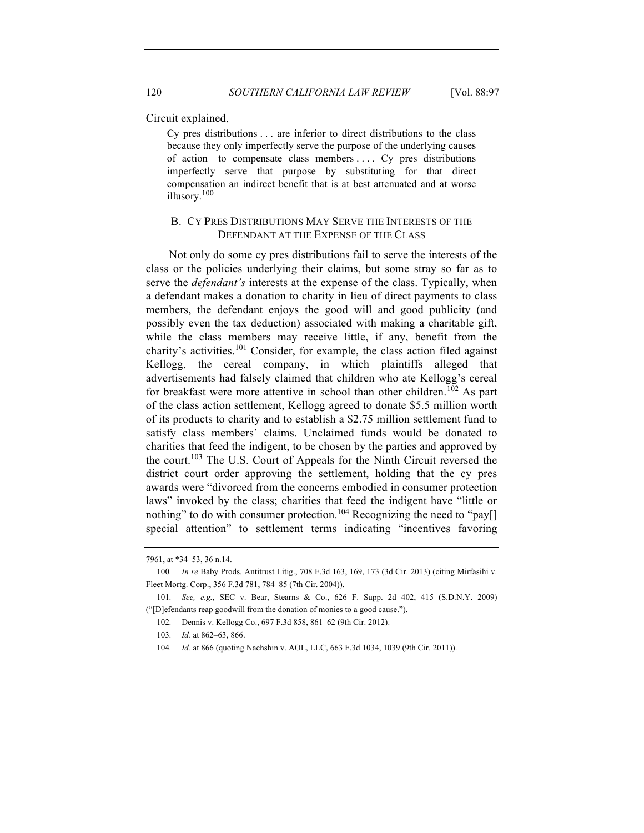Circuit explained,

Cy pres distributions . . . are inferior to direct distributions to the class because they only imperfectly serve the purpose of the underlying causes of action—to compensate class members . . . . Cy pres distributions imperfectly serve that purpose by substituting for that direct compensation an indirect benefit that is at best attenuated and at worse illusory.<sup>100</sup>

## B. CY PRES DISTRIBUTIONS MAY SERVE THE INTERESTS OF THE DEFENDANT AT THE EXPENSE OF THE CLASS

Not only do some cy pres distributions fail to serve the interests of the class or the policies underlying their claims, but some stray so far as to serve the *defendant's* interests at the expense of the class. Typically, when a defendant makes a donation to charity in lieu of direct payments to class members, the defendant enjoys the good will and good publicity (and possibly even the tax deduction) associated with making a charitable gift, while the class members may receive little, if any, benefit from the charity's activities.<sup>101</sup> Consider, for example, the class action filed against Kellogg, the cereal company, in which plaintiffs alleged that advertisements had falsely claimed that children who ate Kellogg's cereal for breakfast were more attentive in school than other children.<sup>102</sup> As part of the class action settlement, Kellogg agreed to donate \$5.5 million worth of its products to charity and to establish a \$2.75 million settlement fund to satisfy class members' claims. Unclaimed funds would be donated to charities that feed the indigent, to be chosen by the parties and approved by the court.<sup>103</sup> The U.S. Court of Appeals for the Ninth Circuit reversed the district court order approving the settlement, holding that the cy pres awards were "divorced from the concerns embodied in consumer protection laws" invoked by the class; charities that feed the indigent have "little or nothing" to do with consumer protection.<sup>104</sup> Recognizing the need to "pay[] special attention" to settlement terms indicating "incentives favoring

<sup>7961,</sup> at \*34–53, 36 n.14.

<sup>100.</sup> *In re* Baby Prods. Antitrust Litig., 708 F.3d 163, 169, 173 (3d Cir. 2013) (citing Mirfasihi v. Fleet Mortg. Corp., 356 F.3d 781, 784–85 (7th Cir. 2004)).

<sup>101.</sup> *See, e.g.*, SEC v. Bear, Stearns & Co., 626 F. Supp. 2d 402, 415 (S.D.N.Y. 2009) ("[D]efendants reap goodwill from the donation of monies to a good cause.").

<sup>102.</sup> Dennis v. Kellogg Co., 697 F.3d 858, 861–62 (9th Cir. 2012).

<sup>103.</sup> *Id.* at 862–63, 866.

<sup>104.</sup> *Id.* at 866 (quoting Nachshin v. AOL, LLC, 663 F.3d 1034, 1039 (9th Cir. 2011)).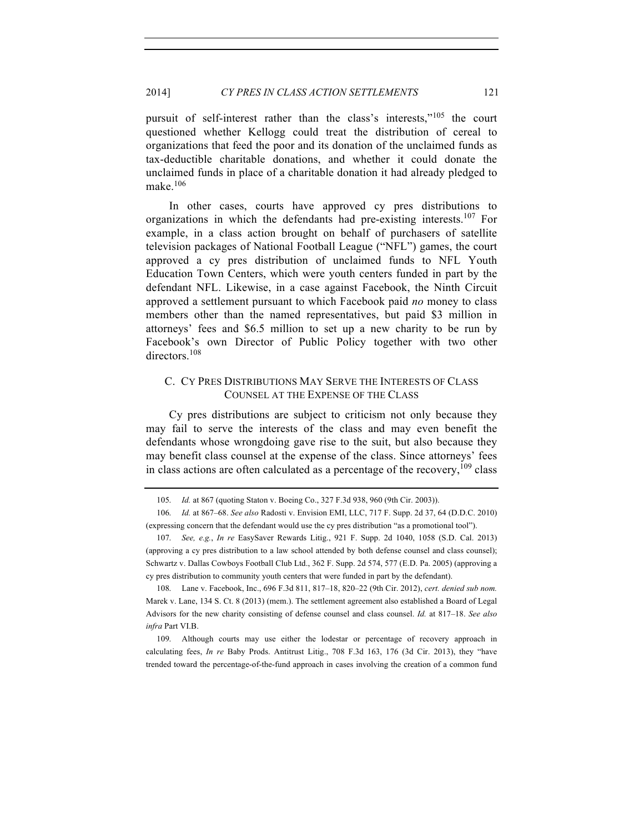pursuit of self-interest rather than the class's interests,"<sup>105</sup> the court questioned whether Kellogg could treat the distribution of cereal to organizations that feed the poor and its donation of the unclaimed funds as tax-deductible charitable donations, and whether it could donate the unclaimed funds in place of a charitable donation it had already pledged to make.<sup>106</sup>

In other cases, courts have approved cy pres distributions to organizations in which the defendants had pre-existing interests.107 For example, in a class action brought on behalf of purchasers of satellite television packages of National Football League ("NFL") games, the court approved a cy pres distribution of unclaimed funds to NFL Youth Education Town Centers, which were youth centers funded in part by the defendant NFL. Likewise, in a case against Facebook, the Ninth Circuit approved a settlement pursuant to which Facebook paid *no* money to class members other than the named representatives, but paid \$3 million in attorneys' fees and \$6.5 million to set up a new charity to be run by Facebook's own Director of Public Policy together with two other directors.<sup>108</sup>

## C. CY PRES DISTRIBUTIONS MAY SERVE THE INTERESTS OF CLASS COUNSEL AT THE EXPENSE OF THE CLASS

Cy pres distributions are subject to criticism not only because they may fail to serve the interests of the class and may even benefit the defendants whose wrongdoing gave rise to the suit, but also because they may benefit class counsel at the expense of the class. Since attorneys' fees in class actions are often calculated as a percentage of the recovery,  $^{109}$  class

108. Lane v. Facebook, Inc., 696 F.3d 811, 817–18, 820–22 (9th Cir. 2012), *cert. denied sub nom.*  Marek v. Lane, 134 S. Ct. 8 (2013) (mem.). The settlement agreement also established a Board of Legal Advisors for the new charity consisting of defense counsel and class counsel. *Id.* at 817–18. *See also infra* Part VI.B.

109. Although courts may use either the lodestar or percentage of recovery approach in calculating fees, *In re* Baby Prods. Antitrust Litig., 708 F.3d 163, 176 (3d Cir. 2013), they "have trended toward the percentage-of-the-fund approach in cases involving the creation of a common fund

<sup>105.</sup> *Id.* at 867 (quoting Staton v. Boeing Co., 327 F.3d 938, 960 (9th Cir. 2003)).

<sup>106.</sup> *Id.* at 867–68. *See also* Radosti v. Envision EMI, LLC, 717 F. Supp. 2d 37, 64 (D.D.C. 2010) (expressing concern that the defendant would use the cy pres distribution "as a promotional tool").

<sup>107.</sup> *See, e.g.*, *In re* EasySaver Rewards Litig., 921 F. Supp. 2d 1040, 1058 (S.D. Cal. 2013) (approving a cy pres distribution to a law school attended by both defense counsel and class counsel); Schwartz v. Dallas Cowboys Football Club Ltd., 362 F. Supp. 2d 574, 577 (E.D. Pa. 2005) (approving a cy pres distribution to community youth centers that were funded in part by the defendant).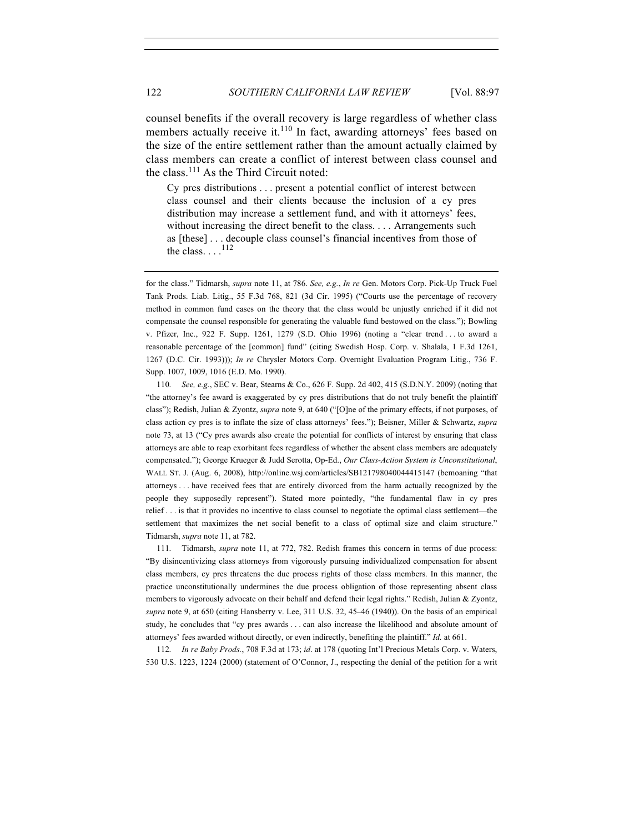counsel benefits if the overall recovery is large regardless of whether class members actually receive it. $110$  In fact, awarding attorneys' fees based on the size of the entire settlement rather than the amount actually claimed by class members can create a conflict of interest between class counsel and the class. $^{111}$  As the Third Circuit noted:

Cy pres distributions . . . present a potential conflict of interest between class counsel and their clients because the inclusion of a cy pres distribution may increase a settlement fund, and with it attorneys' fees, without increasing the direct benefit to the class. . . . Arrangements such as [these] . . . decouple class counsel's financial incentives from those of the class.  $\ldots$ .<sup>112</sup>

for the class." Tidmarsh, *supra* note 11, at 786. *See, e.g.*, *In re* Gen. Motors Corp. Pick-Up Truck Fuel Tank Prods. Liab. Litig., 55 F.3d 768, 821 (3d Cir. 1995) ("Courts use the percentage of recovery method in common fund cases on the theory that the class would be unjustly enriched if it did not compensate the counsel responsible for generating the valuable fund bestowed on the class."); Bowling v. Pfizer, Inc., 922 F. Supp. 1261, 1279 (S.D. Ohio 1996) (noting a "clear trend . . . to award a reasonable percentage of the [common] fund" (citing Swedish Hosp. Corp. v. Shalala, 1 F.3d 1261, 1267 (D.C. Cir. 1993))); *In re* Chrysler Motors Corp. Overnight Evaluation Program Litig., 736 F. Supp. 1007, 1009, 1016 (E.D. Mo. 1990).

110. *See, e.g.*, SEC v. Bear, Stearns & Co., 626 F. Supp. 2d 402, 415 (S.D.N.Y. 2009) (noting that "the attorney's fee award is exaggerated by cy pres distributions that do not truly benefit the plaintiff class"); Redish, Julian & Zyontz, *supra* note 9, at 640 ("[O]ne of the primary effects, if not purposes, of class action cy pres is to inflate the size of class attorneys' fees."); Beisner, Miller & Schwartz, *supra* note 73, at 13 ("Cy pres awards also create the potential for conflicts of interest by ensuring that class attorneys are able to reap exorbitant fees regardless of whether the absent class members are adequately compensated."); George Krueger & Judd Serotta, Op-Ed., *Our Class-Action System is Unconstitutional*, WALL ST. J. (Aug. 6, 2008), http://online.wsj.com/articles/SB121798040044415147 (bemoaning "that attorneys . . . have received fees that are entirely divorced from the harm actually recognized by the people they supposedly represent"). Stated more pointedly, "the fundamental flaw in cy pres relief . . . is that it provides no incentive to class counsel to negotiate the optimal class settlement—the settlement that maximizes the net social benefit to a class of optimal size and claim structure." Tidmarsh, *supra* note 11, at 782.

111. Tidmarsh, *supra* note 11, at 772, 782. Redish frames this concern in terms of due process: "By disincentivizing class attorneys from vigorously pursuing individualized compensation for absent class members, cy pres threatens the due process rights of those class members. In this manner, the practice unconstitutionally undermines the due process obligation of those representing absent class members to vigorously advocate on their behalf and defend their legal rights." Redish, Julian & Zyontz, *supra* note 9, at 650 (citing Hansberry v. Lee, 311 U.S. 32, 45–46 (1940)). On the basis of an empirical study, he concludes that "cy pres awards . . . can also increase the likelihood and absolute amount of attorneys' fees awarded without directly, or even indirectly, benefiting the plaintiff." *Id.* at 661.

112. *In re Baby Prods.*, 708 F.3d at 173; *id*. at 178 (quoting Int'l Precious Metals Corp. v. Waters, 530 U.S. 1223, 1224 (2000) (statement of O'Connor, J., respecting the denial of the petition for a writ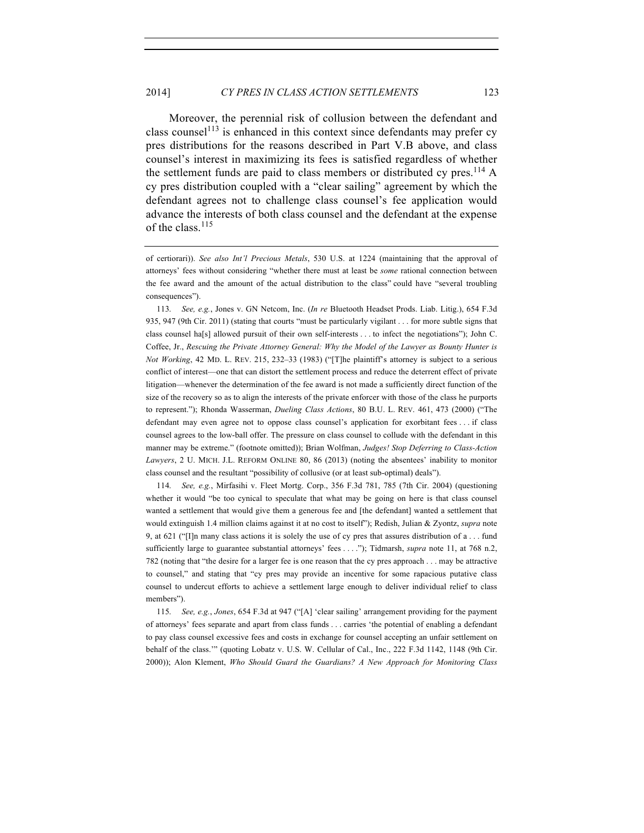Moreover, the perennial risk of collusion between the defendant and class counsel<sup>113</sup> is enhanced in this context since defendants may prefer cy pres distributions for the reasons described in Part V.B above, and class counsel's interest in maximizing its fees is satisfied regardless of whether the settlement funds are paid to class members or distributed cy pres.<sup>114</sup> A cy pres distribution coupled with a "clear sailing" agreement by which the defendant agrees not to challenge class counsel's fee application would advance the interests of both class counsel and the defendant at the expense of the class.  $^{115}$ 

113. *See, e.g.*, Jones v. GN Netcom, Inc. (*In re* Bluetooth Headset Prods. Liab. Litig.), 654 F.3d 935, 947 (9th Cir. 2011) (stating that courts "must be particularly vigilant . . . for more subtle signs that class counsel ha[s] allowed pursuit of their own self-interests . . . to infect the negotiations"); John C. Coffee, Jr., *Rescuing the Private Attorney General: Why the Model of the Lawyer as Bounty Hunter is Not Working*, 42 MD. L. REV. 215, 232–33 (1983) ("[T]he plaintiff's attorney is subject to a serious conflict of interest—one that can distort the settlement process and reduce the deterrent effect of private litigation—whenever the determination of the fee award is not made a sufficiently direct function of the size of the recovery so as to align the interests of the private enforcer with those of the class he purports to represent."); Rhonda Wasserman, *Dueling Class Actions*, 80 B.U. L. REV. 461, 473 (2000) ("The defendant may even agree not to oppose class counsel's application for exorbitant fees . . . if class counsel agrees to the low-ball offer. The pressure on class counsel to collude with the defendant in this manner may be extreme." (footnote omitted)); Brian Wolfman, *Judges! Stop Deferring to Class-Action Lawyers*, 2 U. MICH. J.L. REFORM ONLINE 80, 86 (2013) (noting the absentees' inability to monitor class counsel and the resultant "possibility of collusive (or at least sub-optimal) deals").

114. *See, e.g.*, Mirfasihi v. Fleet Mortg. Corp., 356 F.3d 781, 785 (7th Cir. 2004) (questioning whether it would "be too cynical to speculate that what may be going on here is that class counsel wanted a settlement that would give them a generous fee and [the defendant] wanted a settlement that would extinguish 1.4 million claims against it at no cost to itself"); Redish, Julian & Zyontz, *supra* note 9, at 621 ("[I]n many class actions it is solely the use of cy pres that assures distribution of a . . . fund sufficiently large to guarantee substantial attorneys' fees . . . ."); Tidmarsh, *supra* note 11, at 768 n.2, 782 (noting that "the desire for a larger fee is one reason that the cy pres approach . . . may be attractive to counsel," and stating that "cy pres may provide an incentive for some rapacious putative class counsel to undercut efforts to achieve a settlement large enough to deliver individual relief to class members").

115. *See, e.g.*, *Jones*, 654 F.3d at 947 ("[A] 'clear sailing' arrangement providing for the payment of attorneys' fees separate and apart from class funds . . . carries 'the potential of enabling a defendant to pay class counsel excessive fees and costs in exchange for counsel accepting an unfair settlement on behalf of the class.'" (quoting Lobatz v. U.S. W. Cellular of Cal., Inc., 222 F.3d 1142, 1148 (9th Cir. 2000)); Alon Klement, *Who Should Guard the Guardians? A New Approach for Monitoring Class* 

of certiorari)). *See also Int'l Precious Metals*, 530 U.S. at 1224 (maintaining that the approval of attorneys' fees without considering "whether there must at least be *some* rational connection between the fee award and the amount of the actual distribution to the class" could have "several troubling consequences").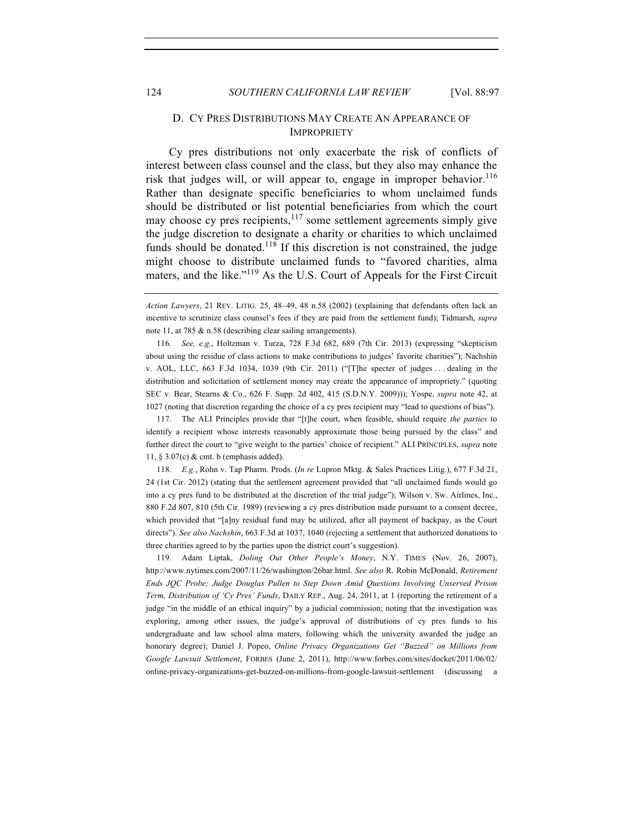## D. CY PRES DISTRIBUTIONS MAY CREATE AN APPEARANCE OF IMPROPRIETY

Cy pres distributions not only exacerbate the risk of conflicts of interest between class counsel and the class, but they also may enhance the risk that judges will, or will appear to, engage in improper behavior.<sup>116</sup> Rather than designate specific beneficiaries to whom unclaimed funds should be distributed or list potential beneficiaries from which the court may choose cy pres recipients,  $117$  some settlement agreements simply give the judge discretion to designate a charity or charities to which unclaimed funds should be donated.<sup>118</sup> If this discretion is not constrained, the judge might choose to distribute unclaimed funds to "favored charities, alma maters, and the like."<sup>119</sup> As the U.S. Court of Appeals for the First Circuit

116. *See, e.g.*, Holtzman v. Turza, 728 F.3d 682, 689 (7th Cir. 2013) (expressing "skepticism about using the residue of class actions to make contributions to judges' favorite charities"); Nachshin v. AOL, LLC, 663 F.3d 1034, 1039 (9th Cir. 2011) ("[T]he specter of judges . . . dealing in the distribution and solicitation of settlement money may create the appearance of impropriety." (quoting SEC v. Bear, Stearns & Co., 626 F. Supp. 2d 402, 415 (S.D.N.Y. 2009))); Yospe, *supra* note 42, at 1027 (noting that discretion regarding the choice of a cy pres recipient may "lead to questions of bias").

117. The ALI Principles provide that "[t]he court, when feasible, should require *the parties* to identify a recipient whose interests reasonably approximate those being pursued by the class" and further direct the court to "give weight to the parties' choice of recipient." ALI PRINCIPLES, *supra* note 11, § 3.07(c) & cmt. b (emphasis added).

118. *E.g.*, Rohn v. Tap Pharm. Prods. (*In re* Lupron Mktg. & Sales Practices Litig.), 677 F.3d 21, 24 (1st Cir. 2012) (stating that the settlement agreement provided that "all unclaimed funds would go into a cy pres fund to be distributed at the discretion of the trial judge"); Wilson v. Sw. Airlines, Inc., 880 F.2d 807, 810 (5th Cir. 1989) (reviewing a cy pres distribution made pursuant to a consent decree, which provided that "[a]ny residual fund may be utilized, after all payment of backpay, as the Court directs"). *See also Nachshin*, 663 F.3d at 1037, 1040 (rejecting a settlement that authorized donations to three charities agreed to by the parties upon the district court's suggestion).

119. Adam Liptak, *Doling Out Other People's Money*, N.Y. TIMES (Nov. 26, 2007), http://www.nytimes.com/2007/11/26/washington/26bar.html. *See also* R. Robin McDonald, *Retirement Ends JQC Probe; Judge Douglas Pullen to Step Down Amid Questions Involving Unserved Prison Term, Distribution of 'Cy Pres' Funds*, DAILY REP., Aug. 24, 2011, at 1 (reporting the retirement of a judge "in the middle of an ethical inquiry" by a judicial commission; noting that the investigation was exploring, among other issues, the judge's approval of distributions of cy pres funds to his undergraduate and law school alma maters, following which the university awarded the judge an honorary degree); Daniel J. Popeo, *Online Privacy Organizations Get "Buzzed" on Millions from Google Lawsuit Settlement*, FORBES (June 2, 2011), http://www.forbes.com/sites/docket/2011/06/02/ online-privacy-organizations-get-buzzed-on-millions-from-google-lawsuit-settlement (discussing a

*Action Lawyers*, 21 REV. LITIG. 25, 48–49, 48 n.58 (2002) (explaining that defendants often lack an incentive to scrutinize class counsel's fees if they are paid from the settlement fund); Tidmarsh, *supra* note 11, at 785 & n.58 (describing clear sailing arrangements).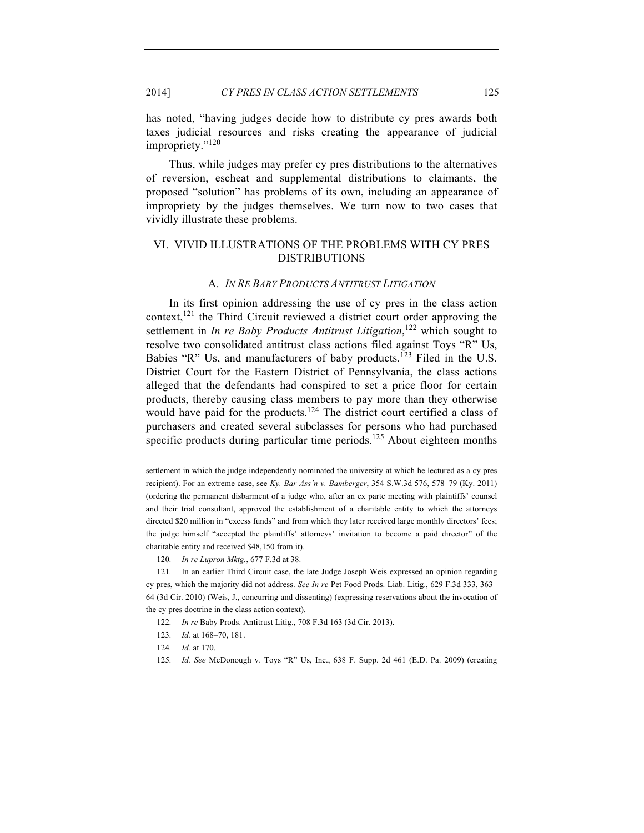has noted, "having judges decide how to distribute cy pres awards both taxes judicial resources and risks creating the appearance of judicial impropriety."<sup>120</sup>

Thus, while judges may prefer cy pres distributions to the alternatives of reversion, escheat and supplemental distributions to claimants, the proposed "solution" has problems of its own, including an appearance of impropriety by the judges themselves. We turn now to two cases that vividly illustrate these problems.

## VI. VIVID ILLUSTRATIONS OF THE PROBLEMS WITH CY PRES DISTRIBUTIONS

#### A. *IN RE BABY PRODUCTS ANTITRUST LITIGATION*

In its first opinion addressing the use of cy pres in the class action context,<sup>121</sup> the Third Circuit reviewed a district court order approving the settlement in *In re Baby Products Antitrust Litigation*, <sup>122</sup> which sought to resolve two consolidated antitrust class actions filed against Toys "R" Us, Babies "R" Us, and manufacturers of baby products.<sup>123</sup> Filed in the U.S. District Court for the Eastern District of Pennsylvania, the class actions alleged that the defendants had conspired to set a price floor for certain products, thereby causing class members to pay more than they otherwise would have paid for the products.<sup>124</sup> The district court certified a class of purchasers and created several subclasses for persons who had purchased specific products during particular time periods.<sup>125</sup> About eighteen months

- 124. *Id.* at 170.
- 125. *Id. See* McDonough v. Toys "R" Us, Inc., 638 F. Supp. 2d 461 (E.D. Pa. 2009) (creating

settlement in which the judge independently nominated the university at which he lectured as a cy pres recipient). For an extreme case, see *Ky. Bar Ass'n v. Bamberger*, 354 S.W.3d 576, 578–79 (Ky. 2011) (ordering the permanent disbarment of a judge who, after an ex parte meeting with plaintiffs' counsel and their trial consultant, approved the establishment of a charitable entity to which the attorneys directed \$20 million in "excess funds" and from which they later received large monthly directors' fees; the judge himself "accepted the plaintiffs' attorneys' invitation to become a paid director" of the charitable entity and received \$48,150 from it).

<sup>120.</sup> *In re Lupron Mktg.*, 677 F.3d at 38.

<sup>121.</sup> In an earlier Third Circuit case, the late Judge Joseph Weis expressed an opinion regarding cy pres, which the majority did not address. *See In re* Pet Food Prods. Liab. Litig., 629 F.3d 333, 363– 64 (3d Cir. 2010) (Weis, J., concurring and dissenting) (expressing reservations about the invocation of the cy pres doctrine in the class action context).

<sup>122.</sup> *In re* Baby Prods. Antitrust Litig., 708 F.3d 163 (3d Cir. 2013).

<sup>123.</sup> *Id.* at 168–70, 181.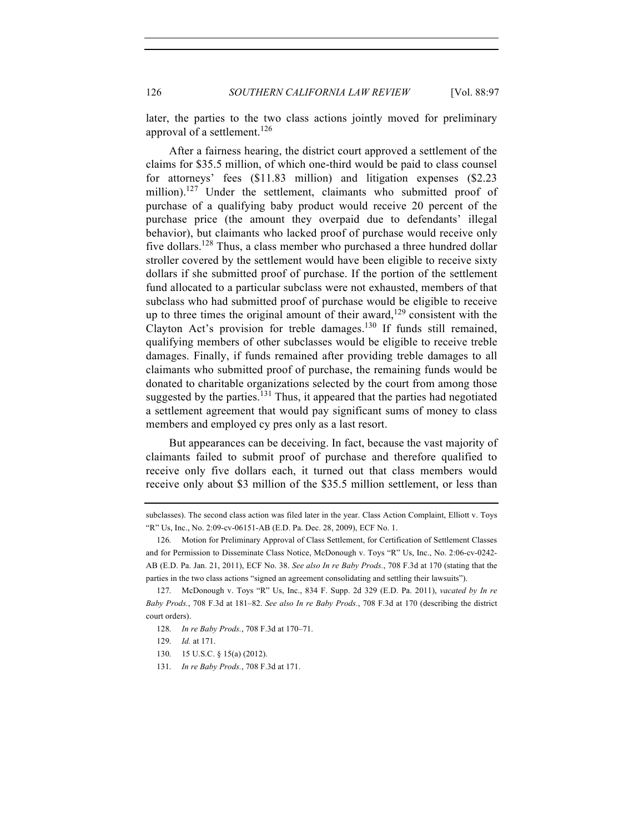later, the parties to the two class actions jointly moved for preliminary approval of a settlement.<sup>126</sup>

After a fairness hearing, the district court approved a settlement of the claims for \$35.5 million, of which one-third would be paid to class counsel for attorneys' fees (\$11.83 million) and litigation expenses (\$2.23 million).<sup>127</sup> Under the settlement, claimants who submitted proof of purchase of a qualifying baby product would receive 20 percent of the purchase price (the amount they overpaid due to defendants' illegal behavior), but claimants who lacked proof of purchase would receive only five dollars.<sup>128</sup> Thus, a class member who purchased a three hundred dollar stroller covered by the settlement would have been eligible to receive sixty dollars if she submitted proof of purchase. If the portion of the settlement fund allocated to a particular subclass were not exhausted, members of that subclass who had submitted proof of purchase would be eligible to receive up to three times the original amount of their award,  $129$  consistent with the Clayton Act's provision for treble damages.<sup>130</sup> If funds still remained, qualifying members of other subclasses would be eligible to receive treble damages. Finally, if funds remained after providing treble damages to all claimants who submitted proof of purchase, the remaining funds would be donated to charitable organizations selected by the court from among those suggested by the parties. $131$  Thus, it appeared that the parties had negotiated a settlement agreement that would pay significant sums of money to class members and employed cy pres only as a last resort.

But appearances can be deceiving. In fact, because the vast majority of claimants failed to submit proof of purchase and therefore qualified to receive only five dollars each, it turned out that class members would receive only about \$3 million of the \$35.5 million settlement, or less than

subclasses). The second class action was filed later in the year. Class Action Complaint, Elliott v. Toys "R" Us, Inc., No. 2:09-cv-06151-AB (E.D. Pa. Dec. 28, 2009), ECF No. 1.

<sup>126.</sup> Motion for Preliminary Approval of Class Settlement, for Certification of Settlement Classes and for Permission to Disseminate Class Notice, McDonough v. Toys "R" Us, Inc., No. 2:06-cv-0242- AB (E.D. Pa. Jan. 21, 2011), ECF No. 38. *See also In re Baby Prods.*, 708 F.3d at 170 (stating that the parties in the two class actions "signed an agreement consolidating and settling their lawsuits").

<sup>127.</sup> McDonough v. Toys "R" Us, Inc., 834 F. Supp. 2d 329 (E.D. Pa. 2011), *vacated by In re Baby Prods.*, 708 F.3d at 181–82. *See also In re Baby Prods.*, 708 F.3d at 170 (describing the district court orders).

<sup>128.</sup> *In re Baby Prods.*, 708 F.3d at 170–71.

<sup>129.</sup> *Id.* at 171.

<sup>130.</sup> 15 U.S.C. § 15(a) (2012).

<sup>131.</sup> *In re Baby Prods.*, 708 F.3d at 171.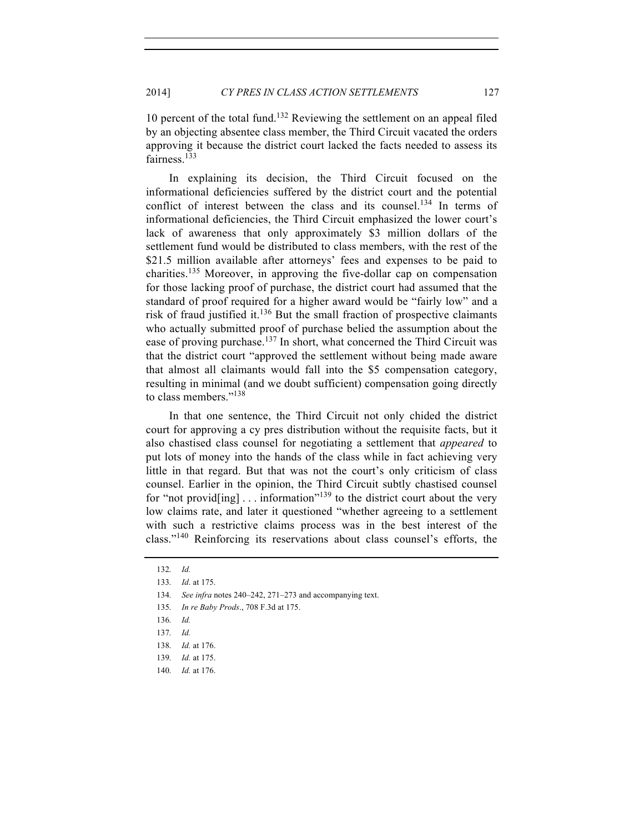10 percent of the total fund.132 Reviewing the settlement on an appeal filed by an objecting absentee class member, the Third Circuit vacated the orders approving it because the district court lacked the facts needed to assess its fairness.<sup>133</sup>

In explaining its decision, the Third Circuit focused on the informational deficiencies suffered by the district court and the potential conflict of interest between the class and its counsel.<sup>134</sup> In terms of informational deficiencies, the Third Circuit emphasized the lower court's lack of awareness that only approximately \$3 million dollars of the settlement fund would be distributed to class members, with the rest of the \$21.5 million available after attorneys' fees and expenses to be paid to charities.<sup>135</sup> Moreover, in approving the five-dollar cap on compensation for those lacking proof of purchase, the district court had assumed that the standard of proof required for a higher award would be "fairly low" and a risk of fraud justified it. $136$  But the small fraction of prospective claimants who actually submitted proof of purchase belied the assumption about the ease of proving purchase.<sup>137</sup> In short, what concerned the Third Circuit was that the district court "approved the settlement without being made aware that almost all claimants would fall into the \$5 compensation category, resulting in minimal (and we doubt sufficient) compensation going directly to class members."138

In that one sentence, the Third Circuit not only chided the district court for approving a cy pres distribution without the requisite facts, but it also chastised class counsel for negotiating a settlement that *appeared* to put lots of money into the hands of the class while in fact achieving very little in that regard. But that was not the court's only criticism of class counsel. Earlier in the opinion, the Third Circuit subtly chastised counsel for "not provid[ing]  $\dots$  information"<sup>139</sup> to the district court about the very low claims rate, and later it questioned "whether agreeing to a settlement with such a restrictive claims process was in the best interest of the class."<sup>140</sup> Reinforcing its reservations about class counsel's efforts, the

134. *See infra* notes 240–242, 271–273 and accompanying text.

<sup>132.</sup> *Id.*

<sup>133.</sup> *Id*. at 175.

<sup>135.</sup> *In re Baby Prods*., 708 F.3d at 175.

<sup>136.</sup> *Id.*

<sup>137.</sup> *Id.*

<sup>138.</sup> *Id.* at 176.

<sup>139.</sup> *Id.* at 175.

<sup>140.</sup> *Id.* at 176.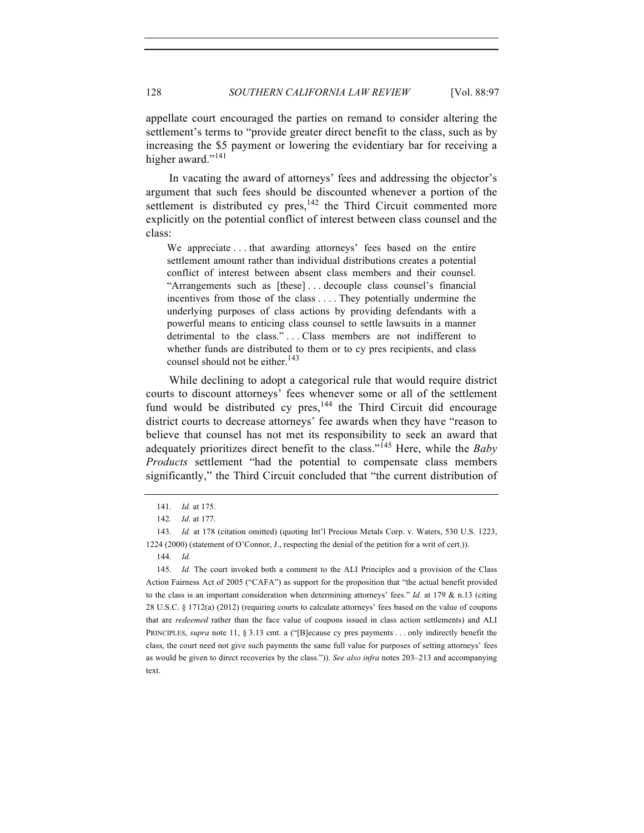appellate court encouraged the parties on remand to consider altering the settlement's terms to "provide greater direct benefit to the class, such as by increasing the \$5 payment or lowering the evidentiary bar for receiving a higher award."<sup>141</sup>

In vacating the award of attorneys' fees and addressing the objector's argument that such fees should be discounted whenever a portion of the settlement is distributed cy pres,  $142$  the Third Circuit commented more explicitly on the potential conflict of interest between class counsel and the class:

We appreciate . . . that awarding attorneys' fees based on the entire settlement amount rather than individual distributions creates a potential conflict of interest between absent class members and their counsel. "Arrangements such as [these] . . . decouple class counsel's financial incentives from those of the class . . . . They potentially undermine the underlying purposes of class actions by providing defendants with a powerful means to enticing class counsel to settle lawsuits in a manner detrimental to the class."...Class members are not indifferent to whether funds are distributed to them or to cy pres recipients, and class counsel should not be either.<sup>143</sup>

While declining to adopt a categorical rule that would require district courts to discount attorneys' fees whenever some or all of the settlement fund would be distributed cy  $pres$ <sup>144</sup> the Third Circuit did encourage district courts to decrease attorneys' fee awards when they have "reason to believe that counsel has not met its responsibility to seek an award that adequately prioritizes direct benefit to the class."<sup>145</sup> Here, while the *Baby Products* settlement "had the potential to compensate class members significantly," the Third Circuit concluded that "the current distribution of

<sup>141.</sup> *Id.* at 175.

<sup>142.</sup> *Id*. at 177.

<sup>143.</sup> *Id.* at 178 (citation omitted) (quoting Int'l Precious Metals Corp. v. Waters, 530 U.S. 1223, 1224 (2000) (statement of O'Connor, J., respecting the denial of the petition for a writ of cert.)).

<sup>144.</sup> *Id.*

<sup>145.</sup> *Id.* The court invoked both a comment to the ALI Principles and a provision of the Class Action Fairness Act of 2005 ("CAFA") as support for the proposition that "the actual benefit provided to the class is an important consideration when determining attorneys' fees." *Id.* at 179 & n.13 (citing 28 U.S.C. § 1712(a) (2012) (requiring courts to calculate attorneys' fees based on the value of coupons that are *redeemed* rather than the face value of coupons issued in class action settlements) and ALI PRINCIPLES, *supra* note 11, § 3.13 cmt. a ("[B]ecause cy pres payments . . . only indirectly benefit the class, the court need not give such payments the same full value for purposes of setting attorneys' fees as would be given to direct recoveries by the class.")). *See also infra* notes 203–213 and accompanying text.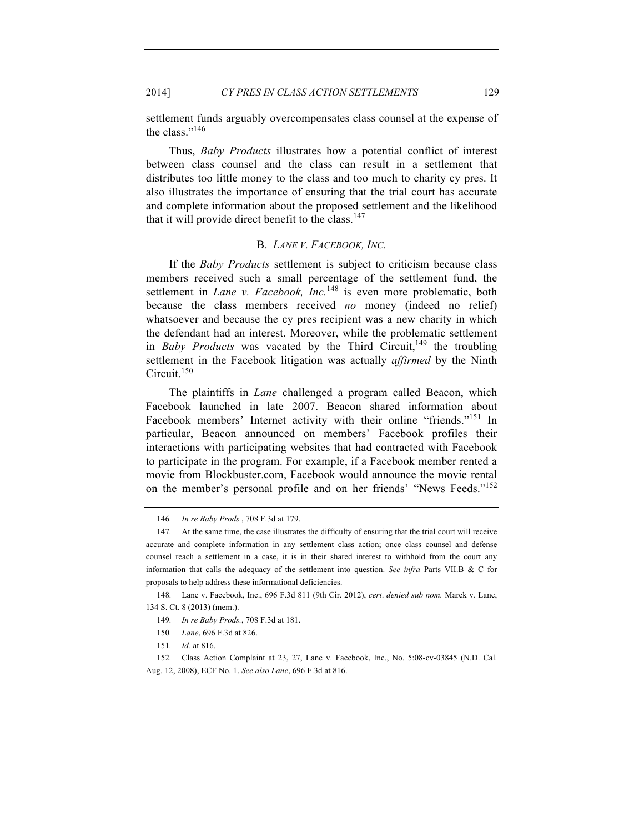settlement funds arguably overcompensates class counsel at the expense of the class."<sup>146</sup>

Thus, *Baby Products* illustrates how a potential conflict of interest between class counsel and the class can result in a settlement that distributes too little money to the class and too much to charity cy pres. It also illustrates the importance of ensuring that the trial court has accurate and complete information about the proposed settlement and the likelihood that it will provide direct benefit to the class.<sup>147</sup>

#### B. *LANE V. FACEBOOK, INC.*

If the *Baby Products* settlement is subject to criticism because class members received such a small percentage of the settlement fund, the settlement in *Lane v. Facebook*, *Inc.*<sup>148</sup> is even more problematic, both because the class members received *no* money (indeed no relief) whatsoever and because the cy pres recipient was a new charity in which the defendant had an interest. Moreover, while the problematic settlement in *Baby Products* was vacated by the Third Circuit,<sup>149</sup> the troubling settlement in the Facebook litigation was actually *affirmed* by the Ninth Circuit.<sup>150</sup>

The plaintiffs in *Lane* challenged a program called Beacon, which Facebook launched in late 2007. Beacon shared information about Facebook members' Internet activity with their online "friends."<sup>151</sup> In particular, Beacon announced on members' Facebook profiles their interactions with participating websites that had contracted with Facebook to participate in the program. For example, if a Facebook member rented a movie from Blockbuster.com, Facebook would announce the movie rental on the member's personal profile and on her friends' "News Feeds."<sup>152</sup>

<sup>146.</sup> *In re Baby Prods.*, 708 F.3d at 179.

<sup>147.</sup> At the same time, the case illustrates the difficulty of ensuring that the trial court will receive accurate and complete information in any settlement class action; once class counsel and defense counsel reach a settlement in a case, it is in their shared interest to withhold from the court any information that calls the adequacy of the settlement into question. *See infra* Parts VII.B & C for proposals to help address these informational deficiencies.

<sup>148.</sup> Lane v. Facebook, Inc., 696 F.3d 811 (9th Cir. 2012), *cert*. *denied sub nom.* Marek v. Lane, 134 S. Ct. 8 (2013) (mem.).

<sup>149.</sup> *In re Baby Prods.*, 708 F.3d at 181.

<sup>150.</sup> *Lane*, 696 F.3d at 826.

<sup>151.</sup> *Id.* at 816.

<sup>152.</sup> Class Action Complaint at 23, 27, Lane v. Facebook, Inc., No. 5:08-cv-03845 (N.D. Cal. Aug. 12, 2008), ECF No. 1. *See also Lane*, 696 F.3d at 816.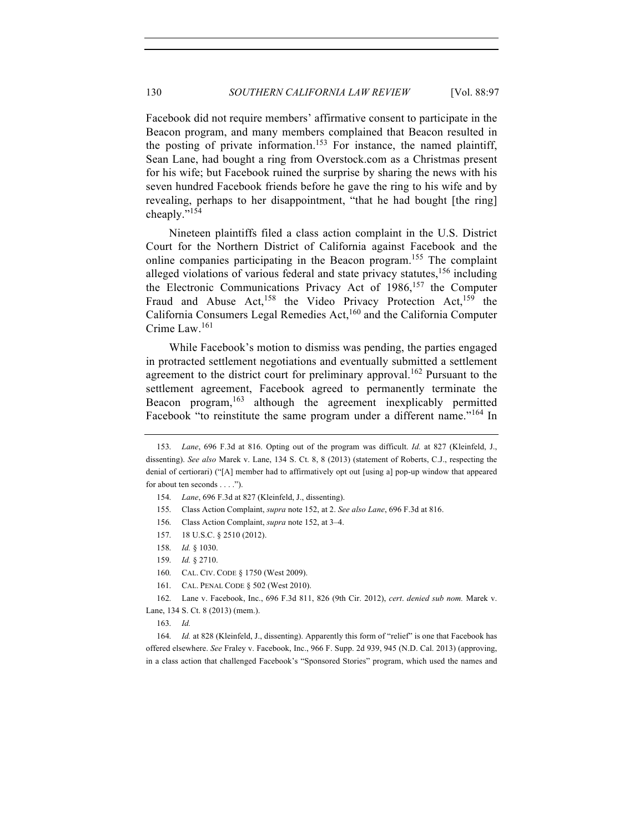Facebook did not require members' affirmative consent to participate in the Beacon program, and many members complained that Beacon resulted in the posting of private information.<sup>153</sup> For instance, the named plaintiff, Sean Lane, had bought a ring from Overstock.com as a Christmas present for his wife; but Facebook ruined the surprise by sharing the news with his seven hundred Facebook friends before he gave the ring to his wife and by revealing, perhaps to her disappointment, "that he had bought [the ring] cheaply."<sup>154</sup>

Nineteen plaintiffs filed a class action complaint in the U.S. District Court for the Northern District of California against Facebook and the online companies participating in the Beacon program.155 The complaint alleged violations of various federal and state privacy statutes,  $156$  including the Electronic Communications Privacy Act of 1986, <sup>157</sup> the Computer Fraud and Abuse Act,<sup>158</sup> the Video Privacy Protection Act,<sup>159</sup> the California Consumers Legal Remedies Act,<sup>160</sup> and the California Computer Crime Law.<sup>161</sup>

While Facebook's motion to dismiss was pending, the parties engaged in protracted settlement negotiations and eventually submitted a settlement agreement to the district court for preliminary approval.<sup>162</sup> Pursuant to the settlement agreement, Facebook agreed to permanently terminate the Beacon program,<sup>163</sup> although the agreement inexplicably permitted Facebook "to reinstitute the same program under a different name."<sup>164</sup> In

164. *Id.* at 828 (Kleinfeld, J., dissenting). Apparently this form of "relief" is one that Facebook has offered elsewhere. *See* Fraley v. Facebook, Inc., 966 F. Supp. 2d 939, 945 (N.D. Cal. 2013) (approving, in a class action that challenged Facebook's "Sponsored Stories" program, which used the names and

<sup>153.</sup> *Lane*, 696 F.3d at 816. Opting out of the program was difficult. *Id.* at 827 (Kleinfeld, J., dissenting). *See also* Marek v. Lane, 134 S. Ct. 8, 8 (2013) (statement of Roberts, C.J., respecting the denial of certiorari) ("[A] member had to affirmatively opt out [using a] pop-up window that appeared for about ten seconds . . . .").

<sup>154.</sup> *Lane*, 696 F.3d at 827 (Kleinfeld, J., dissenting).

<sup>155.</sup> Class Action Complaint, *supra* note 152, at 2. *See also Lane*, 696 F.3d at 816.

<sup>156.</sup> Class Action Complaint, *supra* note 152, at 3–4.

<sup>157.</sup> 18 U.S.C. § 2510 (2012).

<sup>158.</sup> *Id.* § 1030.

<sup>159.</sup> *Id.* § 2710.

<sup>160.</sup> CAL. CIV. CODE § 1750 (West 2009).

<sup>161.</sup> CAL. PENAL CODE § 502 (West 2010).

<sup>162.</sup> Lane v. Facebook, Inc., 696 F.3d 811, 826 (9th Cir. 2012), *cert*. *denied sub nom.* Marek v. Lane, 134 S. Ct. 8 (2013) (mem.).

<sup>163.</sup> *Id.*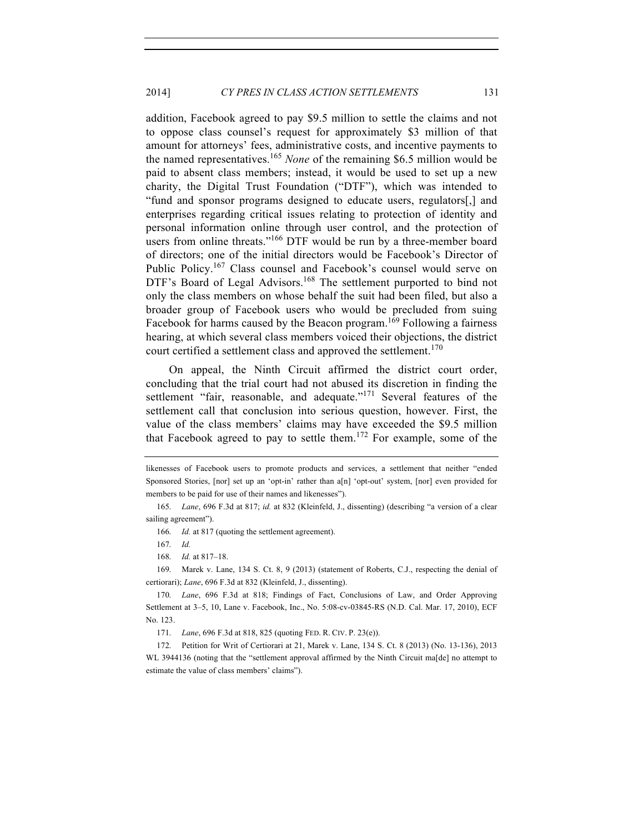addition, Facebook agreed to pay \$9.5 million to settle the claims and not to oppose class counsel's request for approximately \$3 million of that amount for attorneys' fees, administrative costs, and incentive payments to the named representatives.<sup>165</sup> *None* of the remaining \$6.5 million would be paid to absent class members; instead, it would be used to set up a new charity, the Digital Trust Foundation ("DTF"), which was intended to "fund and sponsor programs designed to educate users, regulators[,] and enterprises regarding critical issues relating to protection of identity and personal information online through user control, and the protection of users from online threats."<sup>166</sup> DTF would be run by a three-member board of directors; one of the initial directors would be Facebook's Director of Public Policy.<sup>167</sup> Class counsel and Facebook's counsel would serve on DTF's Board of Legal Advisors.<sup>168</sup> The settlement purported to bind not only the class members on whose behalf the suit had been filed, but also a broader group of Facebook users who would be precluded from suing Facebook for harms caused by the Beacon program.<sup>169</sup> Following a fairness hearing, at which several class members voiced their objections, the district court certified a settlement class and approved the settlement.<sup>170</sup>

On appeal, the Ninth Circuit affirmed the district court order, concluding that the trial court had not abused its discretion in finding the settlement "fair, reasonable, and adequate."<sup>171</sup> Several features of the settlement call that conclusion into serious question, however. First, the value of the class members' claims may have exceeded the \$9.5 million that Facebook agreed to pay to settle them.<sup>172</sup> For example, some of the

166. *Id.* at 817 (quoting the settlement agreement).

likenesses of Facebook users to promote products and services, a settlement that neither "ended Sponsored Stories, [nor] set up an 'opt-in' rather than a[n] 'opt-out' system, [nor] even provided for members to be paid for use of their names and likenesses").

<sup>165.</sup> *Lane*, 696 F.3d at 817; *id.* at 832 (Kleinfeld, J., dissenting) (describing "a version of a clear sailing agreement").

<sup>167.</sup> *Id.*

<sup>168.</sup> *Id.* at 817–18.

<sup>169.</sup> Marek v. Lane, 134 S. Ct. 8, 9 (2013) (statement of Roberts, C.J., respecting the denial of certiorari); *Lane*, 696 F.3d at 832 (Kleinfeld, J., dissenting).

<sup>170.</sup> *Lane*, 696 F.3d at 818; Findings of Fact, Conclusions of Law, and Order Approving Settlement at 3–5, 10, Lane v. Facebook, Inc., No. 5:08-cv-03845-RS (N.D. Cal. Mar. 17, 2010), ECF No. 123.

<sup>171.</sup> *Lane*, 696 F.3d at 818, 825 (quoting FED. R. CIV. P. 23(e)).

<sup>172.</sup> Petition for Writ of Certiorari at 21, Marek v. Lane, 134 S. Ct. 8 (2013) (No. 13-136), 2013 WL 3944136 (noting that the "settlement approval affirmed by the Ninth Circuit ma[de] no attempt to estimate the value of class members' claims").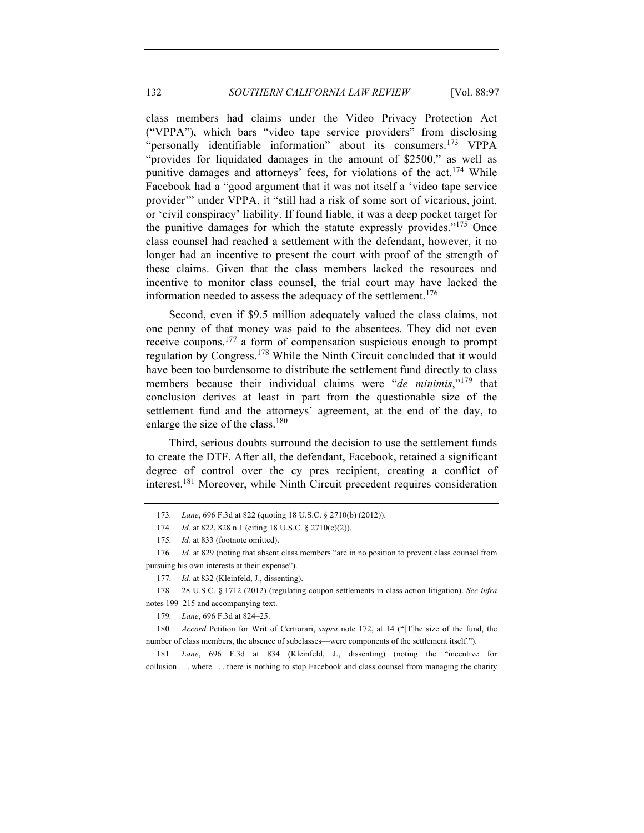class members had claims under the Video Privacy Protection Act ("VPPA"), which bars "video tape service providers" from disclosing "personally identifiable information" about its consumers.<sup>173</sup> VPPA "provides for liquidated damages in the amount of \$2500," as well as punitive damages and attorneys' fees, for violations of the act.<sup>174</sup> While Facebook had a "good argument that it was not itself a 'video tape service provider'" under VPPA, it "still had a risk of some sort of vicarious, joint, or 'civil conspiracy' liability. If found liable, it was a deep pocket target for the punitive damages for which the statute expressly provides."<sup>175</sup> Once class counsel had reached a settlement with the defendant, however, it no longer had an incentive to present the court with proof of the strength of these claims. Given that the class members lacked the resources and incentive to monitor class counsel, the trial court may have lacked the information needed to assess the adequacy of the settlement.<sup>176</sup>

Second, even if \$9.5 million adequately valued the class claims, not one penny of that money was paid to the absentees. They did not even receive coupons,177 a form of compensation suspicious enough to prompt regulation by Congress.<sup>178</sup> While the Ninth Circuit concluded that it would have been too burdensome to distribute the settlement fund directly to class members because their individual claims were "*de minimis*,"<sup>179</sup> that conclusion derives at least in part from the questionable size of the settlement fund and the attorneys' agreement, at the end of the day, to enlarge the size of the class.<sup>180</sup>

Third, serious doubts surround the decision to use the settlement funds to create the DTF. After all, the defendant, Facebook, retained a significant degree of control over the cy pres recipient, creating a conflict of interest.181 Moreover, while Ninth Circuit precedent requires consideration

178. 28 U.S.C. § 1712 (2012) (regulating coupon settlements in class action litigation). *See infra* notes 199–215 and accompanying text.

179. *Lane*, 696 F.3d at 824–25.

180. *Accord* Petition for Writ of Certiorari, *supra* note 172, at 14 ("[T]he size of the fund, the number of class members, the absence of subclasses—were components of the settlement itself.").

181. *Lane*, 696 F.3d at 834 (Kleinfeld, J., dissenting) (noting the "incentive for collusion . . . where . . . there is nothing to stop Facebook and class counsel from managing the charity

<sup>173.</sup> *Lane*, 696 F.3d at 822 (quoting 18 U.S.C. § 2710(b) (2012)).

<sup>174.</sup> *Id.* at 822, 828 n.1 (citing 18 U.S.C. § 2710(c)(2)).

<sup>175.</sup> *Id.* at 833 (footnote omitted).

<sup>176.</sup> *Id.* at 829 (noting that absent class members "are in no position to prevent class counsel from pursuing his own interests at their expense").

<sup>177.</sup> *Id.* at 832 (Kleinfeld, J., dissenting).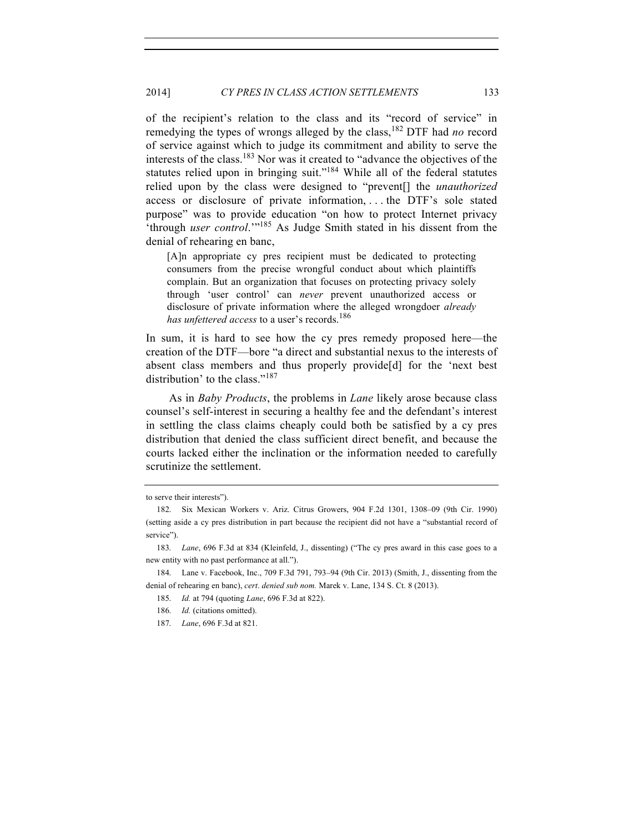of the recipient's relation to the class and its "record of service" in remedying the types of wrongs alleged by the class,<sup>182</sup> DTF had *no* record of service against which to judge its commitment and ability to serve the interests of the class.<sup>183</sup> Nor was it created to "advance the objectives of the statutes relied upon in bringing suit."<sup>184</sup> While all of the federal statutes relied upon by the class were designed to "prevent[] the *unauthorized* access or disclosure of private information, . . . the DTF's sole stated purpose" was to provide education "on how to protect Internet privacy 'through *user control*.'"<sup>185</sup> As Judge Smith stated in his dissent from the denial of rehearing en banc,

[A]n appropriate cy pres recipient must be dedicated to protecting consumers from the precise wrongful conduct about which plaintiffs complain. But an organization that focuses on protecting privacy solely through 'user control' can *never* prevent unauthorized access or disclosure of private information where the alleged wrongdoer *already has unfettered access* to a user's records.<sup>186</sup>

In sum, it is hard to see how the cy pres remedy proposed here—the creation of the DTF—bore "a direct and substantial nexus to the interests of absent class members and thus properly provide[d] for the 'next best distribution' to the class."<sup>187</sup>

As in *Baby Products*, the problems in *Lane* likely arose because class counsel's self-interest in securing a healthy fee and the defendant's interest in settling the class claims cheaply could both be satisfied by a cy pres distribution that denied the class sufficient direct benefit, and because the courts lacked either the inclination or the information needed to carefully scrutinize the settlement.

to serve their interests").

<sup>182.</sup> Six Mexican Workers v. Ariz. Citrus Growers, 904 F.2d 1301, 1308–09 (9th Cir. 1990) (setting aside a cy pres distribution in part because the recipient did not have a "substantial record of service").

<sup>183.</sup> *Lane*, 696 F.3d at 834 (Kleinfeld, J., dissenting) ("The cy pres award in this case goes to a new entity with no past performance at all.").

<sup>184.</sup> Lane v. Facebook, Inc., 709 F.3d 791, 793–94 (9th Cir. 2013) (Smith, J., dissenting from the denial of rehearing en banc), *cert*. *denied sub nom.* Marek v. Lane, 134 S. Ct. 8 (2013).

<sup>185.</sup> *Id.* at 794 (quoting *Lane*, 696 F.3d at 822).

<sup>186.</sup> *Id.* (citations omitted).

<sup>187.</sup> *Lane*, 696 F.3d at 821.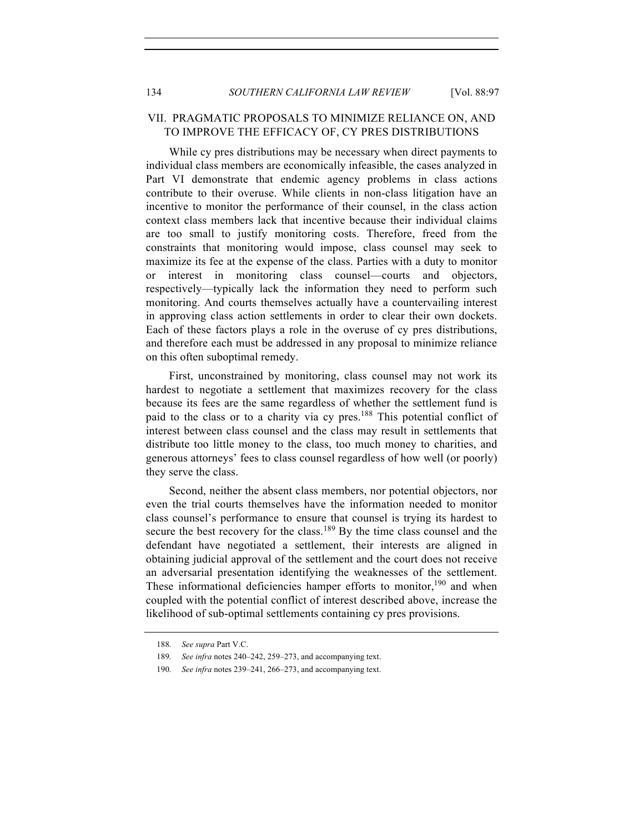## VII. PRAGMATIC PROPOSALS TO MINIMIZE RELIANCE ON, AND TO IMPROVE THE EFFICACY OF, CY PRES DISTRIBUTIONS

While cy pres distributions may be necessary when direct payments to individual class members are economically infeasible, the cases analyzed in Part VI demonstrate that endemic agency problems in class actions contribute to their overuse. While clients in non-class litigation have an incentive to monitor the performance of their counsel, in the class action context class members lack that incentive because their individual claims are too small to justify monitoring costs. Therefore, freed from the constraints that monitoring would impose, class counsel may seek to maximize its fee at the expense of the class. Parties with a duty to monitor or interest in monitoring class counsel—courts and objectors, respectively—typically lack the information they need to perform such monitoring. And courts themselves actually have a countervailing interest in approving class action settlements in order to clear their own dockets. Each of these factors plays a role in the overuse of cy pres distributions, and therefore each must be addressed in any proposal to minimize reliance on this often suboptimal remedy.

First, unconstrained by monitoring, class counsel may not work its hardest to negotiate a settlement that maximizes recovery for the class because its fees are the same regardless of whether the settlement fund is paid to the class or to a charity via cy pres.<sup>188</sup> This potential conflict of interest between class counsel and the class may result in settlements that distribute too little money to the class, too much money to charities, and generous attorneys' fees to class counsel regardless of how well (or poorly) they serve the class.

Second, neither the absent class members, nor potential objectors, nor even the trial courts themselves have the information needed to monitor class counsel's performance to ensure that counsel is trying its hardest to secure the best recovery for the class.<sup>189</sup> By the time class counsel and the defendant have negotiated a settlement, their interests are aligned in obtaining judicial approval of the settlement and the court does not receive an adversarial presentation identifying the weaknesses of the settlement. These informational deficiencies hamper efforts to monitor,<sup>190</sup> and when coupled with the potential conflict of interest described above, increase the likelihood of sub-optimal settlements containing cy pres provisions.

<sup>188.</sup> *See supra* Part V.C.

<sup>189.</sup> *See infra* notes 240–242, 259–273, and accompanying text.

<sup>190.</sup> *See infra* notes 239–241, 266–273, and accompanying text.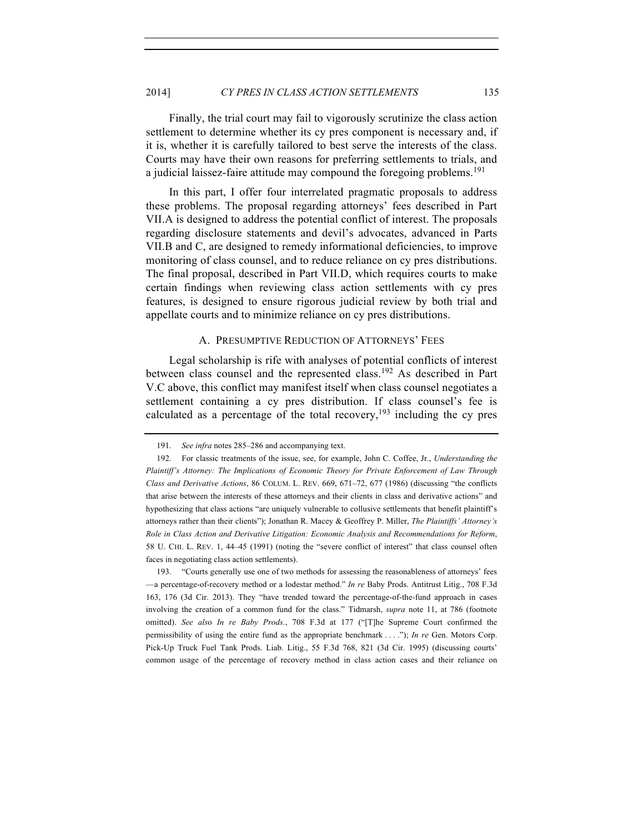Finally, the trial court may fail to vigorously scrutinize the class action settlement to determine whether its cy pres component is necessary and, if it is, whether it is carefully tailored to best serve the interests of the class. Courts may have their own reasons for preferring settlements to trials, and a judicial laissez-faire attitude may compound the foregoing problems.<sup>191</sup>

In this part, I offer four interrelated pragmatic proposals to address these problems. The proposal regarding attorneys' fees described in Part VII.A is designed to address the potential conflict of interest. The proposals regarding disclosure statements and devil's advocates, advanced in Parts VII.B and C, are designed to remedy informational deficiencies, to improve monitoring of class counsel, and to reduce reliance on cy pres distributions. The final proposal, described in Part VII.D, which requires courts to make certain findings when reviewing class action settlements with cy pres features, is designed to ensure rigorous judicial review by both trial and appellate courts and to minimize reliance on cy pres distributions.

#### A. PRESUMPTIVE REDUCTION OF ATTORNEYS' FEES

Legal scholarship is rife with analyses of potential conflicts of interest between class counsel and the represented class.<sup>192</sup> As described in Part V.C above, this conflict may manifest itself when class counsel negotiates a settlement containing a cy pres distribution. If class counsel's fee is calculated as a percentage of the total recovery,  $193$  including the cy pres

193. "Courts generally use one of two methods for assessing the reasonableness of attorneys' fees —a percentage-of-recovery method or a lodestar method." *In re* Baby Prods. Antitrust Litig., 708 F.3d 163, 176 (3d Cir. 2013). They "have trended toward the percentage-of-the-fund approach in cases involving the creation of a common fund for the class." Tidmarsh, *supra* note 11, at 786 (footnote omitted). *See als*o *In re Baby Prods.*, 708 F.3d at 177 ("[T]he Supreme Court confirmed the permissibility of using the entire fund as the appropriate benchmark . . . ."); *In re* Gen. Motors Corp. Pick-Up Truck Fuel Tank Prods. Liab. Litig., 55 F.3d 768, 821 (3d Cir. 1995) (discussing courts' common usage of the percentage of recovery method in class action cases and their reliance on

<sup>191.</sup> *See infra* notes 285–286 and accompanying text.

<sup>192.</sup> For classic treatments of the issue, see, for example, John C. Coffee, Jr., *Understanding the Plaintiff's Attorney: The Implications of Economic Theory for Private Enforcement of Law Through Class and Derivative Actions*, 86 COLUM. L. REV. 669, 671–72, 677 (1986) (discussing "the conflicts that arise between the interests of these attorneys and their clients in class and derivative actions" and hypothesizing that class actions "are uniquely vulnerable to collusive settlements that benefit plaintiff's attorneys rather than their clients"); Jonathan R. Macey & Geoffrey P. Miller, *The Plaintiffs' Attorney's Role in Class Action and Derivative Litigation: Economic Analysis and Recommendations for Reform*, 58 U. CHI. L. REV. 1, 44–45 (1991) (noting the "severe conflict of interest" that class counsel often faces in negotiating class action settlements).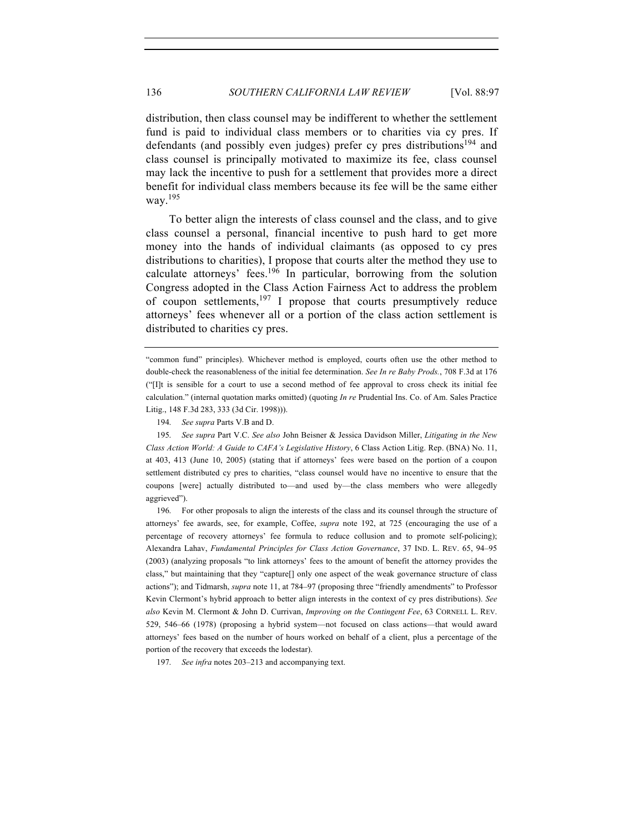distribution, then class counsel may be indifferent to whether the settlement fund is paid to individual class members or to charities via cy pres. If defendants (and possibly even judges) prefer cy pres distributions<sup>194</sup> and class counsel is principally motivated to maximize its fee, class counsel may lack the incentive to push for a settlement that provides more a direct benefit for individual class members because its fee will be the same either way.<sup>195</sup>

To better align the interests of class counsel and the class, and to give class counsel a personal, financial incentive to push hard to get more money into the hands of individual claimants (as opposed to cy pres distributions to charities), I propose that courts alter the method they use to calculate attorneys' fees.<sup>196</sup> In particular, borrowing from the solution Congress adopted in the Class Action Fairness Act to address the problem of coupon settlements, $197$  I propose that courts presumptively reduce attorneys' fees whenever all or a portion of the class action settlement is distributed to charities cy pres.

195. *See supra* Part V.C. *See also* John Beisner & Jessica Davidson Miller, *Litigating in the New Class Action World: A Guide to CAFA's Legislative History*, 6 Class Action Litig. Rep. (BNA) No. 11, at 403, 413 (June 10, 2005) (stating that if attorneys' fees were based on the portion of a coupon settlement distributed cy pres to charities, "class counsel would have no incentive to ensure that the coupons [were] actually distributed to—and used by—the class members who were allegedly aggrieved").

196. For other proposals to align the interests of the class and its counsel through the structure of attorneys' fee awards, see, for example, Coffee, *supra* note 192, at 725 (encouraging the use of a percentage of recovery attorneys' fee formula to reduce collusion and to promote self-policing); Alexandra Lahav, *Fundamental Principles for Class Action Governance*, 37 IND. L. REV. 65, 94–95 (2003) (analyzing proposals "to link attorneys' fees to the amount of benefit the attorney provides the class," but maintaining that they "capture[] only one aspect of the weak governance structure of class actions"); and Tidmarsh, *supra* note 11, at 784–97 (proposing three "friendly amendments" to Professor Kevin Clermont's hybrid approach to better align interests in the context of cy pres distributions). *See also* Kevin M. Clermont & John D. Currivan, *Improving on the Contingent Fee*, 63 CORNELL L. REV. 529, 546–66 (1978) (proposing a hybrid system—not focused on class actions—that would award attorneys' fees based on the number of hours worked on behalf of a client, plus a percentage of the portion of the recovery that exceeds the lodestar).

197. *See infra* notes 203–213 and accompanying text.

<sup>&</sup>quot;common fund" principles). Whichever method is employed, courts often use the other method to double-check the reasonableness of the initial fee determination. *See In re Baby Prods.*, 708 F.3d at 176 ("[I]t is sensible for a court to use a second method of fee approval to cross check its initial fee calculation." (internal quotation marks omitted) (quoting *In re* Prudential Ins. Co. of Am. Sales Practice Litig., 148 F.3d 283, 333 (3d Cir. 1998))).

<sup>194.</sup> *See supra* Parts V.B and D.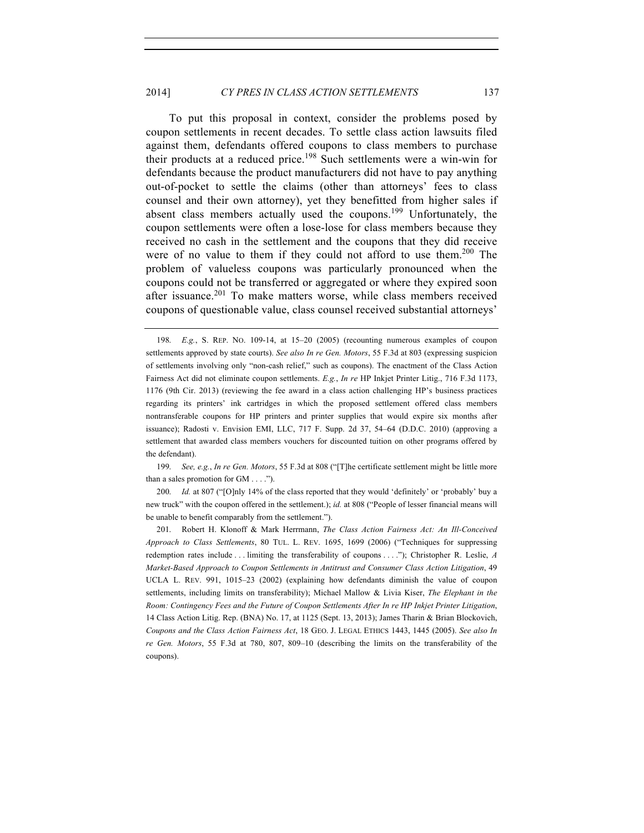To put this proposal in context, consider the problems posed by coupon settlements in recent decades. To settle class action lawsuits filed against them, defendants offered coupons to class members to purchase their products at a reduced price.<sup>198</sup> Such settlements were a win-win for defendants because the product manufacturers did not have to pay anything out-of-pocket to settle the claims (other than attorneys' fees to class counsel and their own attorney), yet they benefitted from higher sales if absent class members actually used the coupons.<sup>199</sup> Unfortunately, the coupon settlements were often a lose-lose for class members because they received no cash in the settlement and the coupons that they did receive were of no value to them if they could not afford to use them.<sup>200</sup> The problem of valueless coupons was particularly pronounced when the coupons could not be transferred or aggregated or where they expired soon after issuance.<sup>201</sup> To make matters worse, while class members received coupons of questionable value, class counsel received substantial attorneys'

199. *See, e.g.*, *In re Gen. Motors*, 55 F.3d at 808 ("[T]he certificate settlement might be little more than a sales promotion for GM . . . .").

200. *Id.* at 807 ("[O]nly 14% of the class reported that they would 'definitely' or 'probably' buy a new truck" with the coupon offered in the settlement.); *id.* at 808 ("People of lesser financial means will be unable to benefit comparably from the settlement.").

201. Robert H. Klonoff & Mark Herrmann, *The Class Action Fairness Act: An Ill-Conceived Approach to Class Settlements*, 80 TUL. L. REV. 1695, 1699 (2006) ("Techniques for suppressing redemption rates include . . . limiting the transferability of coupons . . . ."); Christopher R. Leslie, *A Market-Based Approach to Coupon Settlements in Antitrust and Consumer Class Action Litigation*, 49 UCLA L. REV. 991, 1015–23 (2002) (explaining how defendants diminish the value of coupon settlements, including limits on transferability); Michael Mallow & Livia Kiser, *The Elephant in the Room: Contingency Fees and the Future of Coupon Settlements After In re HP Inkjet Printer Litigation*, 14 Class Action Litig. Rep. (BNA) No. 17, at 1125 (Sept. 13, 2013); James Tharin & Brian Blockovich, *Coupons and the Class Action Fairness Act*, 18 GEO. J. LEGAL ETHICS 1443, 1445 (2005). *See also In re Gen. Motors*, 55 F.3d at 780, 807, 809–10 (describing the limits on the transferability of the coupons).

<sup>198.</sup> *E.g.*, S. REP. NO. 109-14, at 15–20 (2005) (recounting numerous examples of coupon settlements approved by state courts). *See also In re Gen. Motors*, 55 F.3d at 803 (expressing suspicion of settlements involving only "non-cash relief," such as coupons). The enactment of the Class Action Fairness Act did not eliminate coupon settlements. *E.g.*, *In re* HP Inkjet Printer Litig., 716 F.3d 1173, 1176 (9th Cir. 2013) (reviewing the fee award in a class action challenging HP's business practices regarding its printers' ink cartridges in which the proposed settlement offered class members nontransferable coupons for HP printers and printer supplies that would expire six months after issuance); Radosti v. Envision EMI, LLC, 717 F. Supp. 2d 37, 54–64 (D.D.C. 2010) (approving a settlement that awarded class members vouchers for discounted tuition on other programs offered by the defendant).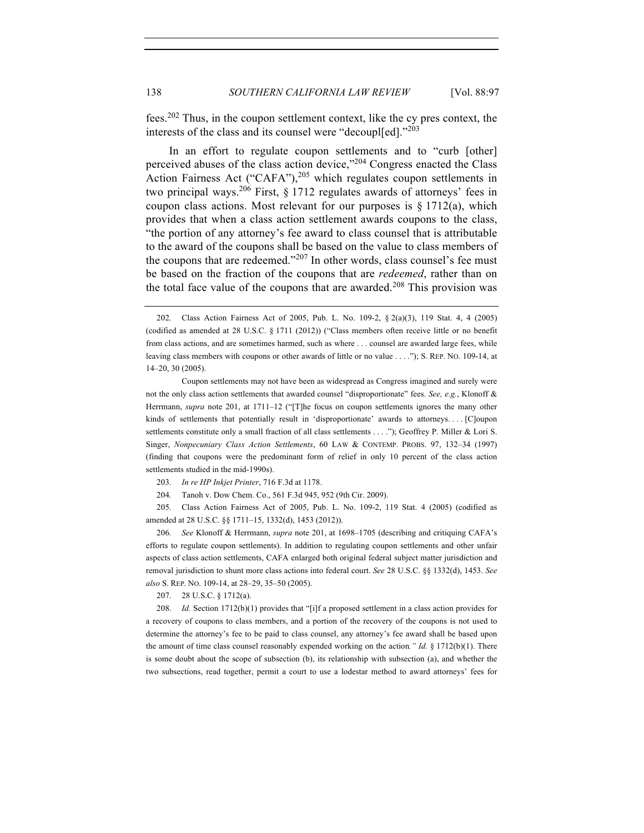fees.202 Thus, in the coupon settlement context, like the cy pres context, the interests of the class and its counsel were "decoupl[ed]."<sup>203</sup>

In an effort to regulate coupon settlements and to "curb [other] perceived abuses of the class action device," $204$  Congress enacted the Class Action Fairness Act ("CAFA"),<sup>205</sup> which regulates coupon settlements in two principal ways.<sup>206</sup> First, § 1712 regulates awards of attorneys' fees in coupon class actions. Most relevant for our purposes is  $\S 1712(a)$ , which provides that when a class action settlement awards coupons to the class, "the portion of any attorney's fee award to class counsel that is attributable to the award of the coupons shall be based on the value to class members of the coupons that are redeemed." $2^{07}$  In other words, class counsel's fee must be based on the fraction of the coupons that are *redeemed*, rather than on the total face value of the coupons that are awarded.<sup>208</sup> This provision was

205. Class Action Fairness Act of 2005, Pub. L. No. 109-2, 119 Stat. 4 (2005) (codified as amended at 28 U.S.C. §§ 1711–15, 1332(d), 1453 (2012)).

206. *See* Klonoff & Herrmann, *supra* note 201, at 1698–1705 (describing and critiquing CAFA's efforts to regulate coupon settlements). In addition to regulating coupon settlements and other unfair aspects of class action settlements, CAFA enlarged both original federal subject matter jurisdiction and removal jurisdiction to shunt more class actions into federal court. *See* 28 U.S.C. §§ 1332(d), 1453. *See also* S. REP. NO. 109-14, at 28–29, 35–50 (2005).

207. 28 U.S.C. § 1712(a).

208. *Id.* Section 1712(b)(1) provides that "[i]f a proposed settlement in a class action provides for a recovery of coupons to class members, and a portion of the recovery of the coupons is not used to determine the attorney's fee to be paid to class counsel, any attorney's fee award shall be based upon the amount of time class counsel reasonably expended working on the action*." Id.* § 1712(b)(1). There is some doubt about the scope of subsection (b), its relationship with subsection (a), and whether the two subsections, read together, permit a court to use a lodestar method to award attorneys' fees for

<sup>202.</sup> Class Action Fairness Act of 2005, Pub. L. No. 109-2, § 2(a)(3), 119 Stat. 4, 4 (2005) (codified as amended at 28 U.S.C. § 1711 (2012)) ("Class members often receive little or no benefit from class actions, and are sometimes harmed, such as where . . . counsel are awarded large fees, while leaving class members with coupons or other awards of little or no value . . . ."); S. REP. NO. 109-14, at 14–20, 30 (2005).

Coupon settlements may not have been as widespread as Congress imagined and surely were not the only class action settlements that awarded counsel "disproportionate" fees. *See, e.g.*, Klonoff & Herrmann, *supra* note 201, at 1711–12 ("[T]he focus on coupon settlements ignores the many other kinds of settlements that potentially result in 'disproportionate' awards to attorneys. . . . [C]oupon settlements constitute only a small fraction of all class settlements . . . ."); Geoffrey P. Miller & Lori S. Singer, *Nonpecuniary Class Action Settlements*, 60 LAW & CONTEMP. PROBS. 97, 132–34 (1997) (finding that coupons were the predominant form of relief in only 10 percent of the class action settlements studied in the mid-1990s).

<sup>203.</sup> *In re HP Inkjet Printer*, 716 F.3d at 1178.

<sup>204.</sup> Tanoh v. Dow Chem. Co., 561 F.3d 945, 952 (9th Cir. 2009).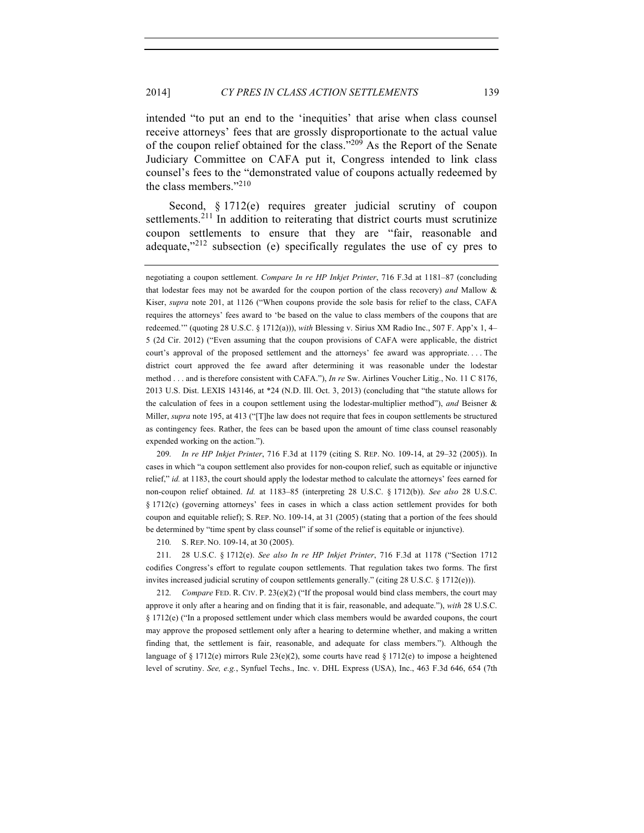intended "to put an end to the 'inequities' that arise when class counsel receive attorneys' fees that are grossly disproportionate to the actual value of the coupon relief obtained for the class."<sup>209</sup> As the Report of the Senate Judiciary Committee on CAFA put it, Congress intended to link class counsel's fees to the "demonstrated value of coupons actually redeemed by the class members."<sup>210</sup>

Second, § 1712(e) requires greater judicial scrutiny of coupon settlements.<sup>211</sup> In addition to reiterating that district courts must scrutinize coupon settlements to ensure that they are "fair, reasonable and adequate," $2^{12}$  subsection (e) specifically regulates the use of cy pres to

209. *In re HP Inkjet Printer*, 716 F.3d at 1179 (citing S. REP. NO. 109-14, at 29–32 (2005)). In cases in which "a coupon settlement also provides for non-coupon relief, such as equitable or injunctive relief," *id.* at 1183, the court should apply the lodestar method to calculate the attorneys' fees earned for non-coupon relief obtained. *Id.* at 1183–85 (interpreting 28 U.S.C. § 1712(b)). *See also* 28 U.S.C. § 1712(c) (governing attorneys' fees in cases in which a class action settlement provides for both coupon and equitable relief); S. REP. NO. 109-14, at 31 (2005) (stating that a portion of the fees should be determined by "time spent by class counsel" if some of the relief is equitable or injunctive).

210. S. REP. NO. 109-14, at 30 (2005).

211. 28 U.S.C. § 1712(e). *See also In re HP Inkjet Printer*, 716 F.3d at 1178 ("Section 1712 codifies Congress's effort to regulate coupon settlements. That regulation takes two forms. The first invites increased judicial scrutiny of coupon settlements generally." (citing 28 U.S.C. § 1712(e))).

212. *Compare* FED. R. CIV. P. 23(e)(2) ("If the proposal would bind class members, the court may approve it only after a hearing and on finding that it is fair, reasonable, and adequate."), *with* 28 U.S.C. § 1712(e) ("In a proposed settlement under which class members would be awarded coupons, the court may approve the proposed settlement only after a hearing to determine whether, and making a written finding that, the settlement is fair, reasonable, and adequate for class members."). Although the language of § 1712(e) mirrors Rule  $23(e)(2)$ , some courts have read § 1712(e) to impose a heightened level of scrutiny. *See, e.g.*, Synfuel Techs., Inc. v. DHL Express (USA), Inc., 463 F.3d 646, 654 (7th

negotiating a coupon settlement. *Compare In re HP Inkjet Printer*, 716 F.3d at 1181–87 (concluding that lodestar fees may not be awarded for the coupon portion of the class recovery) *and* Mallow & Kiser, *supra* note 201, at 1126 ("When coupons provide the sole basis for relief to the class, CAFA requires the attorneys' fees award to 'be based on the value to class members of the coupons that are redeemed.'" (quoting 28 U.S.C. § 1712(a))), *with* Blessing v. Sirius XM Radio Inc., 507 F. App'x 1, 4– 5 (2d Cir. 2012) ("Even assuming that the coupon provisions of CAFA were applicable, the district court's approval of the proposed settlement and the attorneys' fee award was appropriate. . . . The district court approved the fee award after determining it was reasonable under the lodestar method . . . and is therefore consistent with CAFA."), *In re* Sw. Airlines Voucher Litig., No. 11 C 8176, 2013 U.S. Dist. LEXIS 143146, at \*24 (N.D. Ill. Oct. 3, 2013) (concluding that "the statute allows for the calculation of fees in a coupon settlement using the lodestar-multiplier method"), *and* Beisner & Miller, *supra* note 195, at 413 ("[T]he law does not require that fees in coupon settlements be structured as contingency fees. Rather, the fees can be based upon the amount of time class counsel reasonably expended working on the action.").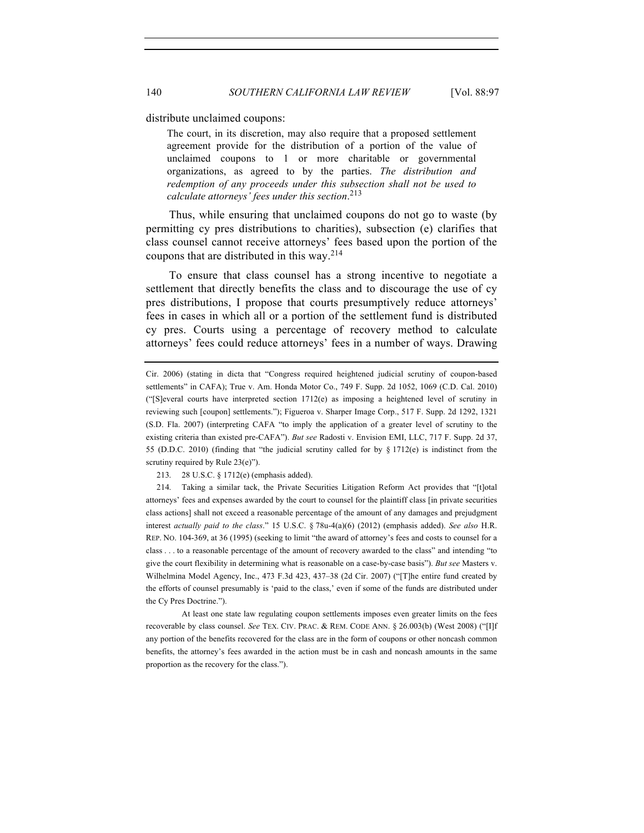distribute unclaimed coupons:

The court, in its discretion, may also require that a proposed settlement agreement provide for the distribution of a portion of the value of unclaimed coupons to 1 or more charitable or governmental organizations, as agreed to by the parties. *The distribution and redemption of any proceeds under this subsection shall not be used to calculate attorneys' fees under this section*. 213

Thus, while ensuring that unclaimed coupons do not go to waste (by permitting cy pres distributions to charities), subsection (e) clarifies that class counsel cannot receive attorneys' fees based upon the portion of the coupons that are distributed in this way.  $2^{14}$ 

To ensure that class counsel has a strong incentive to negotiate a settlement that directly benefits the class and to discourage the use of cy pres distributions, I propose that courts presumptively reduce attorneys' fees in cases in which all or a portion of the settlement fund is distributed cy pres. Courts using a percentage of recovery method to calculate attorneys' fees could reduce attorneys' fees in a number of ways. Drawing

213. 28 U.S.C. § 1712(e) (emphasis added).

214. Taking a similar tack, the Private Securities Litigation Reform Act provides that "[t]otal attorneys' fees and expenses awarded by the court to counsel for the plaintiff class [in private securities class actions] shall not exceed a reasonable percentage of the amount of any damages and prejudgment interest *actually paid to the class*." 15 U.S.C. § 78u-4(a)(6) (2012) (emphasis added). *See also* H.R. REP. NO. 104-369, at 36 (1995) (seeking to limit "the award of attorney's fees and costs to counsel for a class . . . to a reasonable percentage of the amount of recovery awarded to the class" and intending "to give the court flexibility in determining what is reasonable on a case-by-case basis"). *But see* Masters v. Wilhelmina Model Agency, Inc., 473 F.3d 423, 437–38 (2d Cir. 2007) ("[T]he entire fund created by the efforts of counsel presumably is 'paid to the class,' even if some of the funds are distributed under the Cy Pres Doctrine.").

At least one state law regulating coupon settlements imposes even greater limits on the fees recoverable by class counsel. *See* TEX. CIV. PRAC. & REM. CODE ANN. § 26.003(b) (West 2008) ("[I]f any portion of the benefits recovered for the class are in the form of coupons or other noncash common benefits, the attorney's fees awarded in the action must be in cash and noncash amounts in the same proportion as the recovery for the class.").

Cir. 2006) (stating in dicta that "Congress required heightened judicial scrutiny of coupon-based settlements" in CAFA); True v. Am. Honda Motor Co., 749 F. Supp. 2d 1052, 1069 (C.D. Cal. 2010) ("[S]everal courts have interpreted section 1712(e) as imposing a heightened level of scrutiny in reviewing such [coupon] settlements."); Figueroa v. Sharper Image Corp., 517 F. Supp. 2d 1292, 1321 (S.D. Fla. 2007) (interpreting CAFA "to imply the application of a greater level of scrutiny to the existing criteria than existed pre-CAFA"). *But see* Radosti v. Envision EMI, LLC, 717 F. Supp. 2d 37, 55 (D.D.C. 2010) (finding that "the judicial scrutiny called for by § 1712(e) is indistinct from the scrutiny required by Rule 23(e)").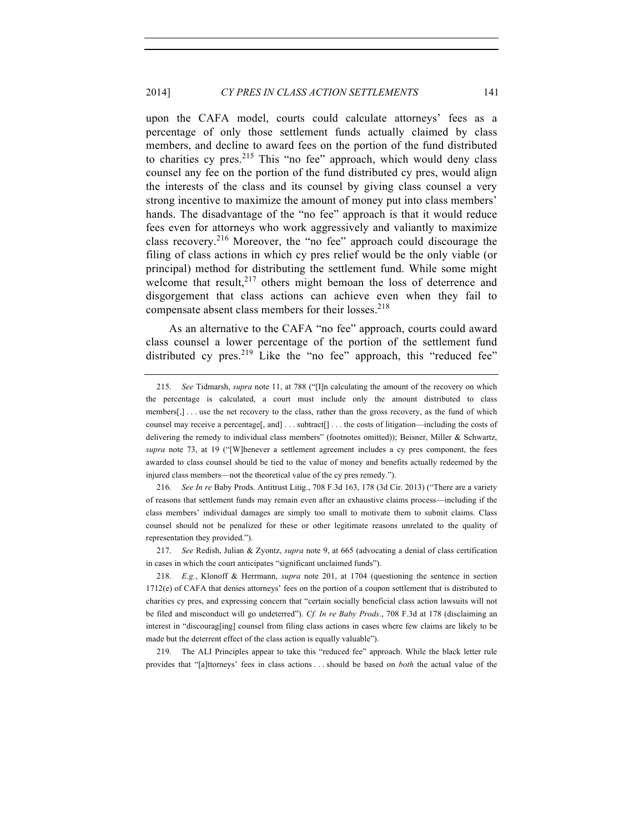upon the CAFA model, courts could calculate attorneys' fees as a percentage of only those settlement funds actually claimed by class members, and decline to award fees on the portion of the fund distributed to charities cy pres.<sup>215</sup> This "no fee" approach, which would deny class counsel any fee on the portion of the fund distributed cy pres, would align the interests of the class and its counsel by giving class counsel a very strong incentive to maximize the amount of money put into class members' hands. The disadvantage of the "no fee" approach is that it would reduce fees even for attorneys who work aggressively and valiantly to maximize class recovery.<sup>216</sup> Moreover, the "no fee" approach could discourage the filing of class actions in which cy pres relief would be the only viable (or principal) method for distributing the settlement fund. While some might welcome that result, $2^{17}$  others might bemoan the loss of deterrence and disgorgement that class actions can achieve even when they fail to compensate absent class members for their losses.<sup>218</sup>

As an alternative to the CAFA "no fee" approach, courts could award class counsel a lower percentage of the portion of the settlement fund distributed cy pres.<sup>219</sup> Like the "no fee" approach, this "reduced fee"

216. *See In re* Baby Prods. Antitrust Litig., 708 F.3d 163, 178 (3d Cir. 2013) ("There are a variety of reasons that settlement funds may remain even after an exhaustive claims process—including if the class members' individual damages are simply too small to motivate them to submit claims. Class counsel should not be penalized for these or other legitimate reasons unrelated to the quality of representation they provided.").

217. *See* Redish, Julian & Zyontz, *supra* note 9, at 665 (advocating a denial of class certification in cases in which the court anticipates "significant unclaimed funds").

218. *E.g.*, Klonoff & Herrmann, *supra* note 201, at 1704 (questioning the sentence in section 1712(e) of CAFA that denies attorneys' fees on the portion of a coupon settlement that is distributed to charities cy pres, and expressing concern that "certain socially beneficial class action lawsuits will not be filed and misconduct will go undeterred"). *Cf. In re Baby Prods*., 708 F.3d at 178 (disclaiming an interest in "discourag[ing] counsel from filing class actions in cases where few claims are likely to be made but the deterrent effect of the class action is equally valuable").

219. The ALI Principles appear to take this "reduced fee" approach. While the black letter rule provides that "[a]ttorneys' fees in class actions . . . should be based on *both* the actual value of the

<sup>215.</sup> *See* Tidmarsh, *supra* note 11, at 788 ("[I]n calculating the amount of the recovery on which the percentage is calculated, a court must include only the amount distributed to class members[,] . . . use the net recovery to the class, rather than the gross recovery, as the fund of which counsel may receive a percentage[, and] . . . subtract[] . . . the costs of litigation—including the costs of delivering the remedy to individual class members" (footnotes omitted)); Beisner, Miller & Schwartz, *supra* note 73, at 19 ("[W]henever a settlement agreement includes a cy pres component, the fees awarded to class counsel should be tied to the value of money and benefits actually redeemed by the injured class members—not the theoretical value of the cy pres remedy.").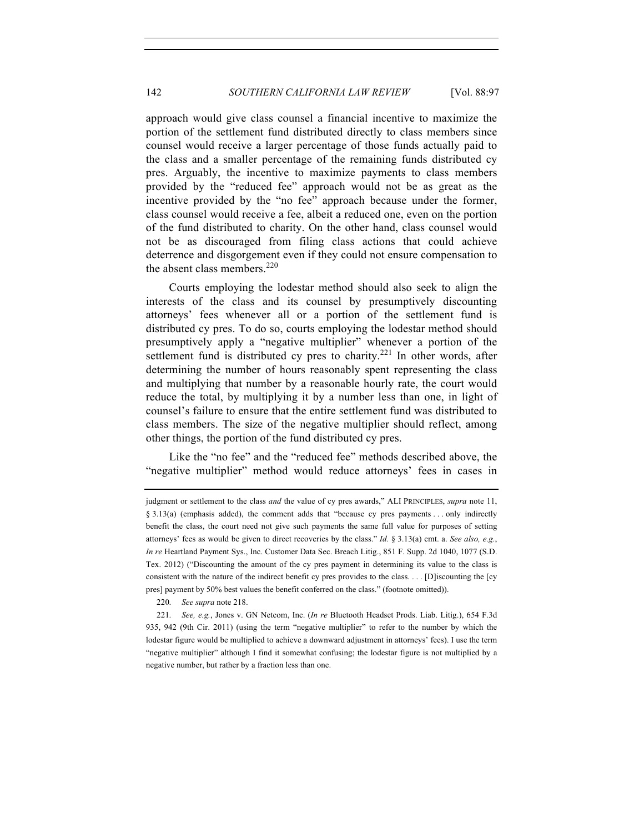approach would give class counsel a financial incentive to maximize the portion of the settlement fund distributed directly to class members since counsel would receive a larger percentage of those funds actually paid to the class and a smaller percentage of the remaining funds distributed cy pres. Arguably, the incentive to maximize payments to class members provided by the "reduced fee" approach would not be as great as the incentive provided by the "no fee" approach because under the former, class counsel would receive a fee, albeit a reduced one, even on the portion of the fund distributed to charity. On the other hand, class counsel would not be as discouraged from filing class actions that could achieve deterrence and disgorgement even if they could not ensure compensation to the absent class members. $220$ 

Courts employing the lodestar method should also seek to align the interests of the class and its counsel by presumptively discounting attorneys' fees whenever all or a portion of the settlement fund is distributed cy pres. To do so, courts employing the lodestar method should presumptively apply a "negative multiplier" whenever a portion of the settlement fund is distributed cy pres to charity.<sup>221</sup> In other words, after determining the number of hours reasonably spent representing the class and multiplying that number by a reasonable hourly rate, the court would reduce the total, by multiplying it by a number less than one, in light of counsel's failure to ensure that the entire settlement fund was distributed to class members. The size of the negative multiplier should reflect, among other things, the portion of the fund distributed cy pres.

Like the "no fee" and the "reduced fee" methods described above, the "negative multiplier" method would reduce attorneys' fees in cases in

220. *See supra* note 218.

judgment or settlement to the class *and* the value of cy pres awards," ALI PRINCIPLES, *supra* note 11, § 3.13(a) (emphasis added), the comment adds that "because cy pres payments . . . only indirectly benefit the class, the court need not give such payments the same full value for purposes of setting attorneys' fees as would be given to direct recoveries by the class." *Id.* § 3.13(a) cmt. a. *See also, e.g.*, *In re* Heartland Payment Sys., Inc. Customer Data Sec. Breach Litig., 851 F. Supp. 2d 1040, 1077 (S.D. Tex. 2012) ("Discounting the amount of the cy pres payment in determining its value to the class is consistent with the nature of the indirect benefit cy pres provides to the class. . . . [D]iscounting the [cy pres] payment by 50% best values the benefit conferred on the class." (footnote omitted)).

<sup>221.</sup> *See, e.g.*, Jones v. GN Netcom, Inc. (*In re* Bluetooth Headset Prods. Liab. Litig.), 654 F.3d 935, 942 (9th Cir. 2011) (using the term "negative multiplier" to refer to the number by which the lodestar figure would be multiplied to achieve a downward adjustment in attorneys' fees). I use the term "negative multiplier" although I find it somewhat confusing; the lodestar figure is not multiplied by a negative number, but rather by a fraction less than one.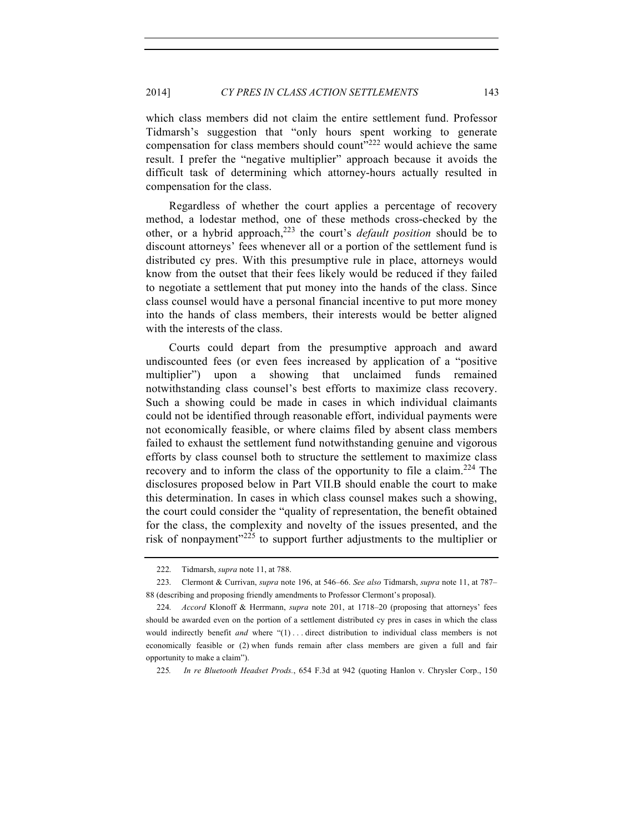which class members did not claim the entire settlement fund. Professor Tidmarsh's suggestion that "only hours spent working to generate compensation for class members should count<sup> $222$ </sup> would achieve the same result. I prefer the "negative multiplier" approach because it avoids the difficult task of determining which attorney-hours actually resulted in compensation for the class.

Regardless of whether the court applies a percentage of recovery method, a lodestar method, one of these methods cross-checked by the other, or a hybrid approach,223 the court's *default position* should be to discount attorneys' fees whenever all or a portion of the settlement fund is distributed cy pres. With this presumptive rule in place, attorneys would know from the outset that their fees likely would be reduced if they failed to negotiate a settlement that put money into the hands of the class. Since class counsel would have a personal financial incentive to put more money into the hands of class members, their interests would be better aligned with the interests of the class.

Courts could depart from the presumptive approach and award undiscounted fees (or even fees increased by application of a "positive multiplier") upon a showing that unclaimed funds remained notwithstanding class counsel's best efforts to maximize class recovery. Such a showing could be made in cases in which individual claimants could not be identified through reasonable effort, individual payments were not economically feasible, or where claims filed by absent class members failed to exhaust the settlement fund notwithstanding genuine and vigorous efforts by class counsel both to structure the settlement to maximize class recovery and to inform the class of the opportunity to file a claim.<sup>224</sup> The disclosures proposed below in Part VII.B should enable the court to make this determination. In cases in which class counsel makes such a showing, the court could consider the "quality of representation, the benefit obtained for the class, the complexity and novelty of the issues presented, and the risk of nonpayment"<sup>225</sup> to support further adjustments to the multiplier or

<sup>222.</sup> Tidmarsh, *supra* note 11, at 788.

<sup>223.</sup> Clermont & Currivan, *supra* note 196, at 546–66. *See also* Tidmarsh, *supra* note 11, at 787– 88 (describing and proposing friendly amendments to Professor Clermont's proposal).

<sup>224.</sup> *Accord* Klonoff & Herrmann, *supra* note 201, at 1718–20 (proposing that attorneys' fees should be awarded even on the portion of a settlement distributed cy pres in cases in which the class would indirectly benefit *and* where "(1) . . . direct distribution to individual class members is not economically feasible or (2) when funds remain after class members are given a full and fair opportunity to make a claim").

<sup>225</sup>*. In re Bluetooth Headset Prods.*, 654 F.3d at 942 (quoting Hanlon v. Chrysler Corp., 150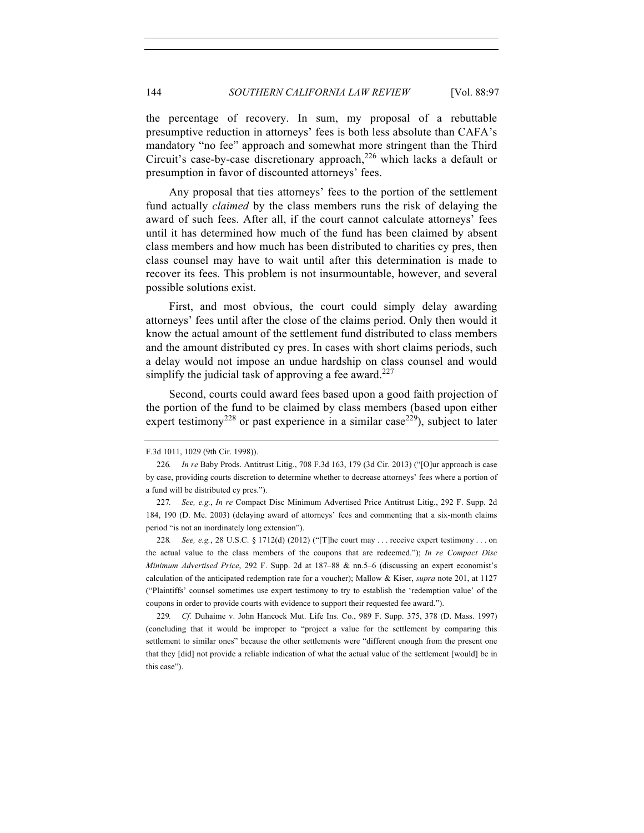the percentage of recovery. In sum, my proposal of a rebuttable presumptive reduction in attorneys' fees is both less absolute than CAFA's mandatory "no fee" approach and somewhat more stringent than the Third Circuit's case-by-case discretionary approach,  $226$  which lacks a default or presumption in favor of discounted attorneys' fees.

Any proposal that ties attorneys' fees to the portion of the settlement fund actually *claimed* by the class members runs the risk of delaying the award of such fees. After all, if the court cannot calculate attorneys' fees until it has determined how much of the fund has been claimed by absent class members and how much has been distributed to charities cy pres, then class counsel may have to wait until after this determination is made to recover its fees. This problem is not insurmountable, however, and several possible solutions exist.

First, and most obvious, the court could simply delay awarding attorneys' fees until after the close of the claims period. Only then would it know the actual amount of the settlement fund distributed to class members and the amount distributed cy pres. In cases with short claims periods, such a delay would not impose an undue hardship on class counsel and would simplify the judicial task of approving a fee award.<sup>227</sup>

Second, courts could award fees based upon a good faith projection of the portion of the fund to be claimed by class members (based upon either expert testimony<sup>228</sup> or past experience in a similar case<sup>229</sup>), subject to later

F.3d 1011, 1029 (9th Cir. 1998)).

<sup>226</sup>*. In re* Baby Prods. Antitrust Litig., 708 F.3d 163, 179 (3d Cir. 2013) ("[O]ur approach is case by case, providing courts discretion to determine whether to decrease attorneys' fees where a portion of a fund will be distributed cy pres.").

<sup>227</sup>*. See, e.g.*, *In re* Compact Disc Minimum Advertised Price Antitrust Litig., 292 F. Supp. 2d 184, 190 (D. Me. 2003) (delaying award of attorneys' fees and commenting that a six-month claims period "is not an inordinately long extension").

<sup>228</sup>*. See, e.g.*, 28 U.S.C. § 1712(d) (2012) ("[T]he court may . . . receive expert testimony . . . on the actual value to the class members of the coupons that are redeemed."); *In re Compact Disc Minimum Advertised Price*, 292 F. Supp. 2d at 187–88 & nn.5–6 (discussing an expert economist's calculation of the anticipated redemption rate for a voucher); Mallow & Kiser, *supra* note 201, at 1127 ("Plaintiffs' counsel sometimes use expert testimony to try to establish the 'redemption value' of the coupons in order to provide courts with evidence to support their requested fee award.").

<sup>229</sup>*. Cf.* Duhaime v. John Hancock Mut. Life Ins. Co., 989 F. Supp. 375, 378 (D. Mass. 1997) (concluding that it would be improper to "project a value for the settlement by comparing this settlement to similar ones" because the other settlements were "different enough from the present one that they [did] not provide a reliable indication of what the actual value of the settlement [would] be in this case").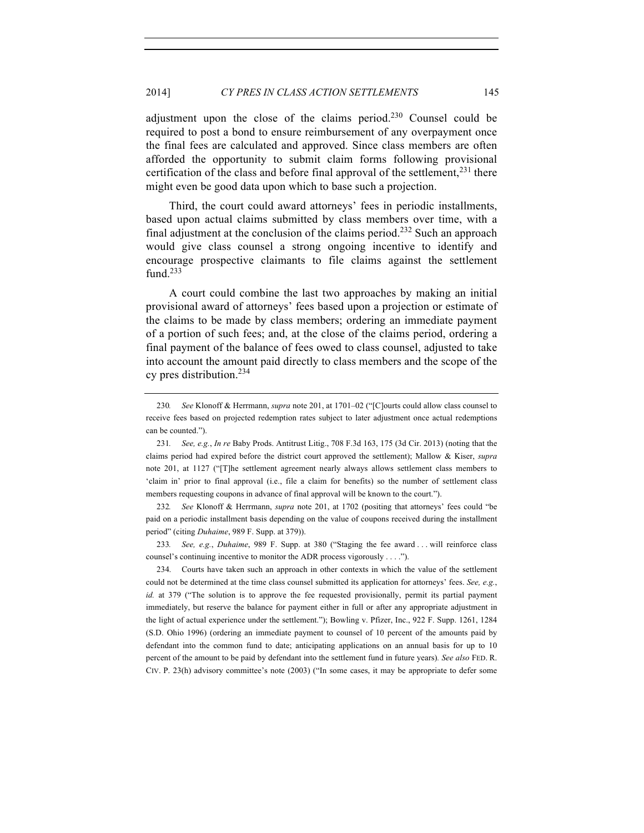adjustment upon the close of the claims period. $230$  Counsel could be required to post a bond to ensure reimbursement of any overpayment once the final fees are calculated and approved. Since class members are often afforded the opportunity to submit claim forms following provisional certification of the class and before final approval of the settlement,  $231$  there might even be good data upon which to base such a projection.

Third, the court could award attorneys' fees in periodic installments, based upon actual claims submitted by class members over time, with a final adjustment at the conclusion of the claims period.<sup>232</sup> Such an approach would give class counsel a strong ongoing incentive to identify and encourage prospective claimants to file claims against the settlement fund.<sup>233</sup>

A court could combine the last two approaches by making an initial provisional award of attorneys' fees based upon a projection or estimate of the claims to be made by class members; ordering an immediate payment of a portion of such fees; and, at the close of the claims period, ordering a final payment of the balance of fees owed to class counsel, adjusted to take into account the amount paid directly to class members and the scope of the cy pres distribution.<sup>234</sup>

232*. See* Klonoff & Herrmann, *supra* note 201, at 1702 (positing that attorneys' fees could "be paid on a periodic installment basis depending on the value of coupons received during the installment period" (citing *Duhaime*, 989 F. Supp. at 379)).

233*. See, e.g.*, *Duhaime*, 989 F. Supp. at 380 ("Staging the fee award . . . will reinforce class counsel's continuing incentive to monitor the ADR process vigorously . . . .").

234. Courts have taken such an approach in other contexts in which the value of the settlement could not be determined at the time class counsel submitted its application for attorneys' fees. *See, e.g.*, *id.* at 379 ("The solution is to approve the fee requested provisionally, permit its partial payment immediately, but reserve the balance for payment either in full or after any appropriate adjustment in the light of actual experience under the settlement."); Bowling v. Pfizer, Inc., 922 F. Supp. 1261, 1284 (S.D. Ohio 1996) (ordering an immediate payment to counsel of 10 percent of the amounts paid by defendant into the common fund to date; anticipating applications on an annual basis for up to 10 percent of the amount to be paid by defendant into the settlement fund in future years)*. See also* FED. R. CIV. P. 23(h) advisory committee's note (2003) ("In some cases, it may be appropriate to defer some

<sup>230</sup>*. See* Klonoff & Herrmann, *supra* note 201, at 1701–02 ("[C]ourts could allow class counsel to receive fees based on projected redemption rates subject to later adjustment once actual redemptions can be counted.").

<sup>231</sup>*. See, e.g.*, *In re* Baby Prods. Antitrust Litig., 708 F.3d 163, 175 (3d Cir. 2013) (noting that the claims period had expired before the district court approved the settlement); Mallow & Kiser, *supra* note 201, at 1127 ("[T]he settlement agreement nearly always allows settlement class members to 'claim in' prior to final approval (i.e., file a claim for benefits) so the number of settlement class members requesting coupons in advance of final approval will be known to the court.").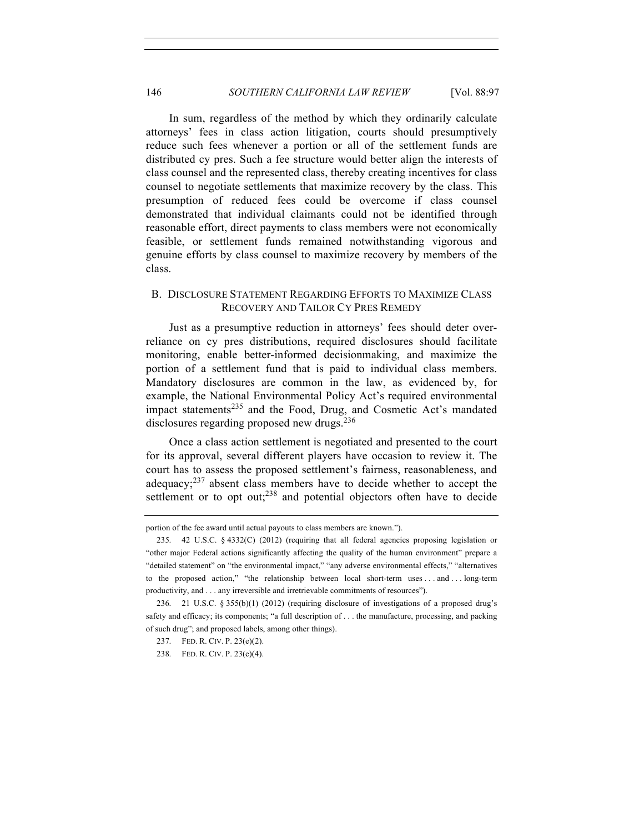In sum, regardless of the method by which they ordinarily calculate attorneys' fees in class action litigation, courts should presumptively reduce such fees whenever a portion or all of the settlement funds are distributed cy pres. Such a fee structure would better align the interests of class counsel and the represented class, thereby creating incentives for class counsel to negotiate settlements that maximize recovery by the class. This presumption of reduced fees could be overcome if class counsel demonstrated that individual claimants could not be identified through reasonable effort, direct payments to class members were not economically feasible, or settlement funds remained notwithstanding vigorous and genuine efforts by class counsel to maximize recovery by members of the class.

# B. DISCLOSURE STATEMENT REGARDING EFFORTS TO MAXIMIZE CLASS RECOVERY AND TAILOR CY PRES REMEDY

Just as a presumptive reduction in attorneys' fees should deter overreliance on cy pres distributions, required disclosures should facilitate monitoring, enable better-informed decisionmaking, and maximize the portion of a settlement fund that is paid to individual class members. Mandatory disclosures are common in the law, as evidenced by, for example, the National Environmental Policy Act's required environmental impact statements<sup>235</sup> and the Food, Drug, and Cosmetic Act's mandated disclosures regarding proposed new drugs. $236$ 

Once a class action settlement is negotiated and presented to the court for its approval, several different players have occasion to review it. The court has to assess the proposed settlement's fairness, reasonableness, and adequacy; $237$  absent class members have to decide whether to accept the settlement or to opt out; $238$  and potential objectors often have to decide

portion of the fee award until actual payouts to class members are known.").

<sup>235.</sup> 42 U.S.C. § 4332(C) (2012) (requiring that all federal agencies proposing legislation or "other major Federal actions significantly affecting the quality of the human environment" prepare a "detailed statement" on "the environmental impact," "any adverse environmental effects," "alternatives to the proposed action," "the relationship between local short-term uses . . . and . . . long-term productivity, and . . . any irreversible and irretrievable commitments of resources").

<sup>236.</sup> 21 U.S.C. § 355(b)(1) (2012) (requiring disclosure of investigations of a proposed drug's safety and efficacy; its components; "a full description of . . . the manufacture, processing, and packing of such drug"; and proposed labels, among other things).

<sup>237.</sup> FED. R. CIV. P. 23(e)(2).

<sup>238.</sup> FED. R. CIV. P. 23(e)(4).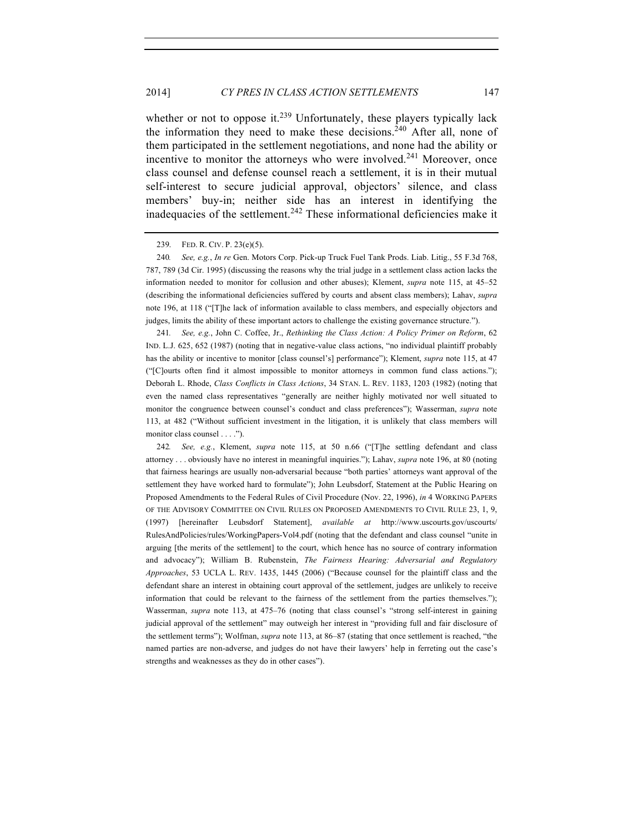whether or not to oppose it.<sup>239</sup> Unfortunately, these players typically lack the information they need to make these decisions.<sup>240</sup> After all, none of them participated in the settlement negotiations, and none had the ability or incentive to monitor the attorneys who were involved.<sup>241</sup> Moreover, once class counsel and defense counsel reach a settlement, it is in their mutual self-interest to secure judicial approval, objectors' silence, and class members' buy-in; neither side has an interest in identifying the inadequacies of the settlement.<sup>242</sup> These informational deficiencies make it

241*. See, e.g.*, John C. Coffee, Jr., *Rethinking the Class Action: A Policy Primer on Reform*, 62 IND. L.J. 625, 652 (1987) (noting that in negative-value class actions, "no individual plaintiff probably has the ability or incentive to monitor [class counsel's] performance"); Klement, *supra* note 115, at 47 ("[C]ourts often find it almost impossible to monitor attorneys in common fund class actions."); Deborah L. Rhode, *Class Conflicts in Class Actions*, 34 STAN. L. REV. 1183, 1203 (1982) (noting that even the named class representatives "generally are neither highly motivated nor well situated to monitor the congruence between counsel's conduct and class preferences"); Wasserman, *supra* note 113, at 482 ("Without sufficient investment in the litigation, it is unlikely that class members will monitor class counsel . . . .").

242*. See, e.g.*, Klement, *supra* note 115, at 50 n.66 ("[T]he settling defendant and class attorney . . . obviously have no interest in meaningful inquiries."); Lahav, *supra* note 196, at 80 (noting that fairness hearings are usually non-adversarial because "both parties' attorneys want approval of the settlement they have worked hard to formulate"); John Leubsdorf, Statement at the Public Hearing on Proposed Amendments to the Federal Rules of Civil Procedure (Nov. 22, 1996), *in* 4 WORKING PAPERS OF THE ADVISORY COMMITTEE ON CIVIL RULES ON PROPOSED AMENDMENTS TO CIVIL RULE 23, 1, 9, (1997) [hereinafter Leubsdorf Statement], *available at* http://www.uscourts.gov/uscourts/ RulesAndPolicies/rules/WorkingPapers-Vol4.pdf (noting that the defendant and class counsel "unite in arguing [the merits of the settlement] to the court, which hence has no source of contrary information and advocacy"); William B. Rubenstein, *The Fairness Hearing: Adversarial and Regulatory Approaches*, 53 UCLA L. REV. 1435, 1445 (2006) ("Because counsel for the plaintiff class and the defendant share an interest in obtaining court approval of the settlement, judges are unlikely to receive information that could be relevant to the fairness of the settlement from the parties themselves."); Wasserman, *supra* note 113, at 475–76 (noting that class counsel's "strong self-interest in gaining judicial approval of the settlement" may outweigh her interest in "providing full and fair disclosure of the settlement terms"); Wolfman, *supra* note 113, at 86–87 (stating that once settlement is reached, "the named parties are non-adverse, and judges do not have their lawyers' help in ferreting out the case's strengths and weaknesses as they do in other cases").

<sup>239.</sup> FED. R. CIV. P. 23(e)(5).

<sup>240</sup>*. See, e.g.*, *In re* Gen. Motors Corp. Pick-up Truck Fuel Tank Prods. Liab. Litig., 55 F.3d 768, 787, 789 (3d Cir. 1995) (discussing the reasons why the trial judge in a settlement class action lacks the information needed to monitor for collusion and other abuses); Klement, *supra* note 115, at 45–52 (describing the informational deficiencies suffered by courts and absent class members); Lahav, *supra* note 196, at 118 ("[T]he lack of information available to class members, and especially objectors and judges, limits the ability of these important actors to challenge the existing governance structure.").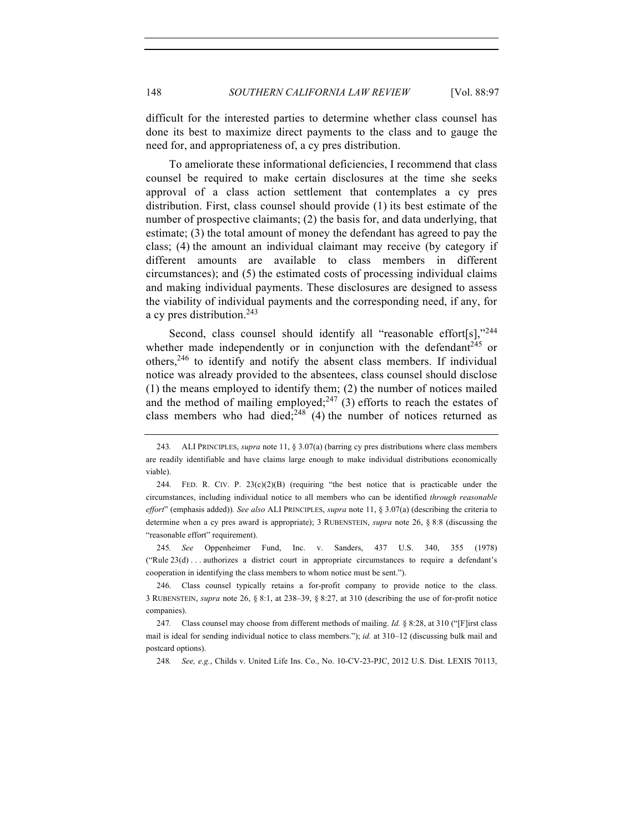difficult for the interested parties to determine whether class counsel has done its best to maximize direct payments to the class and to gauge the need for, and appropriateness of, a cy pres distribution.

To ameliorate these informational deficiencies, I recommend that class counsel be required to make certain disclosures at the time she seeks approval of a class action settlement that contemplates a cy pres distribution. First, class counsel should provide (1) its best estimate of the number of prospective claimants; (2) the basis for, and data underlying, that estimate; (3) the total amount of money the defendant has agreed to pay the class; (4) the amount an individual claimant may receive (by category if different amounts are available to class members in different circumstances); and (5) the estimated costs of processing individual claims and making individual payments. These disclosures are designed to assess the viability of individual payments and the corresponding need, if any, for a cy pres distribution.<sup>243</sup>

Second, class counsel should identify all "reasonable effort[s],"244 whether made independently or in conjunction with the defendant<sup>245</sup> or others,246 to identify and notify the absent class members. If individual notice was already provided to the absentees, class counsel should disclose (1) the means employed to identify them; (2) the number of notices mailed and the method of mailing employed;<sup>247</sup> (3) efforts to reach the estates of class members who had died;<sup>248</sup> (4) the number of notices returned as

245*. See* Oppenheimer Fund, Inc. v. Sanders, 437 U.S. 340, 355 (1978) ("Rule 23(d) . . . authorizes a district court in appropriate circumstances to require a defendant's cooperation in identifying the class members to whom notice must be sent.").

248*. See, e.g.*, Childs v. United Life Ins. Co., No. 10-CV-23-PJC, 2012 U.S. Dist. LEXIS 70113,

<sup>243</sup>*.* ALI PRINCIPLES, *supra* note 11, § 3.07(a) (barring cy pres distributions where class members are readily identifiable and have claims large enough to make individual distributions economically viable).

<sup>244.</sup> FED. R. CIV. P.  $23(c)(2)(B)$  (requiring "the best notice that is practicable under the circumstances, including individual notice to all members who can be identified *through reasonable effort*" (emphasis added))*. See also* ALI PRINCIPLES, *supra* note 11, § 3.07(a) (describing the criteria to determine when a cy pres award is appropriate); 3 RUBENSTEIN, *supra* note 26, § 8:8 (discussing the "reasonable effort" requirement).

<sup>246.</sup> Class counsel typically retains a for-profit company to provide notice to the class. 3 RUBENSTEIN, *supra* note 26, § 8:1, at 238–39, § 8:27, at 310 (describing the use of for-profit notice companies).

<sup>247</sup>*.* Class counsel may choose from different methods of mailing. *Id.* § 8:28, at 310 ("[F]irst class mail is ideal for sending individual notice to class members."); *id.* at 310–12 (discussing bulk mail and postcard options).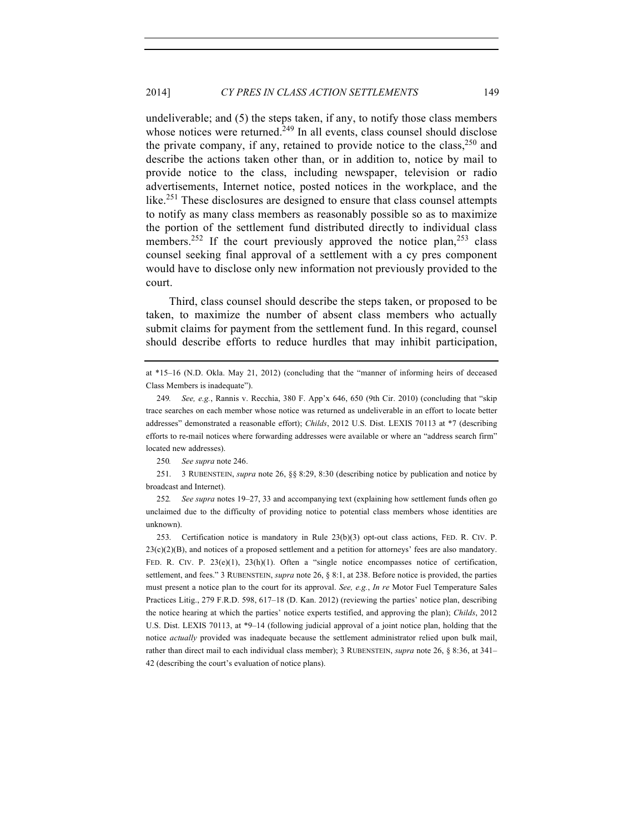undeliverable; and (5) the steps taken, if any, to notify those class members whose notices were returned.<sup>249</sup> In all events, class counsel should disclose the private company, if any, retained to provide notice to the class,  $250$  and describe the actions taken other than, or in addition to, notice by mail to provide notice to the class, including newspaper, television or radio advertisements, Internet notice, posted notices in the workplace, and the like.<sup>251</sup> These disclosures are designed to ensure that class counsel attempts to notify as many class members as reasonably possible so as to maximize the portion of the settlement fund distributed directly to individual class members.<sup>252</sup> If the court previously approved the notice plan,<sup>253</sup> class counsel seeking final approval of a settlement with a cy pres component would have to disclose only new information not previously provided to the court.

Third, class counsel should describe the steps taken, or proposed to be taken, to maximize the number of absent class members who actually submit claims for payment from the settlement fund. In this regard, counsel should describe efforts to reduce hurdles that may inhibit participation,

251. 3 RUBENSTEIN, *supra* note 26, §§ 8:29, 8:30 (describing notice by publication and notice by broadcast and Internet).

252*. See supra* notes 19–27, 33 and accompanying text (explaining how settlement funds often go unclaimed due to the difficulty of providing notice to potential class members whose identities are unknown).

253. Certification notice is mandatory in Rule 23(b)(3) opt-out class actions, FED. R. CIV. P.  $23(c)(2)(B)$ , and notices of a proposed settlement and a petition for attorneys' fees are also mandatory. FED. R. CIV. P.  $23(e)(1)$ ,  $23(h)(1)$ . Often a "single notice encompasses notice of certification, settlement, and fees." 3 RUBENSTEIN, *supra* note 26, § 8:1, at 238. Before notice is provided, the parties must present a notice plan to the court for its approval. *See, e.g.*, *In re* Motor Fuel Temperature Sales Practices Litig., 279 F.R.D. 598, 617–18 (D. Kan. 2012) (reviewing the parties' notice plan, describing the notice hearing at which the parties' notice experts testified, and approving the plan); *Childs*, 2012 U.S. Dist. LEXIS 70113, at \*9–14 (following judicial approval of a joint notice plan, holding that the notice *actually* provided was inadequate because the settlement administrator relied upon bulk mail, rather than direct mail to each individual class member); 3 RUBENSTEIN, *supra* note 26, § 8:36, at 341– 42 (describing the court's evaluation of notice plans).

at \*15–16 (N.D. Okla. May 21, 2012) (concluding that the "manner of informing heirs of deceased Class Members is inadequate").

<sup>249</sup>*. See, e.g.*, Rannis v. Recchia, 380 F. App'x 646, 650 (9th Cir. 2010) (concluding that "skip trace searches on each member whose notice was returned as undeliverable in an effort to locate better addresses" demonstrated a reasonable effort); *Childs*, 2012 U.S. Dist. LEXIS 70113 at \*7 (describing efforts to re-mail notices where forwarding addresses were available or where an "address search firm" located new addresses).

<sup>250</sup>*. See supra* note 246.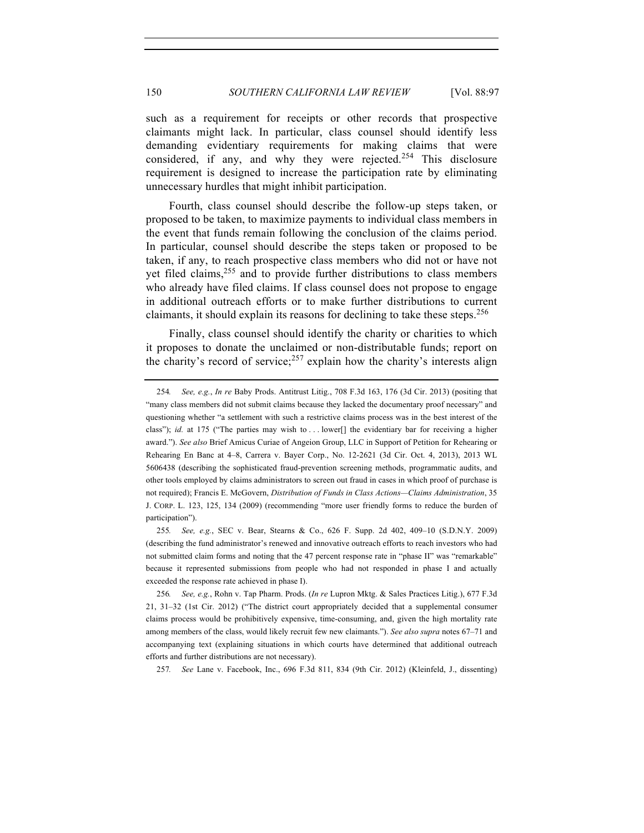such as a requirement for receipts or other records that prospective claimants might lack. In particular, class counsel should identify less demanding evidentiary requirements for making claims that were considered, if any, and why they were rejected.<sup>254</sup> This disclosure requirement is designed to increase the participation rate by eliminating unnecessary hurdles that might inhibit participation.

Fourth, class counsel should describe the follow-up steps taken, or proposed to be taken, to maximize payments to individual class members in the event that funds remain following the conclusion of the claims period. In particular, counsel should describe the steps taken or proposed to be taken, if any, to reach prospective class members who did not or have not yet filed claims,  $255$  and to provide further distributions to class members who already have filed claims. If class counsel does not propose to engage in additional outreach efforts or to make further distributions to current claimants, it should explain its reasons for declining to take these steps.<sup>256</sup>

Finally, class counsel should identify the charity or charities to which it proposes to donate the unclaimed or non-distributable funds; report on the charity's record of service;<sup>257</sup> explain how the charity's interests align

257*. See* Lane v. Facebook, Inc., 696 F.3d 811, 834 (9th Cir. 2012) (Kleinfeld, J., dissenting)

<sup>254</sup>*. See, e.g.*, *In re* Baby Prods. Antitrust Litig., 708 F.3d 163, 176 (3d Cir. 2013) (positing that "many class members did not submit claims because they lacked the documentary proof necessary" and questioning whether "a settlement with such a restrictive claims process was in the best interest of the class"); *id.* at 175 ("The parties may wish to . . lower<sup>[]</sup> the evidentiary bar for receiving a higher award."). *See also* Brief Amicus Curiae of Angeion Group, LLC in Support of Petition for Rehearing or Rehearing En Banc at 4–8, Carrera v. Bayer Corp., No. 12-2621 (3d Cir. Oct. 4, 2013), 2013 WL 5606438 (describing the sophisticated fraud-prevention screening methods, programmatic audits, and other tools employed by claims administrators to screen out fraud in cases in which proof of purchase is not required); Francis E. McGovern, *Distribution of Funds in Class Actions—Claims Administration*, 35 J. CORP. L. 123, 125, 134 (2009) (recommending "more user friendly forms to reduce the burden of participation").

<sup>255</sup>*. See, e.g.*, SEC v. Bear, Stearns & Co., 626 F. Supp. 2d 402, 409–10 (S.D.N.Y. 2009) (describing the fund administrator's renewed and innovative outreach efforts to reach investors who had not submitted claim forms and noting that the 47 percent response rate in "phase II" was "remarkable" because it represented submissions from people who had not responded in phase I and actually exceeded the response rate achieved in phase I).

<sup>256</sup>*. See, e.g.*, Rohn v. Tap Pharm. Prods. (*In re* Lupron Mktg. & Sales Practices Litig.), 677 F.3d 21, 31–32 (1st Cir. 2012) ("The district court appropriately decided that a supplemental consumer claims process would be prohibitively expensive, time-consuming, and, given the high mortality rate among members of the class, would likely recruit few new claimants."). *See also supra* notes 67–71 and accompanying text (explaining situations in which courts have determined that additional outreach efforts and further distributions are not necessary).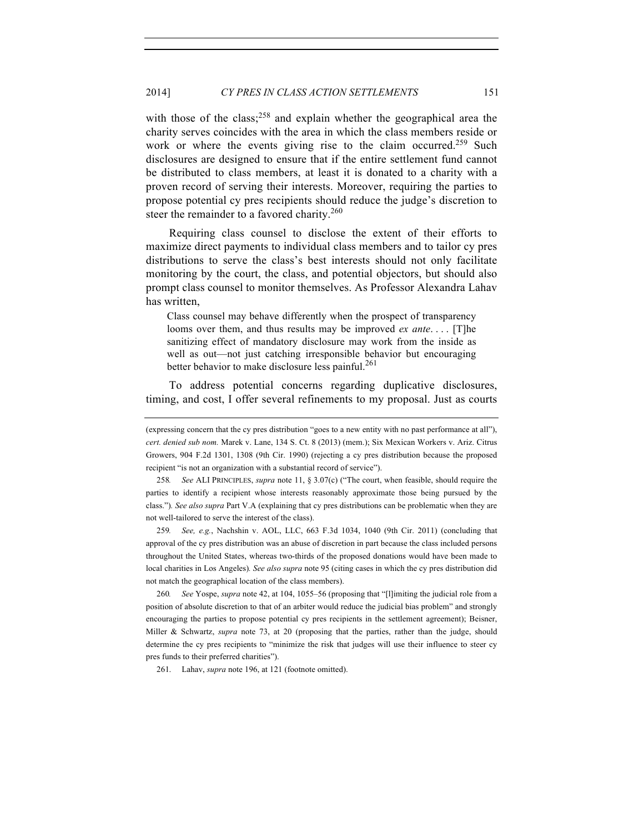with those of the class;<sup>258</sup> and explain whether the geographical area the charity serves coincides with the area in which the class members reside or work or where the events giving rise to the claim occurred.<sup>259</sup> Such disclosures are designed to ensure that if the entire settlement fund cannot be distributed to class members, at least it is donated to a charity with a proven record of serving their interests. Moreover, requiring the parties to propose potential cy pres recipients should reduce the judge's discretion to steer the remainder to a favored charity.<sup>260</sup>

Requiring class counsel to disclose the extent of their efforts to maximize direct payments to individual class members and to tailor cy pres distributions to serve the class's best interests should not only facilitate monitoring by the court, the class, and potential objectors, but should also prompt class counsel to monitor themselves. As Professor Alexandra Lahav has written,

Class counsel may behave differently when the prospect of transparency looms over them, and thus results may be improved *ex ante*. . . . [T]he sanitizing effect of mandatory disclosure may work from the inside as well as out—not just catching irresponsible behavior but encouraging better behavior to make disclosure less painful.<sup>261</sup>

To address potential concerns regarding duplicative disclosures, timing, and cost, I offer several refinements to my proposal. Just as courts

259*. See, e.g.*, Nachshin v. AOL, LLC, 663 F.3d 1034, 1040 (9th Cir. 2011) (concluding that approval of the cy pres distribution was an abuse of discretion in part because the class included persons throughout the United States, whereas two-thirds of the proposed donations would have been made to local charities in Los Angeles)*. See also supra* note 95 (citing cases in which the cy pres distribution did not match the geographical location of the class members).

260*. See* Yospe, *supra* note 42, at 104, 1055–56 (proposing that "[l]imiting the judicial role from a position of absolute discretion to that of an arbiter would reduce the judicial bias problem" and strongly encouraging the parties to propose potential cy pres recipients in the settlement agreement); Beisner, Miller & Schwartz, *supra* note 73, at 20 (proposing that the parties, rather than the judge, should determine the cy pres recipients to "minimize the risk that judges will use their influence to steer cy pres funds to their preferred charities").

261. Lahav, *supra* note 196, at 121 (footnote omitted).

<sup>(</sup>expressing concern that the cy pres distribution "goes to a new entity with no past performance at all"), *cert. denied sub nom.* Marek v. Lane, 134 S. Ct. 8 (2013) (mem.); Six Mexican Workers v. Ariz. Citrus Growers, 904 F.2d 1301, 1308 (9th Cir. 1990) (rejecting a cy pres distribution because the proposed recipient "is not an organization with a substantial record of service").

<sup>258</sup>*. See* ALI PRINCIPLES, *supra* note 11, § 3.07(c) ("The court, when feasible, should require the parties to identify a recipient whose interests reasonably approximate those being pursued by the class.")*. See also supra* Part V.A (explaining that cy pres distributions can be problematic when they are not well-tailored to serve the interest of the class).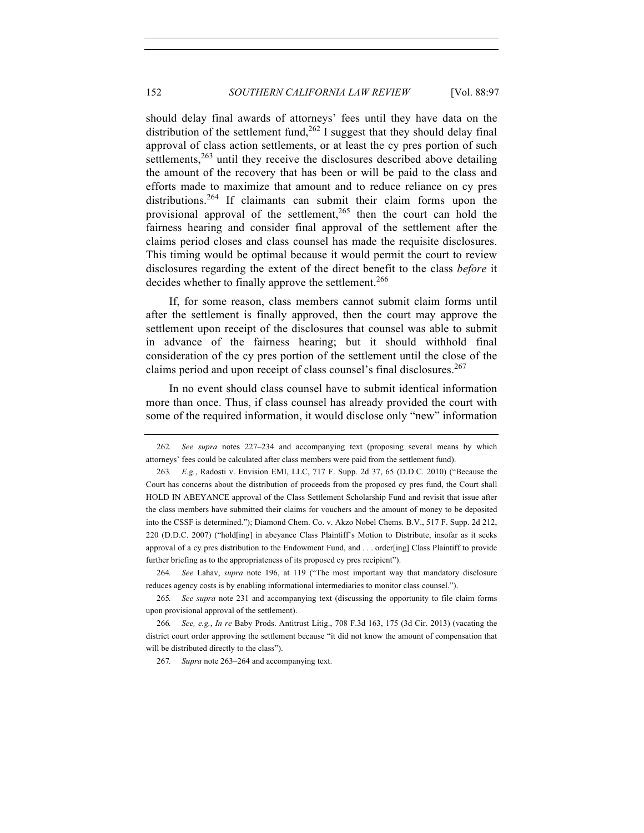should delay final awards of attorneys' fees until they have data on the distribution of the settlement fund,  $262$  I suggest that they should delay final approval of class action settlements, or at least the cy pres portion of such settlements,  $263$  until they receive the disclosures described above detailing the amount of the recovery that has been or will be paid to the class and efforts made to maximize that amount and to reduce reliance on cy pres distributions.<sup>264</sup> If claimants can submit their claim forms upon the provisional approval of the settlement,  $265$  then the court can hold the fairness hearing and consider final approval of the settlement after the claims period closes and class counsel has made the requisite disclosures. This timing would be optimal because it would permit the court to review disclosures regarding the extent of the direct benefit to the class *before* it decides whether to finally approve the settlement.<sup>266</sup>

If, for some reason, class members cannot submit claim forms until after the settlement is finally approved, then the court may approve the settlement upon receipt of the disclosures that counsel was able to submit in advance of the fairness hearing; but it should withhold final consideration of the cy pres portion of the settlement until the close of the claims period and upon receipt of class counsel's final disclosures.<sup>267</sup>

In no event should class counsel have to submit identical information more than once. Thus, if class counsel has already provided the court with some of the required information, it would disclose only "new" information

264*. See* Lahav, *supra* note 196, at 119 ("The most important way that mandatory disclosure reduces agency costs is by enabling informational intermediaries to monitor class counsel.").

265*. See supra* note 231 and accompanying text (discussing the opportunity to file claim forms upon provisional approval of the settlement).

266*. See, e.g.*, *In re* Baby Prods. Antitrust Litig., 708 F.3d 163, 175 (3d Cir. 2013) (vacating the district court order approving the settlement because "it did not know the amount of compensation that will be distributed directly to the class").

267*. Supra* note 263–264 and accompanying text.

<sup>262</sup>*. See supra* notes 227–234 and accompanying text (proposing several means by which attorneys' fees could be calculated after class members were paid from the settlement fund).

<sup>263</sup>*. E.g.*, Radosti v. Envision EMI, LLC, 717 F. Supp. 2d 37, 65 (D.D.C. 2010) ("Because the Court has concerns about the distribution of proceeds from the proposed cy pres fund, the Court shall HOLD IN ABEYANCE approval of the Class Settlement Scholarship Fund and revisit that issue after the class members have submitted their claims for vouchers and the amount of money to be deposited into the CSSF is determined."); Diamond Chem. Co. v. Akzo Nobel Chems. B.V., 517 F. Supp. 2d 212, 220 (D.D.C. 2007) ("hold[ing] in abeyance Class Plaintiff's Motion to Distribute, insofar as it seeks approval of a cy pres distribution to the Endowment Fund, and . . . order[ing] Class Plaintiff to provide further briefing as to the appropriateness of its proposed cy pres recipient").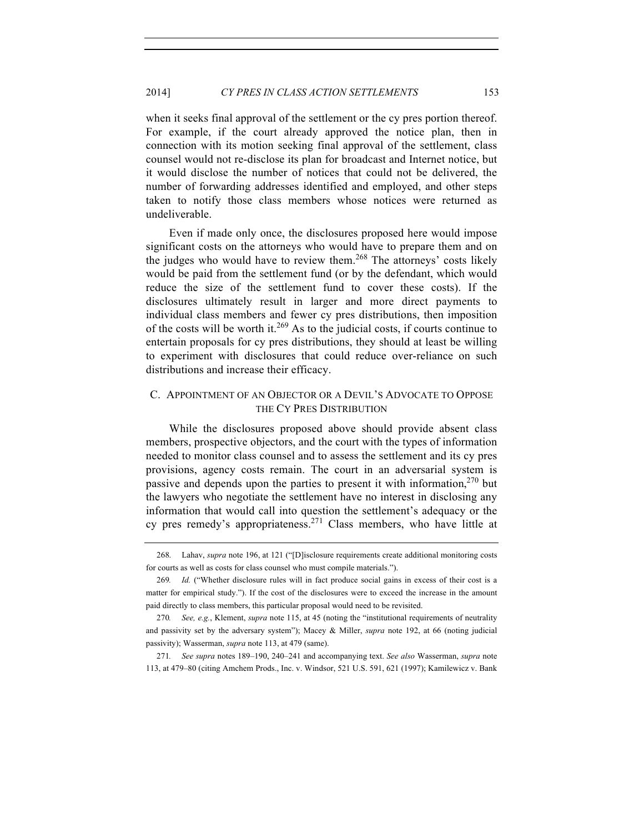when it seeks final approval of the settlement or the cy pres portion thereof. For example, if the court already approved the notice plan, then in connection with its motion seeking final approval of the settlement, class counsel would not re-disclose its plan for broadcast and Internet notice, but it would disclose the number of notices that could not be delivered, the number of forwarding addresses identified and employed, and other steps taken to notify those class members whose notices were returned as undeliverable.

Even if made only once, the disclosures proposed here would impose significant costs on the attorneys who would have to prepare them and on the judges who would have to review them.<sup>268</sup> The attorneys' costs likely would be paid from the settlement fund (or by the defendant, which would reduce the size of the settlement fund to cover these costs). If the disclosures ultimately result in larger and more direct payments to individual class members and fewer cy pres distributions, then imposition of the costs will be worth it.<sup>269</sup> As to the judicial costs, if courts continue to entertain proposals for cy pres distributions, they should at least be willing to experiment with disclosures that could reduce over-reliance on such distributions and increase their efficacy.

# C. APPOINTMENT OF AN OBJECTOR OR A DEVIL'S ADVOCATE TO OPPOSE THE CY PRES DISTRIBUTION

While the disclosures proposed above should provide absent class members, prospective objectors, and the court with the types of information needed to monitor class counsel and to assess the settlement and its cy pres provisions, agency costs remain. The court in an adversarial system is passive and depends upon the parties to present it with information, $270$  but the lawyers who negotiate the settlement have no interest in disclosing any information that would call into question the settlement's adequacy or the cy pres remedy's appropriateness.<sup>271</sup> Class members, who have little at

271*. See supra* notes 189–190, 240–241 and accompanying text. *See also* Wasserman, *supra* note 113, at 479–80 (citing Amchem Prods., Inc. v. Windsor, 521 U.S. 591, 621 (1997); Kamilewicz v. Bank

<sup>268.</sup> Lahav, *supra* note 196, at 121 ("[D]isclosure requirements create additional monitoring costs for courts as well as costs for class counsel who must compile materials.").

<sup>269</sup>*. Id.* ("Whether disclosure rules will in fact produce social gains in excess of their cost is a matter for empirical study."). If the cost of the disclosures were to exceed the increase in the amount paid directly to class members, this particular proposal would need to be revisited.

<sup>270</sup>*. See, e.g.*, Klement, *supra* note 115, at 45 (noting the "institutional requirements of neutrality and passivity set by the adversary system"); Macey & Miller, *supra* note 192, at 66 (noting judicial passivity); Wasserman, *supra* note 113, at 479 (same).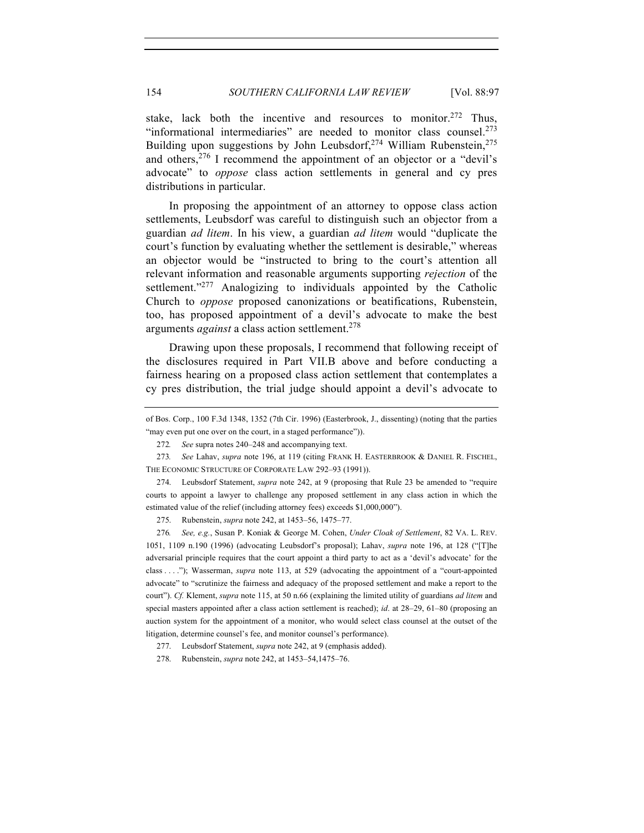stake, lack both the incentive and resources to monitor.<sup>272</sup> Thus, "informational intermediaries" are needed to monitor class counsel. $273$ Building upon suggestions by John Leubsdorf,  $274$  William Rubenstein,  $275$ and others,  $276$  I recommend the appointment of an objector or a "devil's advocate" to *oppose* class action settlements in general and cy pres distributions in particular.

In proposing the appointment of an attorney to oppose class action settlements, Leubsdorf was careful to distinguish such an objector from a guardian *ad litem*. In his view, a guardian *ad litem* would "duplicate the court's function by evaluating whether the settlement is desirable," whereas an objector would be "instructed to bring to the court's attention all relevant information and reasonable arguments supporting *rejection* of the settlement."<sup>277</sup> Analogizing to individuals appointed by the Catholic Church to *oppose* proposed canonizations or beatifications, Rubenstein, too, has proposed appointment of a devil's advocate to make the best arguments *against* a class action settlement.<sup>278</sup>

Drawing upon these proposals, I recommend that following receipt of the disclosures required in Part VII.B above and before conducting a fairness hearing on a proposed class action settlement that contemplates a cy pres distribution, the trial judge should appoint a devil's advocate to

274. Leubsdorf Statement, *supra* note 242, at 9 (proposing that Rule 23 be amended to "require courts to appoint a lawyer to challenge any proposed settlement in any class action in which the estimated value of the relief (including attorney fees) exceeds \$1,000,000").

275. Rubenstein, *supra* note 242, at 1453–56, 1475–77.

276*. See, e.g.*, Susan P. Koniak & George M. Cohen, *Under Cloak of Settlement*, 82 VA. L. REV. 1051, 1109 n.190 (1996) (advocating Leubsdorf's proposal); Lahav, *supra* note 196, at 128 ("[T]he adversarial principle requires that the court appoint a third party to act as a 'devil's advocate' for the class . . . ."); Wasserman, *supra* note 113, at 529 (advocating the appointment of a "court-appointed advocate" to "scrutinize the fairness and adequacy of the proposed settlement and make a report to the court"). *Cf.* Klement, *supra* note 115, at 50 n.66 (explaining the limited utility of guardians *ad litem* and special masters appointed after a class action settlement is reached); *id*. at 28–29, 61–80 (proposing an auction system for the appointment of a monitor, who would select class counsel at the outset of the litigation, determine counsel's fee, and monitor counsel's performance).

277. Leubsdorf Statement, *supra* note 242, at 9 (emphasis added).

278. Rubenstein, *supra* note 242, at 1453–54,1475–76.

of Bos. Corp., 100 F.3d 1348, 1352 (7th Cir. 1996) (Easterbrook, J., dissenting) (noting that the parties "may even put one over on the court, in a staged performance")).

<sup>272</sup>*. See* supra notes 240–248 and accompanying text.

<sup>273</sup>*. See* Lahav, *supra* note 196, at 119 (citing FRANK H. EASTERBROOK & DANIEL R. FISCHEL, THE ECONOMIC STRUCTURE OF CORPORATE LAW 292–93 (1991)).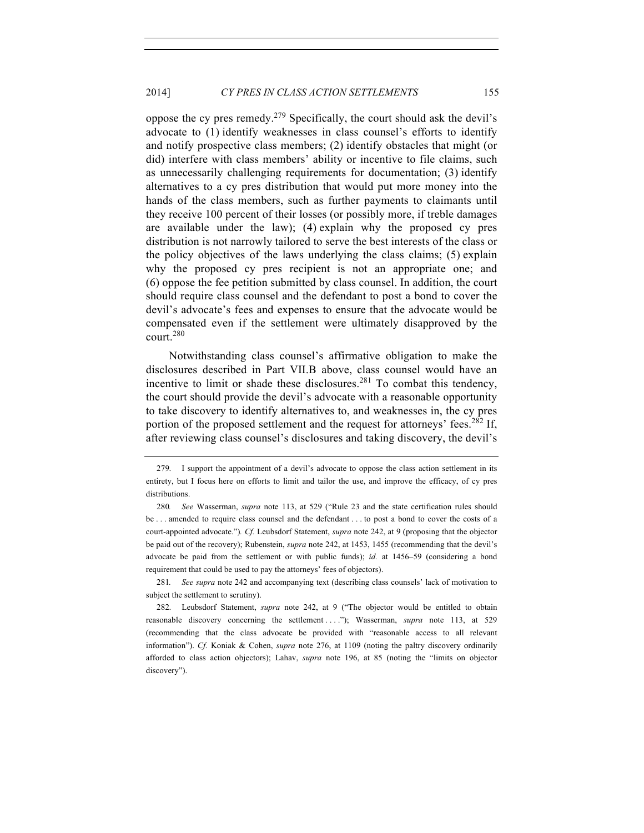oppose the cy pres remedy.279 Specifically, the court should ask the devil's advocate to (1) identify weaknesses in class counsel's efforts to identify and notify prospective class members; (2) identify obstacles that might (or did) interfere with class members' ability or incentive to file claims, such as unnecessarily challenging requirements for documentation; (3) identify alternatives to a cy pres distribution that would put more money into the hands of the class members, such as further payments to claimants until they receive 100 percent of their losses (or possibly more, if treble damages are available under the law); (4) explain why the proposed cy pres distribution is not narrowly tailored to serve the best interests of the class or the policy objectives of the laws underlying the class claims; (5) explain why the proposed cy pres recipient is not an appropriate one; and (6) oppose the fee petition submitted by class counsel. In addition, the court should require class counsel and the defendant to post a bond to cover the devil's advocate's fees and expenses to ensure that the advocate would be compensated even if the settlement were ultimately disapproved by the court.<sup>280</sup>

Notwithstanding class counsel's affirmative obligation to make the disclosures described in Part VII.B above, class counsel would have an incentive to limit or shade these disclosures.<sup>281</sup> To combat this tendency, the court should provide the devil's advocate with a reasonable opportunity to take discovery to identify alternatives to, and weaknesses in, the cy pres portion of the proposed settlement and the request for attorneys' fees.<sup>282</sup> If, after reviewing class counsel's disclosures and taking discovery, the devil's

281*. See supra* note 242 and accompanying text (describing class counsels' lack of motivation to subject the settlement to scrutiny).

<sup>279.</sup> I support the appointment of a devil's advocate to oppose the class action settlement in its entirety, but I focus here on efforts to limit and tailor the use, and improve the efficacy, of cy pres distributions.

<sup>280</sup>*. See* Wasserman, *supra* note 113, at 529 ("Rule 23 and the state certification rules should be . . . amended to require class counsel and the defendant . . . to post a bond to cover the costs of a court-appointed advocate.")*. Cf.* Leubsdorf Statement, *supra* note 242, at 9 (proposing that the objector be paid out of the recovery); Rubenstein, *supra* note 242, at 1453, 1455 (recommending that the devil's advocate be paid from the settlement or with public funds); *id.* at 1456–59 (considering a bond requirement that could be used to pay the attorneys' fees of objectors).

<sup>282.</sup> Leubsdorf Statement, *supra* note 242, at 9 ("The objector would be entitled to obtain reasonable discovery concerning the settlement ...."); Wasserman, *supra* note 113, at 529 (recommending that the class advocate be provided with "reasonable access to all relevant information"). *Cf.* Koniak & Cohen, *supra* note 276, at 1109 (noting the paltry discovery ordinarily afforded to class action objectors); Lahav, *supra* note 196, at 85 (noting the "limits on objector discovery").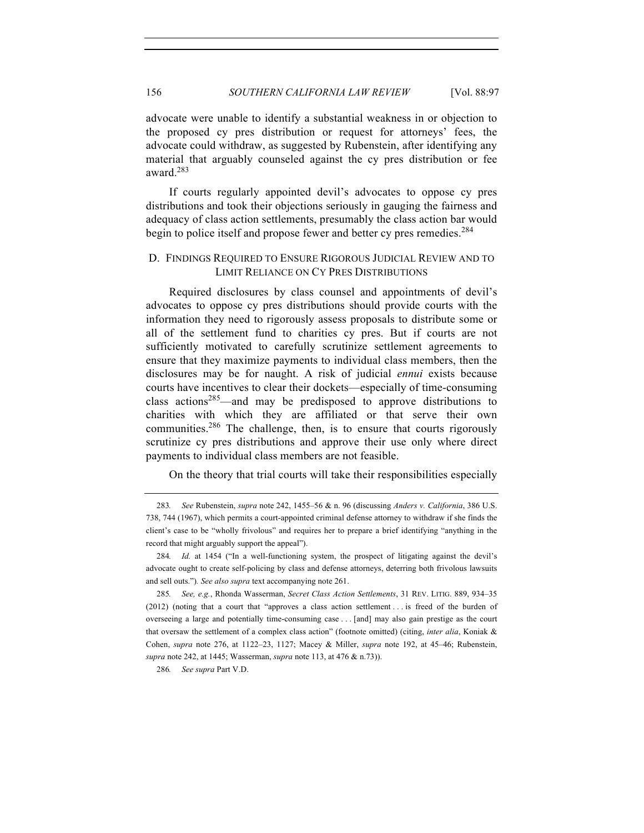## 156 *SOUTHERN CALIFORNIA LAW REVIEW* [Vol. 88:97

advocate were unable to identify a substantial weakness in or objection to the proposed cy pres distribution or request for attorneys' fees, the advocate could withdraw, as suggested by Rubenstein, after identifying any material that arguably counseled against the cy pres distribution or fee award.283

If courts regularly appointed devil's advocates to oppose cy pres distributions and took their objections seriously in gauging the fairness and adequacy of class action settlements, presumably the class action bar would begin to police itself and propose fewer and better cy pres remedies.<sup>284</sup>

## D. FINDINGS REQUIRED TO ENSURE RIGOROUS JUDICIAL REVIEW AND TO LIMIT RELIANCE ON CY PRES DISTRIBUTIONS

Required disclosures by class counsel and appointments of devil's advocates to oppose cy pres distributions should provide courts with the information they need to rigorously assess proposals to distribute some or all of the settlement fund to charities cy pres. But if courts are not sufficiently motivated to carefully scrutinize settlement agreements to ensure that they maximize payments to individual class members, then the disclosures may be for naught. A risk of judicial *ennui* exists because courts have incentives to clear their dockets—especially of time-consuming class actions<sup>285</sup>—and may be predisposed to approve distributions to charities with which they are affiliated or that serve their own communities. $286$  The challenge, then, is to ensure that courts rigorously scrutinize cy pres distributions and approve their use only where direct payments to individual class members are not feasible.

On the theory that trial courts will take their responsibilities especially

<sup>283</sup>*. See* Rubenstein, *supra* note 242, 1455–56 & n. 96 (discussing *Anders v. California*, 386 U.S. 738, 744 (1967), which permits a court-appointed criminal defense attorney to withdraw if she finds the client's case to be "wholly frivolous" and requires her to prepare a brief identifying "anything in the record that might arguably support the appeal").

<sup>284</sup>*. Id.* at 1454 ("In a well-functioning system, the prospect of litigating against the devil's advocate ought to create self-policing by class and defense attorneys, deterring both frivolous lawsuits and sell outs.")*. See also supra* text accompanying note 261.

<sup>285</sup>*. See, e.g.*, Rhonda Wasserman, *Secret Class Action Settlements*, 31 REV. LITIG. 889, 934–35 (2012) (noting that a court that "approves a class action settlement . . . is freed of the burden of overseeing a large and potentially time-consuming case . . . [and] may also gain prestige as the court that oversaw the settlement of a complex class action" (footnote omitted) (citing, *inter alia*, Koniak & Cohen, *supra* note 276, at 1122–23, 1127; Macey & Miller, *supra* note 192, at 45–46; Rubenstein, *supra* note 242, at 1445; Wasserman, *supra* note 113, at 476 & n.73)).

<sup>286</sup>*. See supra* Part V.D.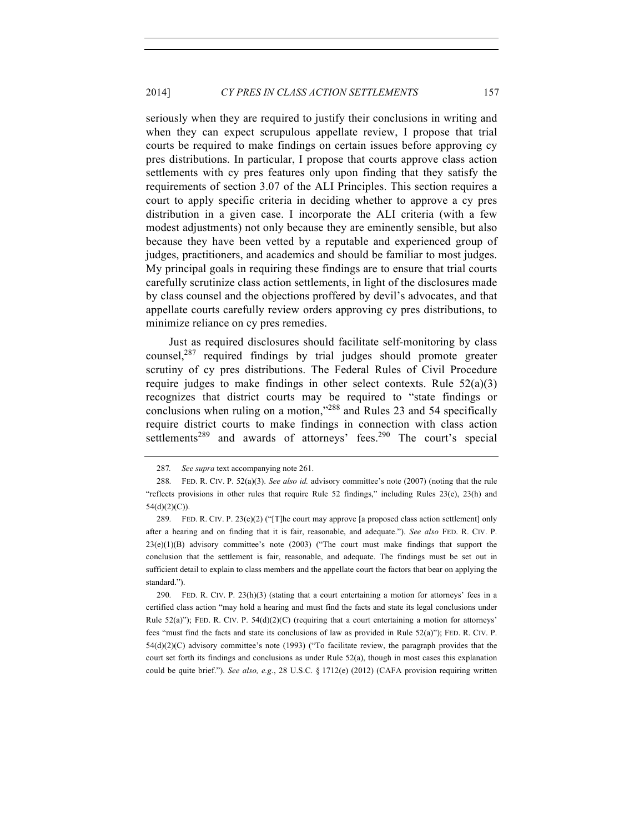seriously when they are required to justify their conclusions in writing and when they can expect scrupulous appellate review, I propose that trial courts be required to make findings on certain issues before approving cy pres distributions. In particular, I propose that courts approve class action settlements with cy pres features only upon finding that they satisfy the requirements of section 3.07 of the ALI Principles. This section requires a court to apply specific criteria in deciding whether to approve a cy pres distribution in a given case. I incorporate the ALI criteria (with a few modest adjustments) not only because they are eminently sensible, but also because they have been vetted by a reputable and experienced group of judges, practitioners, and academics and should be familiar to most judges. My principal goals in requiring these findings are to ensure that trial courts carefully scrutinize class action settlements, in light of the disclosures made by class counsel and the objections proffered by devil's advocates, and that appellate courts carefully review orders approving cy pres distributions, to minimize reliance on cy pres remedies.

Just as required disclosures should facilitate self-monitoring by class counsel,<sup>287</sup> required findings by trial judges should promote greater scrutiny of cy pres distributions. The Federal Rules of Civil Procedure require judges to make findings in other select contexts. Rule  $52(a)(3)$ recognizes that district courts may be required to "state findings or conclusions when ruling on a motion,"<sup>288</sup> and Rules 23 and 54 specifically require district courts to make findings in connection with class action settlements<sup>289</sup> and awards of attorneys' fees.<sup>290</sup> The court's special

290. FED. R. CIV. P.  $23(h)(3)$  (stating that a court entertaining a motion for attorneys' fees in a certified class action "may hold a hearing and must find the facts and state its legal conclusions under Rule  $52(a)$ "); FED. R. CIV. P.  $54(d)(2)(C)$  (requiring that a court entertaining a motion for attorneys' fees "must find the facts and state its conclusions of law as provided in Rule 52(a)"); FED. R. CIV. P. 54(d)(2)(C) advisory committee's note (1993) ("To facilitate review, the paragraph provides that the court set forth its findings and conclusions as under Rule 52(a), though in most cases this explanation could be quite brief."). *See also, e.g.*, 28 U.S.C. § 1712(e) (2012) (CAFA provision requiring written

<sup>287</sup>*. See supra* text accompanying note 261.

<sup>288.</sup> FED. R. CIV. P. 52(a)(3). *See also id.* advisory committee's note (2007) (noting that the rule "reflects provisions in other rules that require Rule 52 findings," including Rules 23(e), 23(h) and 54(d)(2)(C)).

<sup>289.</sup> FED. R. CIV. P. 23(e)(2) ("[T]he court may approve [a proposed class action settlement] only after a hearing and on finding that it is fair, reasonable, and adequate."). *See also* FED. R. CIV. P.  $23(e)(1)(B)$  advisory committee's note (2003) ("The court must make findings that support the conclusion that the settlement is fair, reasonable, and adequate. The findings must be set out in sufficient detail to explain to class members and the appellate court the factors that bear on applying the standard.").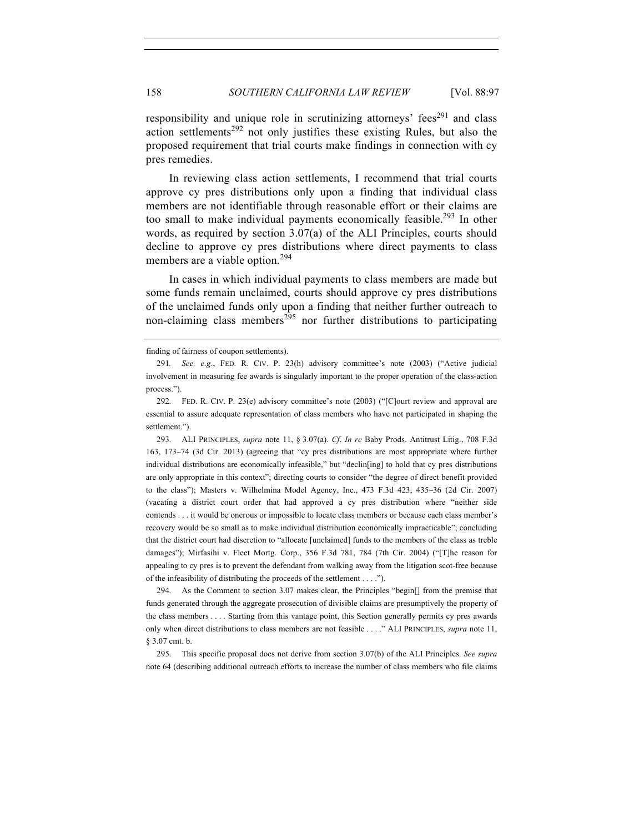responsibility and unique role in scrutinizing attorneys' fees<sup>291</sup> and class action settlements<sup>292</sup> not only justifies these existing Rules, but also the proposed requirement that trial courts make findings in connection with cy pres remedies.

In reviewing class action settlements, I recommend that trial courts approve cy pres distributions only upon a finding that individual class members are not identifiable through reasonable effort or their claims are too small to make individual payments economically feasible.<sup>293</sup> In other words, as required by section 3.07(a) of the ALI Principles, courts should decline to approve cy pres distributions where direct payments to class members are a viable option.<sup>294</sup>

In cases in which individual payments to class members are made but some funds remain unclaimed, courts should approve cy pres distributions of the unclaimed funds only upon a finding that neither further outreach to non-claiming class members<sup>295</sup> nor further distributions to participating

294. As the Comment to section 3.07 makes clear, the Principles "begin[] from the premise that funds generated through the aggregate prosecution of divisible claims are presumptively the property of the class members . . . . Starting from this vantage point, this Section generally permits cy pres awards only when direct distributions to class members are not feasible . . . ." ALI PRINCIPLES, *supra* note 11, § 3.07 cmt. b.

295. This specific proposal does not derive from section 3.07(b) of the ALI Principles. *See supra* note 64 (describing additional outreach efforts to increase the number of class members who file claims

finding of fairness of coupon settlements).

<sup>291</sup>*. See, e.g.*, FED. R. CIV. P. 23(h) advisory committee's note (2003) ("Active judicial involvement in measuring fee awards is singularly important to the proper operation of the class-action process.").

<sup>292.</sup> FED. R. CIV. P. 23(e) advisory committee's note (2003) ("[C]ourt review and approval are essential to assure adequate representation of class members who have not participated in shaping the settlement.").

<sup>293.</sup> ALI PRINCIPLES, *supra* note 11, § 3.07(a). *Cf*. *In re* Baby Prods. Antitrust Litig., 708 F.3d 163, 173–74 (3d Cir. 2013) (agreeing that "cy pres distributions are most appropriate where further individual distributions are economically infeasible," but "declin[ing] to hold that cy pres distributions are only appropriate in this context"; directing courts to consider "the degree of direct benefit provided to the class"); Masters v. Wilhelmina Model Agency, Inc., 473 F.3d 423, 435–36 (2d Cir. 2007) (vacating a district court order that had approved a cy pres distribution where "neither side contends . . . it would be onerous or impossible to locate class members or because each class member's recovery would be so small as to make individual distribution economically impracticable"; concluding that the district court had discretion to "allocate [unclaimed] funds to the members of the class as treble damages"); Mirfasihi v. Fleet Mortg. Corp., 356 F.3d 781, 784 (7th Cir. 2004) ("[T]he reason for appealing to cy pres is to prevent the defendant from walking away from the litigation scot-free because of the infeasibility of distributing the proceeds of the settlement . . . .").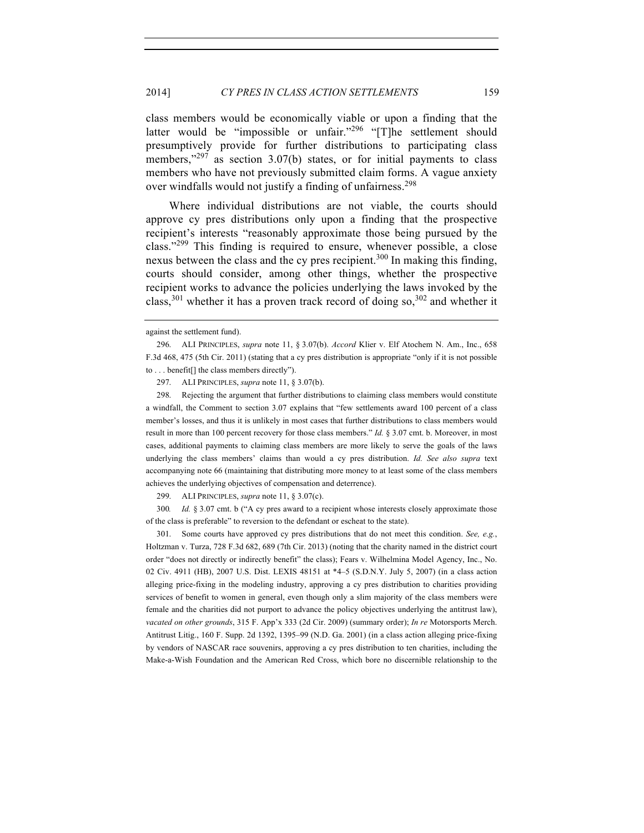class members would be economically viable or upon a finding that the latter would be "impossible or unfair."<sup>296</sup> "[T]he settlement should presumptively provide for further distributions to participating class members," $297$  as section 3.07(b) states, or for initial payments to class members who have not previously submitted claim forms. A vague anxiety over windfalls would not justify a finding of unfairness.<sup>298</sup>

Where individual distributions are not viable, the courts should approve cy pres distributions only upon a finding that the prospective recipient's interests "reasonably approximate those being pursued by the class."<sup>299</sup> This finding is required to ensure, whenever possible, a close nexus between the class and the cy pres recipient.<sup>300</sup> In making this finding, courts should consider, among other things, whether the prospective recipient works to advance the policies underlying the laws invoked by the class,  $301$  whether it has a proven track record of doing so,  $302$  and whether it

297. ALI PRINCIPLES, *supra* note 11, § 3.07(b).

298. Rejecting the argument that further distributions to claiming class members would constitute a windfall, the Comment to section 3.07 explains that "few settlements award 100 percent of a class member's losses, and thus it is unlikely in most cases that further distributions to class members would result in more than 100 percent recovery for those class members." *Id.* § 3.07 cmt. b. Moreover, in most cases, additional payments to claiming class members are more likely to serve the goals of the laws underlying the class members' claims than would a cy pres distribution. *Id. See also supra* text accompanying note 66 (maintaining that distributing more money to at least some of the class members achieves the underlying objectives of compensation and deterrence).

299. ALI PRINCIPLES, *supra* note 11, § 3.07(c).

300*. Id.* § 3.07 cmt. b ("A cy pres award to a recipient whose interests closely approximate those of the class is preferable" to reversion to the defendant or escheat to the state).

301. Some courts have approved cy pres distributions that do not meet this condition. *See, e.g.*, Holtzman v. Turza, 728 F.3d 682, 689 (7th Cir. 2013) (noting that the charity named in the district court order "does not directly or indirectly benefit" the class); Fears v. Wilhelmina Model Agency, Inc., No. 02 Civ. 4911 (HB), 2007 U.S. Dist. LEXIS 48151 at \*4–5 (S.D.N.Y. July 5, 2007) (in a class action alleging price-fixing in the modeling industry, approving a cy pres distribution to charities providing services of benefit to women in general, even though only a slim majority of the class members were female and the charities did not purport to advance the policy objectives underlying the antitrust law), *vacated on other grounds*, 315 F. App'x 333 (2d Cir. 2009) (summary order); *In re* Motorsports Merch. Antitrust Litig., 160 F. Supp. 2d 1392, 1395–99 (N.D. Ga. 2001) (in a class action alleging price-fixing by vendors of NASCAR race souvenirs, approving a cy pres distribution to ten charities, including the Make-a-Wish Foundation and the American Red Cross, which bore no discernible relationship to the

against the settlement fund).

<sup>296.</sup> ALI PRINCIPLES, *supra* note 11, § 3.07(b). *Accord* Klier v. Elf Atochem N. Am., Inc., 658 F.3d 468, 475 (5th Cir. 2011) (stating that a cy pres distribution is appropriate "only if it is not possible to . . . benefit[] the class members directly").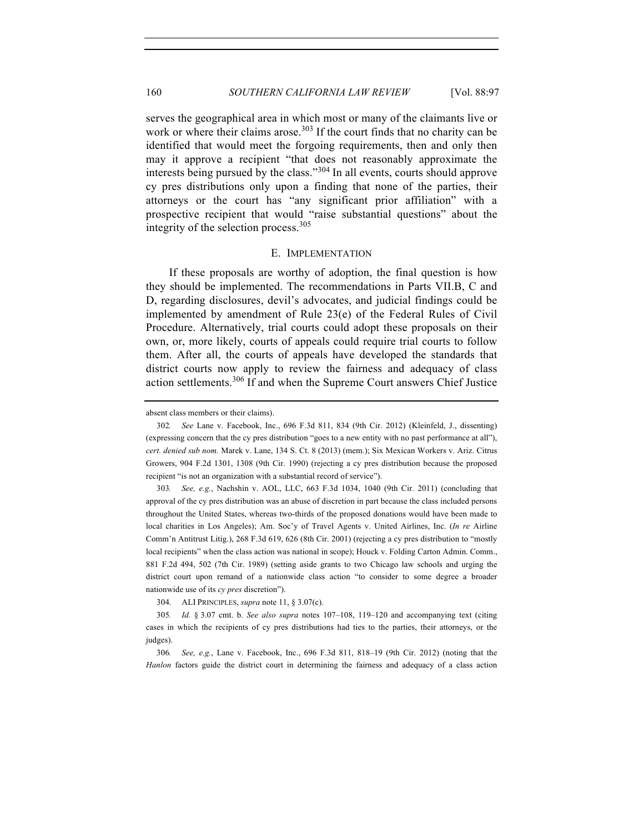serves the geographical area in which most or many of the claimants live or work or where their claims arose.<sup>303</sup> If the court finds that no charity can be identified that would meet the forgoing requirements, then and only then may it approve a recipient "that does not reasonably approximate the interests being pursued by the class."<sup>304</sup> In all events, courts should approve cy pres distributions only upon a finding that none of the parties, their attorneys or the court has "any significant prior affiliation" with a prospective recipient that would "raise substantial questions" about the integrity of the selection process.  $305$ 

#### E. IMPLEMENTATION

If these proposals are worthy of adoption, the final question is how they should be implemented. The recommendations in Parts VII.B, C and D, regarding disclosures, devil's advocates, and judicial findings could be implemented by amendment of Rule 23(e) of the Federal Rules of Civil Procedure. Alternatively, trial courts could adopt these proposals on their own, or, more likely, courts of appeals could require trial courts to follow them. After all, the courts of appeals have developed the standards that district courts now apply to review the fairness and adequacy of class action settlements.<sup>306</sup> If and when the Supreme Court answers Chief Justice

304. ALI PRINCIPLES, *supra* note 11, § 3.07(c).

absent class members or their claims).

<sup>302</sup>*. See* Lane v. Facebook, Inc., 696 F.3d 811, 834 (9th Cir. 2012) (Kleinfeld, J., dissenting) (expressing concern that the cy pres distribution "goes to a new entity with no past performance at all"), *cert. denied sub nom.* Marek v. Lane, 134 S. Ct. 8 (2013) (mem.); Six Mexican Workers v. Ariz. Citrus Growers, 904 F.2d 1301, 1308 (9th Cir. 1990) (rejecting a cy pres distribution because the proposed recipient "is not an organization with a substantial record of service").

<sup>303</sup>*. See, e.g.*, Nachshin v. AOL, LLC, 663 F.3d 1034, 1040 (9th Cir. 2011) (concluding that approval of the cy pres distribution was an abuse of discretion in part because the class included persons throughout the United States, whereas two-thirds of the proposed donations would have been made to local charities in Los Angeles); Am. Soc'y of Travel Agents v. United Airlines, Inc. (*In re* Airline Comm'n Antitrust Litig.), 268 F.3d 619, 626 (8th Cir. 2001) (rejecting a cy pres distribution to "mostly local recipients" when the class action was national in scope); Houck v. Folding Carton Admin. Comm., 881 F.2d 494, 502 (7th Cir. 1989) (setting aside grants to two Chicago law schools and urging the district court upon remand of a nationwide class action "to consider to some degree a broader nationwide use of its *cy pres* discretion").

<sup>305</sup>*. Id.* § 3.07 cmt. b. *See also supra* notes 107–108, 119–120 and accompanying text (citing cases in which the recipients of cy pres distributions had ties to the parties, their attorneys, or the judges).

<sup>306</sup>*. See, e.g.*, Lane v. Facebook, Inc., 696 F.3d 811, 818–19 (9th Cir. 2012) (noting that the *Hanlon* factors guide the district court in determining the fairness and adequacy of a class action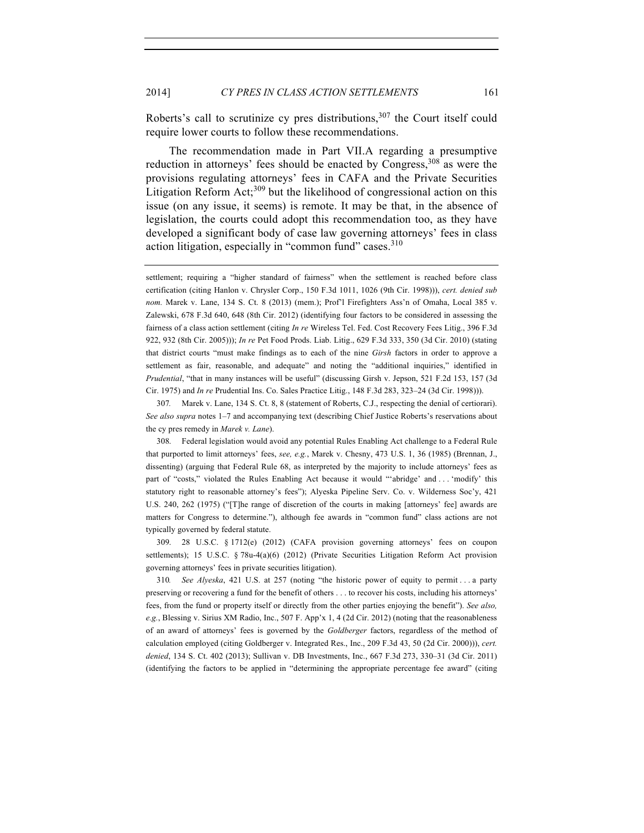Roberts's call to scrutinize cy pres distributions,<sup>307</sup> the Court itself could require lower courts to follow these recommendations.

The recommendation made in Part VII.A regarding a presumptive reduction in attorneys' fees should be enacted by Congress,<sup>308</sup> as were the provisions regulating attorneys' fees in CAFA and the Private Securities Litigation Reform Act;<sup>309</sup> but the likelihood of congressional action on this issue (on any issue, it seems) is remote. It may be that, in the absence of legislation, the courts could adopt this recommendation too, as they have developed a significant body of case law governing attorneys' fees in class action litigation, especially in "common fund" cases.<sup>310</sup>

307*.* Marek v. Lane, 134 S. Ct. 8, 8 (statement of Roberts, C.J., respecting the denial of certiorari). *See also supra* notes 1–7 and accompanying text (describing Chief Justice Roberts's reservations about the cy pres remedy in *Marek v. Lane*).

308. Federal legislation would avoid any potential Rules Enabling Act challenge to a Federal Rule that purported to limit attorneys' fees, *see, e.g.*, Marek v. Chesny, 473 U.S. 1, 36 (1985) (Brennan, J., dissenting) (arguing that Federal Rule 68, as interpreted by the majority to include attorneys' fees as part of "costs," violated the Rules Enabling Act because it would "'abridge' and . . . 'modify' this statutory right to reasonable attorney's fees"); Alyeska Pipeline Serv. Co. v. Wilderness Soc'y, 421 U.S. 240, 262 (1975) ("[T]he range of discretion of the courts in making [attorneys' fee] awards are matters for Congress to determine."), although fee awards in "common fund" class actions are not typically governed by federal statute.

309. 28 U.S.C. § 1712(e) (2012) (CAFA provision governing attorneys' fees on coupon settlements); 15 U.S.C. § 78u-4(a)(6) (2012) (Private Securities Litigation Reform Act provision governing attorneys' fees in private securities litigation).

310*. See Alyeska*, 421 U.S. at 257 (noting "the historic power of equity to permit . . . a party preserving or recovering a fund for the benefit of others . . . to recover his costs, including his attorneys' fees, from the fund or property itself or directly from the other parties enjoying the benefit"). *See also, e.g.*, Blessing v. Sirius XM Radio, Inc., 507 F. App'x 1, 4 (2d Cir. 2012) (noting that the reasonableness of an award of attorneys' fees is governed by the *Goldberger* factors, regardless of the method of calculation employed (citing Goldberger v. Integrated Res., Inc., 209 F.3d 43, 50 (2d Cir. 2000))), *cert. denied*, 134 S. Ct. 402 (2013); Sullivan v. DB Investments, Inc., 667 F.3d 273, 330–31 (3d Cir. 2011) (identifying the factors to be applied in "determining the appropriate percentage fee award" (citing

settlement; requiring a "higher standard of fairness" when the settlement is reached before class certification (citing Hanlon v. Chrysler Corp., 150 F.3d 1011, 1026 (9th Cir. 1998))), *cert. denied sub nom.* Marek v. Lane, 134 S. Ct. 8 (2013) (mem.); Prof'l Firefighters Ass'n of Omaha, Local 385 v. Zalewski, 678 F.3d 640, 648 (8th Cir. 2012) (identifying four factors to be considered in assessing the fairness of a class action settlement (citing *In re* Wireless Tel. Fed. Cost Recovery Fees Litig., 396 F.3d 922, 932 (8th Cir. 2005))); *In re* Pet Food Prods. Liab. Litig., 629 F.3d 333, 350 (3d Cir. 2010) (stating that district courts "must make findings as to each of the nine *Girsh* factors in order to approve a settlement as fair, reasonable, and adequate" and noting the "additional inquiries," identified in *Prudential*, "that in many instances will be useful" (discussing Girsh v. Jepson, 521 F.2d 153, 157 (3d Cir. 1975) and *In re* Prudential Ins. Co. Sales Practice Litig., 148 F.3d 283, 323–24 (3d Cir. 1998))).